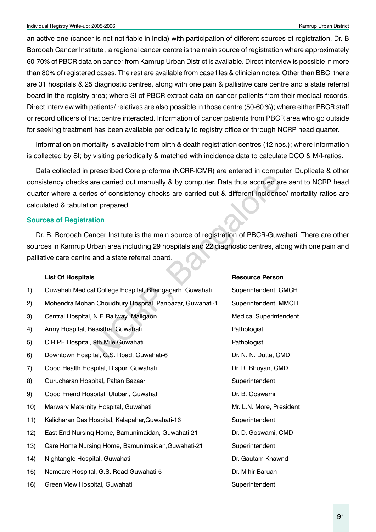an active one (cancer is not notifiable in India) with participation of different sources of registration. Dr. B Borooah Cancer Institute , a regional cancer centre is the main source of registration where approximately 60-70% of PBCR data on cancer from Kamrup Urban District is available. Direct interview is possible in more than 80% of registered cases. The rest are available from case files & clinician notes. Other than BBCI there are 31 hospitals & 25 diagnostic centres, along with one pain & palliative care centre and a state referral board in the registry area; where SI of PBCR extract data on cancer patients from their medical records. Direct interview with patients/ relatives are also possible in those centre (50-60 %); where either PBCR staff or record officers of that centre interacted. Information of cancer patients from PBCR area who go outside for seeking treatment has been available periodically to registry office or through NCRP head quarter.

Information on mortality is available from birth & death registration centres (12 nos.); where information is collected by SI; by visiting periodically & matched with incidence data to calculate DCO & M/I-ratios.

Data collected in prescribed Core proforma (NCRP-ICMR) are entered in computer. Duplicate & other consistency checks are carried out manually & by computer. Data thus accrued are sent to NCRP head quarter where a series of consistency checks are carried out & different incidence/ mortality ratios are calculated & tabulation prepared.

#### **Sources of Registration**

Dr. B. Borooah Cancer Institute is the main source of registration of PBCR-Guwahati. There are other sources in Kamrup Urban area including 29 hospitals and 22 diagnostic centres, along with one pain and palliative care centre and a state referral board.

#### **List Of Hospitals Resource Person**

|     | consistency checks are carried out manually & by computer. Data thus accrued are sent<br>quarter where a series of consistency checks are carried out & different incidence/ mort<br>calculated & tabulation prepared.                    |                               |
|-----|-------------------------------------------------------------------------------------------------------------------------------------------------------------------------------------------------------------------------------------------|-------------------------------|
|     | <b>Sources of Registration</b>                                                                                                                                                                                                            |                               |
|     | Dr. B. Borooah Cancer Institute is the main source of registration of PBCR-Guwahati. T<br>sources in Kamrup Urban area including 29 hospitals and 22 diagnostic centres, along with<br>palliative care centre and a state referral board. |                               |
|     | <b>List Of Hospitals</b>                                                                                                                                                                                                                  | <b>Resource Person</b>        |
| 1)  | Guwahati Medical College Hospital, Bhangagarh, Guwahati                                                                                                                                                                                   | Superintendent, GMCH          |
| 2)  | Mohendra Mohan Choudhury Hospital, Panbazar, Guwahati-1                                                                                                                                                                                   | Superintendent, MMCH          |
| 3)  | Central Hospital, N.F. Railway , Maligaon                                                                                                                                                                                                 | <b>Medical Superintendent</b> |
| 4)  | Army Hospital, Basistha, Guwahati                                                                                                                                                                                                         | Pathologist                   |
| 5)  | C.R.P.F Hospital, 9th Mile Guwahati                                                                                                                                                                                                       | Pathologist                   |
| 6)  | Downtown Hospital, G.S. Road, Guwahati-6                                                                                                                                                                                                  | Dr. N. N. Dutta, CMD          |
| 7)  | Good Health Hospital, Dispur, Guwahati                                                                                                                                                                                                    | Dr. R. Bhuyan, CMD            |
| 8)  | Gurucharan Hospital, Paltan Bazaar                                                                                                                                                                                                        | Superintendent                |
| 9)  | Good Friend Hospital, Ulubari, Guwahati                                                                                                                                                                                                   | Dr. B. Goswami                |
| 10) | Marwary Maternity Hospital, Guwahati                                                                                                                                                                                                      | Mr. L.N. More, President      |
| 11) | Kalicharan Das Hospital, Kalapahar, Guwahati-16                                                                                                                                                                                           | Superintendent                |
| 12) | East End Nursing Home, Bamunimaidan, Guwahati-21                                                                                                                                                                                          | Dr. D. Goswami, CMD           |
| 13) | Care Home Nursing Home, Bamunimaidan, Guwahati-21                                                                                                                                                                                         | Superintendent                |
| 14) | Nightangle Hospital, Guwahati                                                                                                                                                                                                             | Dr. Gautam Khawnd             |
| 15) | Nemcare Hospital, G.S. Road Guwahati-5                                                                                                                                                                                                    | Dr. Mihir Baruah              |
| 16) | Green View Hospital, Guwahati                                                                                                                                                                                                             | Superintendent                |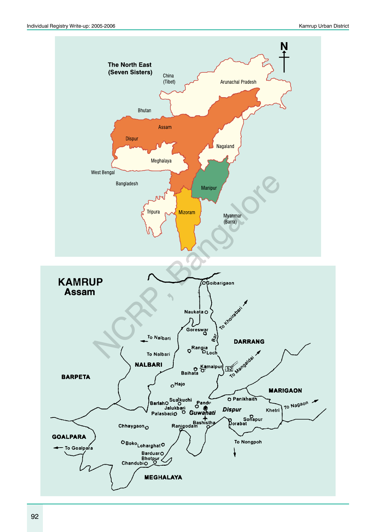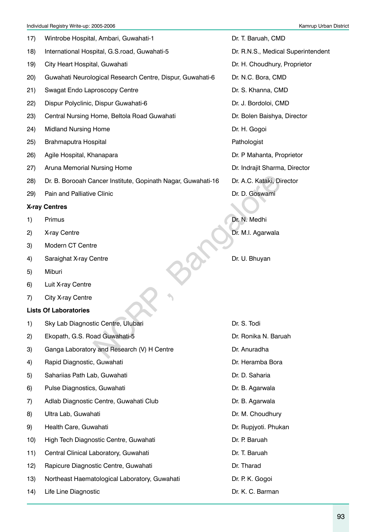- 18) International Hospital, G.S.road, Guwahati-5 Dr. R.N.S., Medical Superintendent
- 19) City Heart Hospital, Guwahati Dr. H. Choudhury, Proprietor
- 20) Guwahati Neurological Research Centre, Dispur, Guwahati-6 Dr. N.C. Bora, CMD
- 21) Swagat Endo Laproscopy Centre **Dr. S. Khanna, CMD**
- 22) Dispur Polyclinic, Dispur Guwahati-6 **Dr. J. Bordoloi, CMD**
- 23) Central Nursing Home, Beltola Road Guwahati **Dr. Bolen Baishya, Director**
- 24) Midland Nursing Home **Dr. H. Gogoi** Dr. H. Gogoi
- 25) Brahmaputra Hospital **Pathologist** Pathologist
- 26) Agile Hospital, Khanapara **Dr. P Mahanta, Proprietor** Dr. P Mahanta, Proprietor
- 27) Aruna Memorial Nursing Home **Dr. Indrajit Sharma, Director**
- 28) Dr. B. Borooah Cancer Institute, Gopinath Nagar, Guwahati-16 Dr. A.C. Kataki, Director
- 29) Pain and Palliative Clinic Communication of the Dr. D. Goswami

#### **X-ray Centres**

- 
- 2) X-ray Centre **Dr. M.I. Agarwala**
- 3) Modern CT Centre
- 4) Saraighat X-ray Centre **Dr. U. Bhuyan**
- 5) Miburi
- 6) Luit X-ray Centre
- 7) City X-ray Centre

#### **Lists Of Laboratories**

| (28) | Dr. B. Borooah Cancer Institute, Gopinath Nagar, Guwahati-16 | Dr. A.C. Kataki, Direct |
|------|--------------------------------------------------------------|-------------------------|
| 29)  | Pain and Palliative Clinic                                   | Dr. D. Goswami          |
|      | <b>X-ray Centres</b>                                         |                         |
| 1)   | Primus                                                       | Dr. N. Medhi            |
| 2)   | X-ray Centre                                                 | Dr. M.I. Agarwala       |
| 3)   | Modern CT Centre                                             |                         |
| 4)   | Saraighat X-ray Centre                                       | Dr. U. Bhuyan           |
| 5)   | Miburi                                                       |                         |
| 6)   | Luit X-ray Centre                                            |                         |
| 7)   | City X-ray Centre                                            |                         |
|      | <b>Lists Of Laboratories</b>                                 |                         |
| 1)   | Sky Lab Diagnostic Centre, Ulubari                           | Dr. S. Todi             |
| 2)   | Ekopath, G.S. Road Guwahati-5                                | Dr. Ronika N. Baruah    |
| 3)   | Ganga Laboratory and Research (V) H Centre                   | Dr. Anuradha            |
| 4)   | Rapid Diagnostic, Guwahati                                   | Dr. Heramba Bora        |
| 5)   | Sahariias Path Lab, Guwahati                                 | Dr. D. Saharia          |
| 6)   | Pulse Diagnostics, Guwahati                                  | Dr. B. Agarwala         |
| 7)   | Adlab Diagnostic Centre, Guwahati Club                       | Dr. B. Agarwala         |
| 8)   | Ultra Lab, Guwahati                                          | Dr. M. Choudhury        |
| 9)   | Health Care, Guwahati                                        | Dr. Rupjyoti. Phukan    |
| 10)  | High Tech Diagnostic Centre, Guwahati                        | Dr. P. Baruah           |
| 11)  | Central Clinical Laboratory, Guwahati                        | Dr. T. Baruah           |
| 12)  | Rapicure Diagnostic Centre, Guwahati                         | Dr. Tharad              |
| 13)  | Northeast Haematological Laboratory, Guwahati                | Dr. P. K. Gogoi         |
| 14)  | Life Line Diagnostic                                         | Dr. K. C. Barman        |

17) Wintrobe Hospital, Ambari, Guwahati-1 Dr. T. Baruah, CMD

- 1) Primus Dr. N. Medhi
	-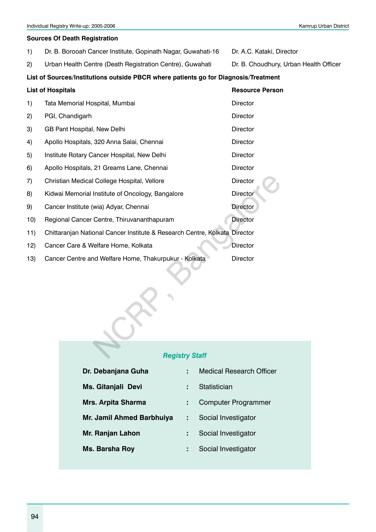#### **Sources Of Death Registration**

- 1) Dr. B. Borooah Cancer Institute, Gopinath Nagar, Guwahati-16 Dr. A.C. Kataki, Director
- 2) Urban Health Centre (Death Registration Centre), Guwahati Dr. B. Choudhury, Urban Health Officer

#### List of Sources/Institutions outside PBCR where patients go for Diagnosis/Treatment

|     | <b>List of Hospitals</b>                                                   |                       | <b>Resource Person</b> |
|-----|----------------------------------------------------------------------------|-----------------------|------------------------|
| 1)  | Tata Memorial Hospital, Mumbai                                             |                       | Director               |
| 2)  | PGI, Chandigarh                                                            |                       | Director               |
| 3)  | GB Pant Hospital, New Delhi                                                |                       | Director               |
| 4)  | Apollo Hospitals, 320 Anna Salai, Chennai                                  |                       | Director               |
| 5)  | Institute Rotary Cancer Hospital, New Delhi                                |                       | Director               |
| 6)  | Apollo Hospitals, 21 Greams Lane, Chennai                                  |                       | Director               |
| 7)  | Christian Medical College Hospital, Vellore                                |                       | Director               |
| 8)  | Kidwai Memorial Institute of Oncology, Bangalore                           |                       | <b>Director</b>        |
| 9)  | Cancer Institute (wia) Adyar, Chennai                                      |                       | <b>Director</b>        |
| 10) | Regional Cancer Centre, Thiruvananthapuram                                 |                       | <b>Director</b>        |
| 11) | Chittaranjan National Cancer Institute & Research Centre, Kolkata Director |                       |                        |
| 12) | Cancer Care & Welfare Home, Kolkata                                        |                       | Director               |
| 13) | Cancer Centre and Welfare Home, Thakurpukur - Kolkata                      |                       | Director               |
|     |                                                                            |                       |                        |
|     |                                                                            | <b>Registry Staff</b> |                        |

#### *Registry Staff*

| Dr. Debanjana Guha        |   | <b>Medical Research Officer</b> |
|---------------------------|---|---------------------------------|
| Ms. Gitanjali Devi        | ÷ | Statistician                    |
| <b>Mrs. Arpita Sharma</b> |   | <b>Computer Programmer</b>      |
| Mr. Jamil Ahmed Barbhuiya |   | Social Investigator             |
| Mr. Ranjan Lahon          |   | Social Investigator             |
| Ms. Barsha Roy            |   | Social Investigator             |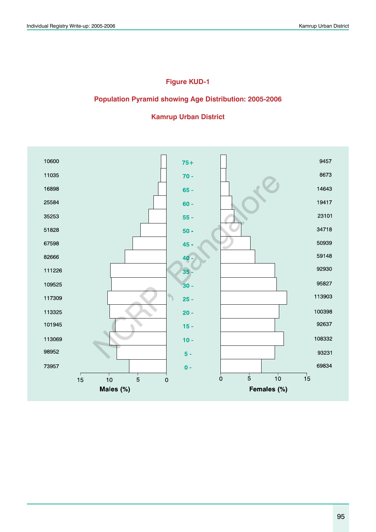## **Figure KUD-1**

#### **Population Pyramid showing Age Distribution: 2005-2006**

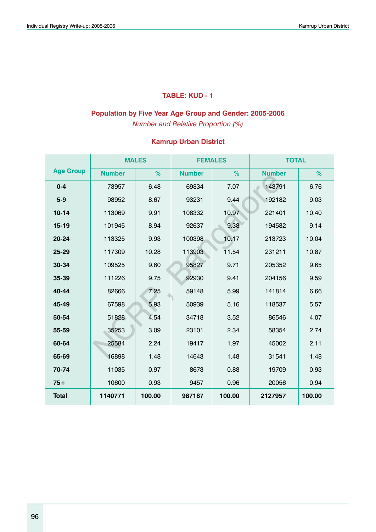## **TABLE: KUD - 1**

## **Population by Five Year Age Group and Gender: 2005-2006**

*Number and Relative Proportion (%)*

|                  | <b>MALES</b><br><b>Number</b><br>%<br>73957<br>6.48<br>8.67<br>98952<br>113069<br>9.91<br>8.94<br>101945<br>9.93<br>113325<br>10.28<br>117309<br>9.60<br>109525<br>111226<br>9.75<br>7.25<br>82666<br>5.93<br>67598<br>51828<br>4.54<br>35253<br>3.09<br>25584<br>2.24<br>16898<br>1.48<br>11035<br>0.97 |        | <b>FEMALES</b> |        | <b>TOTAL</b>  |        |  |  |
|------------------|----------------------------------------------------------------------------------------------------------------------------------------------------------------------------------------------------------------------------------------------------------------------------------------------------------|--------|----------------|--------|---------------|--------|--|--|
| <b>Age Group</b> |                                                                                                                                                                                                                                                                                                          |        | <b>Number</b>  | %      | <b>Number</b> | %      |  |  |
| $0 - 4$          |                                                                                                                                                                                                                                                                                                          |        | 69834          | 7.07   | 143791        | 6.76   |  |  |
| $5 - 9$          |                                                                                                                                                                                                                                                                                                          |        | 93231          | 9.44   | 192182        | 9.03   |  |  |
| $10 - 14$        |                                                                                                                                                                                                                                                                                                          |        | 108332         | 10.97  | 221401        | 10.40  |  |  |
| $15 - 19$        |                                                                                                                                                                                                                                                                                                          |        | 92637          | 9.38   | 194582        | 9.14   |  |  |
| 20-24            |                                                                                                                                                                                                                                                                                                          |        | 100398         | 10.17  | 213723        | 10.04  |  |  |
| 25-29            |                                                                                                                                                                                                                                                                                                          |        | 113903         | 11.54  | 231211        | 10.87  |  |  |
| 30-34            |                                                                                                                                                                                                                                                                                                          |        | 95827          | 9.71   | 205352        | 9.65   |  |  |
| 35-39            |                                                                                                                                                                                                                                                                                                          |        | 92930          | 9.41   | 204156        | 9.59   |  |  |
| 40-44            |                                                                                                                                                                                                                                                                                                          |        | 59148          | 5.99   | 141814        | 6.66   |  |  |
| 45-49            |                                                                                                                                                                                                                                                                                                          |        | 50939          | 5.16   | 118537        | 5.57   |  |  |
| 50-54            |                                                                                                                                                                                                                                                                                                          |        | 34718          | 3.52   | 86546         | 4.07   |  |  |
| 55-59            |                                                                                                                                                                                                                                                                                                          |        | 23101          | 2.34   | 58354         | 2.74   |  |  |
| 60-64            |                                                                                                                                                                                                                                                                                                          |        | 19417          | 1.97   | 45002         | 2.11   |  |  |
| 65-69            |                                                                                                                                                                                                                                                                                                          |        | 14643          | 1.48   | 31541         | 1.48   |  |  |
| 70-74            |                                                                                                                                                                                                                                                                                                          |        | 8673           | 0.88   | 19709         | 0.93   |  |  |
| $75+$            | 10600                                                                                                                                                                                                                                                                                                    | 0.93   | 9457           | 0.96   | 20056         | 0.94   |  |  |
| <b>Total</b>     | 1140771                                                                                                                                                                                                                                                                                                  | 100.00 | 987187         | 100.00 | 2127957       | 100.00 |  |  |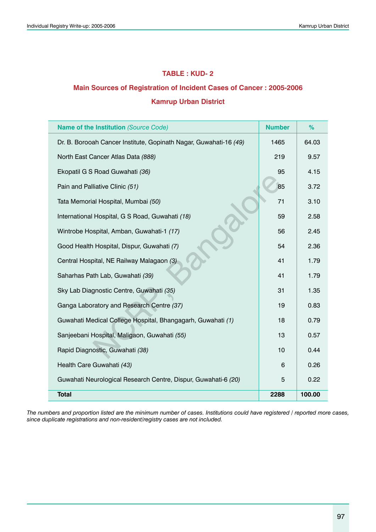### **TABLE : KUD- 2**

## **Main Sources of Registration of Incident Cases of Cancer : 2005-2006**

#### **Kamrup Urban District**

| <b>Name of the Institution (Source Code)</b>                      | <b>Number</b> | %      |
|-------------------------------------------------------------------|---------------|--------|
| Dr. B. Borooah Cancer Institute, Gopinath Nagar, Guwahati-16 (49) | 1465          | 64.03  |
| North East Cancer Atlas Data (888)                                | 219           | 9.57   |
| Ekopatil G S Road Guwahati (36)                                   | 95            | 4.15   |
| Pain and Palliative Clinic (51)                                   | 85            | 3.72   |
| Tata Memorial Hospital, Mumbai (50)                               | 71            | 3.10   |
| International Hospital, G S Road, Guwahati (18)                   | 59            | 2.58   |
| Wintrobe Hospital, Amban, Guwahati-1 (17)                         | 56            | 2.45   |
| Good Health Hospital, Dispur, Guwahati (7)                        | 54            | 2.36   |
| Central Hospital, NE Railway Malagaon (3)                         | 41            | 1.79   |
| Saharhas Path Lab, Guwahati (39)                                  | 41            | 1.79   |
| Sky Lab Diagnostic Centre, Guwahati (35)                          | 31            | 1.35   |
| Ganga Laboratory and Research Centre (37)                         | 19            | 0.83   |
| Guwahati Medical College Hospital, Bhangagarh, Guwahati (1)       | 18            | 0.79   |
| Sanjeebani Hospital, Maligaon, Guwahati (55)                      | 13            | 0.57   |
| Rapid Diagnostic, Guwahati (38)                                   | 10            | 0.44   |
| Health Care Guwahati (43)                                         | 6             | 0.26   |
| Guwahati Neurological Research Centre, Dispur, Guwahati-6 (20)    | 5             | 0.22   |
| <b>Total</b>                                                      | 2288          | 100.00 |

*The numbers and proportion listed are the minimum number of cases. Institutions could have registered / reported more cases, since duplicate registrations and non-resident/registry cases are not included.*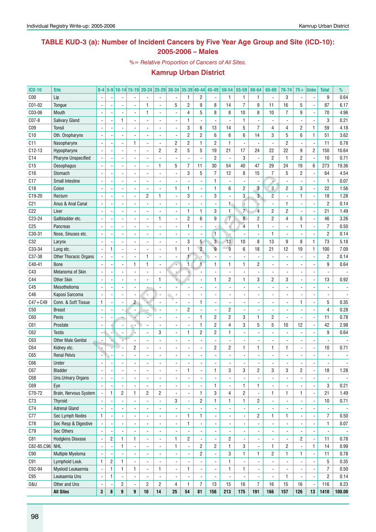## **TABLE KUD-3 (a): Number of Incident Cancers by Five Year Age Group and Site (ICD-10): 2005-2006 – Males**

*%= Relative Proportion of Cancers of All Sites.*

| <b>ICD-10</b>   | <b>Site</b>                | $0-4$                    |                         |                |                | 5-9 10-14 15-19 20-24 25-29 30-34 35-39 40-44 45-49 |                          |                          |                |                          |                          | $50 - 54$      | 55-59                    | 60-64                    | 65-69                    | 70-74                    | $75+$          | <b>Unkn</b>              | <b>Total</b>             | %      |
|-----------------|----------------------------|--------------------------|-------------------------|----------------|----------------|-----------------------------------------------------|--------------------------|--------------------------|----------------|--------------------------|--------------------------|----------------|--------------------------|--------------------------|--------------------------|--------------------------|----------------|--------------------------|--------------------------|--------|
| C <sub>00</sub> | Lip                        |                          |                         |                |                |                                                     |                          |                          | $\mathbf{1}$   | 2                        |                          | 1              | 1                        | $\mathbf{1}$             | $\overline{a}$           | 3                        |                |                          | 9                        | 0.64   |
| C01-02          | Tongue                     |                          |                         |                |                | 1                                                   |                          | 5                        | $\overline{c}$ | 9                        | 8                        | 14             | $\overline{7}$           | 9                        | 11                       | 16                       | 5              |                          | 87                       | 6.17   |
| C03-06          | Mouth                      |                          |                         |                |                | 1                                                   |                          | $\overline{a}$           | 4              | 5                        | 8                        | 8              | 10                       | 8                        | 10                       | $\overline{7}$           | 9              |                          | 70                       | 4.96   |
| C07-8           | Salivary Gland             |                          |                         | 1              |                |                                                     |                          |                          | 1              | $\overline{\phantom{a}}$ |                          |                | $\mathbf{1}$             |                          |                          | ÷.                       |                |                          | 3                        | 0.21   |
| CO <sub>9</sub> | <b>Tonsil</b>              |                          |                         |                |                |                                                     |                          | ÷,                       | 3              | 6                        | 13                       | 14             | 5                        | $\overline{7}$           | 4                        | $\overline{4}$           | $\overline{c}$ | $\mathbf{1}$             | 59                       | 4.18   |
| C10             | Oth. Oropharynx            |                          |                         |                |                | $\overline{a}$                                      |                          | $\overline{a}$           | $\overline{c}$ | $\overline{c}$           | 6                        | 6              | 6                        | 14                       | 3                        | 5                        | 6              | $\mathbf{1}$             | 51                       | 3.62   |
| C11             | Nasopharynx                |                          |                         |                | 1              | $\overline{a}$                                      |                          | $\overline{c}$           | $\overline{c}$ | $\mathbf{1}$             | $\overline{c}$           | 1              | $\blacksquare$           |                          | $\overline{a}$           | $\overline{2}$           |                | ÷,                       | 11                       | 0.78   |
| $C12-13$        | Hypopharynx                |                          |                         |                |                | $\overline{a}$                                      | $\overline{c}$           | $\overline{c}$           | 5              | 5                        | 19                       | 21             | 17                       | 24                       | 22                       | 22                       | 9              | $\mathbf{2}$             | 150                      | 10.64  |
| C <sub>14</sub> | <b>Pharynx Unspecified</b> |                          |                         |                |                |                                                     |                          | $\overline{\phantom{a}}$ | $\overline{a}$ | $\blacksquare$           | $\overline{c}$           | ä,             | 3                        | $\overline{\phantom{a}}$ | $\overline{c}$           | $\mathbf{1}$             | $\mathbf{2}$   | $\overline{\phantom{a}}$ | 10                       | 0.71   |
| C15             | Oesophagus                 |                          |                         |                |                |                                                     | $\mathbf{1}$             | 5                        | $\overline{7}$ | 11                       | 30                       | 54             | 40                       | 47                       | 29                       | 24                       | 19             | 6                        | 273                      | 19.36  |
| C16             | Stomach                    |                          |                         |                |                |                                                     |                          | $\overline{a}$           | 3              | 5                        | $\overline{7}$           | 12             | 8                        | 15                       | $\overline{7}$           | $\mathbf 5$              | $\overline{2}$ | ÷,                       | 64                       | 4.54   |
| C17             | <b>Small Intestine</b>     |                          |                         |                |                |                                                     |                          |                          |                | $\overline{\phantom{a}}$ | $\mathbf{1}$             |                | $\blacksquare$           |                          |                          | ÷,                       |                | Ĭ.                       | $\mathbf{1}$             | 0.07   |
| C18             | Colon                      |                          |                         |                |                |                                                     |                          | $\mathbf{1}$             | $\mathbf{1}$   | $\overline{\phantom{a}}$ | $\mathbf{1}$             | 6              | $\overline{2}$           | $\overline{3}$           | $\overline{3}$           | $\overline{2}$           | 3              | ä,                       | 22                       | 1.56   |
| C19-20          | Rectum                     |                          |                         |                |                | 2                                                   | $\mathbf{1}$             |                          | 3              | $\overline{a}$           | 3                        |                | 3                        | $\overline{3}$           | $\overline{2}$           | $\overline{a}$           | $\mathbf{1}$   | ä,                       | 18                       | 1.28   |
| C <sub>21</sub> | Anus & Anal Canal          |                          |                         |                |                |                                                     |                          |                          |                | $\overline{\phantom{a}}$ |                          | $\mathbf{1}$   | F                        |                          |                          | $\mathbf{1}$             |                |                          | $\overline{2}$           | 0.14   |
| C22             | Liver                      |                          |                         |                |                |                                                     |                          |                          | $\mathbf{1}$   | $\mathbf{1}$             | 3                        | $\mathbf{1}$   | $\overline{7}$           | $\overline{4}$           | $\overline{c}$           | $\overline{2}$           |                | Ĭ.                       | 21                       | 1.49   |
| C23-24          | Gallbladder etc.           |                          |                         |                |                |                                                     | $\mathbf{1}$             |                          | $\overline{c}$ | 6                        | 9                        | $\overline{7}$ | $\overline{8}$           | $\overline{c}$           | $\overline{c}$           | $\overline{4}$           | 5              |                          | 46                       | 3.26   |
| C <sub>25</sub> | Pancreas                   |                          |                         |                |                |                                                     |                          |                          | $\mathbf{1}$   | $\blacksquare$           |                          |                | $\overline{4}$           | $\mathbf{1}$             |                          | ÷,                       | $\mathbf{1}$   | Ĭ.                       | $\overline{7}$           | 0.50   |
| C30-31          | Nose, Sinuses etc.         |                          |                         |                |                |                                                     |                          |                          | $\overline{a}$ | $\blacksquare$           | $\mathbf{1}$             |                | $\blacksquare$           |                          | 1                        | ÷,                       |                | ä,                       | $\overline{c}$           | 0.14   |
| C32             | Larynx                     |                          |                         |                |                |                                                     |                          |                          | 3              | 5 <sup>1</sup>           | $\overline{3}$           | 13             | 10                       | 8                        | 13                       | 9                        | 8              | $\mathbf{1}$             | 73                       | 5.18   |
| C33-34          | Lung etc.                  | $\overline{\phantom{a}}$ | $\mathbf{1}$            |                |                |                                                     |                          | $\mathbf{1}$             | $\mathbf{1}$   | $\overline{2}$           | $\overline{9}$           | $\overline{9}$ | 6                        | 18                       | 21                       | 12                       | 19             | $\mathbf{1}$             | 100                      | 7.09   |
| C37-38          | Other Thoracic Organs      |                          |                         |                |                | 1                                                   |                          |                          | 1              |                          |                          |                | ÷,                       |                          | ÷,                       | $\overline{a}$           |                | ä,                       | $\overline{2}$           | 0.14   |
| C40-41          | <b>Bone</b>                |                          |                         |                | $\mathbf{1}$   | $\mathbf{1}$                                        |                          |                          | ī              | T                        | 1                        | 1              | $\mathbf{1}$             | $\overline{c}$           |                          |                          |                |                          | 9                        | 0.64   |
| C43             | Melanoma of Skin           |                          |                         |                |                |                                                     |                          |                          |                |                          |                          |                | ÷,                       |                          |                          | ÷.                       |                |                          |                          |        |
| C44             | <b>Other Skin</b>          |                          |                         |                |                |                                                     | $\mathbf{1}$             |                          |                | $\overline{a}$           | $\mathbf{1}$             | $\overline{c}$ | $\mathbf{1}$             | 3                        | $\overline{c}$           | 3                        |                | Ĭ.                       | 13                       | 0.92   |
| C45             | Mesothelioma               |                          |                         |                |                |                                                     |                          |                          |                |                          |                          |                | $\blacksquare$           |                          |                          | ÷,                       |                |                          |                          |        |
| C46             |                            |                          |                         |                |                |                                                     |                          |                          |                | ÷,                       |                          |                | $\overline{a}$           |                          |                          |                          |                |                          |                          |        |
| $C47 + C49$     | Kaposi Sarcoma             |                          |                         |                | $\overline{2}$ | ٠.                                                  |                          |                          | $\overline{a}$ | $\mathbf{1}$             |                          |                |                          |                          |                          | ÷.                       | 1              | ÷,                       |                          |        |
|                 | Conn. & Soft Tissue        | $\mathbf{1}$             |                         |                |                |                                                     |                          |                          | $\overline{2}$ | $\overline{\phantom{a}}$ |                          | $\overline{2}$ | $\blacksquare$           |                          |                          |                          |                |                          | 5<br>$\overline{4}$      | 0.35   |
| C50             | <b>Breast</b>              |                          |                         |                |                |                                                     |                          |                          | $\overline{a}$ | $\mathbf{1}$             |                          | $\overline{2}$ | ÷,                       |                          |                          | ÷,<br>$\overline{a}$     |                |                          |                          | 0.28   |
| C60             | Penis                      |                          |                         |                |                |                                                     |                          |                          |                |                          | $\overline{c}$           |                | 3                        | $\mathbf{1}$             | $\overline{c}$           |                          |                | ä,                       | 11                       | 0.78   |
| C61             | Prostate                   |                          |                         |                |                |                                                     |                          |                          |                | $\mathbf{1}$             | $\overline{c}$           | $\overline{4}$ | 3                        | 5                        | 5                        | 10                       | 12             |                          | 42                       | 2.98   |
| C62             | <b>Testis</b>              |                          |                         |                |                |                                                     | 3                        |                          | $\mathbf{1}$   | $\overline{c}$           | $\overline{c}$           | $\mathbf{1}$   | ÷,                       |                          |                          |                          |                |                          | 9                        | 0.64   |
| C63             | <b>Other Male Genital</b>  |                          |                         |                |                |                                                     |                          |                          |                | $\overline{a}$           |                          |                | ÷,                       |                          |                          |                          |                |                          |                          |        |
| C64             | Kidney etc.                |                          |                         |                | $\overline{c}$ |                                                     |                          |                          |                | $\overline{a}$           | $\overline{2}$           | $\overline{c}$ | $\mathbf{1}$             | 1                        | 1                        | 1                        |                |                          | 10                       | 0.71   |
| C65             | <b>Renal Pelvis</b>        |                          |                         |                |                |                                                     |                          |                          |                |                          |                          |                |                          |                          |                          |                          |                |                          |                          |        |
| C66             | Ureter                     |                          |                         |                |                |                                                     |                          |                          |                |                          |                          |                |                          |                          |                          |                          |                |                          |                          |        |
| 06/             | Bladder                    | $\overline{\phantom{a}}$ |                         |                |                | $\overline{\phantom{a}}$                            |                          | $\frac{1}{2}$            | 1              | $\overline{\phantom{a}}$ |                          | 3              | 3                        | $\mathbf{z}$             | 3                        | 3                        | 2              | $\overline{\phantom{a}}$ | 18                       | 1.28   |
| C68             | Uns.Urinary Organs         |                          |                         |                |                |                                                     |                          |                          | $\overline{a}$ | $\blacksquare$           |                          |                | $\blacksquare$           |                          | ä,                       |                          |                | $\overline{\phantom{a}}$ |                          |        |
| C69             | Eye                        |                          |                         |                |                |                                                     |                          | $\overline{\phantom{a}}$ | $\overline{a}$ | $\blacksquare$           | 1                        |                | $\mathbf{1}$             | 1                        | $\overline{\phantom{a}}$ |                          |                | ä,                       | 3                        | 0.21   |
| C70-72          | Brain, Nervous System      |                          | $\mathbf{1}$            | $\overline{c}$ | $\mathbf{1}$   | $\overline{c}$                                      | $\overline{c}$           |                          | $\overline{a}$ | $\mathbf{1}$             | 3                        | 4              | $\overline{2}$           |                          | 1                        | $\mathbf{1}$             | $\mathbf{1}$   | $\blacksquare$           | 21                       | 1.49   |
| C73             | <b>Thyroid</b>             |                          |                         |                |                |                                                     |                          | 3                        | $\overline{a}$ | $\overline{c}$           | $\mathbf{1}$             | $\mathbf{1}$   | $\mathbf{1}$             | $\overline{c}$           | $\overline{\phantom{a}}$ |                          |                | $\blacksquare$           | 10                       | 0.71   |
| C74             | <b>Adrenal Gland</b>       |                          |                         |                |                |                                                     |                          |                          |                | $\overline{a}$           |                          |                | $\Box$                   |                          | $\overline{\phantom{a}}$ |                          |                | ÷,                       |                          |        |
| C77             | Sec Lymph Nodes            | $\mathbf{1}$             |                         |                |                |                                                     |                          | $\overline{a}$           | $\mathbf{1}$   | $\mathbf{1}$             | $\overline{\phantom{a}}$ |                | $\blacksquare$           | $\overline{c}$           | 1                        | $\mathbf{1}$             |                | ä,                       | $\overline{7}$           | 0.50   |
| C78             | Sec Resp & Digestive       |                          |                         |                |                |                                                     |                          | $\overline{a}$           | $\mathbf{1}$   | $\frac{1}{2}$            |                          |                | $\Box$                   |                          | ä,                       | ÷,                       |                | ä,                       | $\mathbf{1}$             | 0.07   |
| C79             | Sec Others                 |                          |                         |                |                |                                                     |                          | $\overline{\phantom{a}}$ |                | $\overline{\phantom{a}}$ |                          |                | $\Box$                   |                          | $\overline{\phantom{a}}$ |                          |                | ä,                       | $\overline{\phantom{a}}$ |        |
| C81             | <b>Hodgkins Disease</b>    |                          | $\overline{\mathbf{c}}$ | $\mathbf{1}$   | $\mathbf{1}$   | $\overline{\phantom{a}}$                            | $\overline{\phantom{a}}$ | $\mathbf{1}$             | $\overline{c}$ | $\frac{1}{2}$            |                          | $\overline{c}$ | $\Box$                   |                          | $\overline{\phantom{a}}$ |                          | $\overline{2}$ | l,                       | 11                       | 0.78   |
| C82-85, C96 NHL |                            | $\blacksquare$           |                         | $\mathbf{1}$   |                |                                                     |                          | $\mathbf{1}$             | $\blacksquare$ | $\overline{c}$           | $\overline{c}$           | $\mathbf{1}$   | 3                        |                          | 1                        | $\overline{c}$           |                | 1                        | 14                       | 0.99   |
| C90             | Multiple Myeloma           |                          |                         |                |                |                                                     |                          | $\overline{a}$           | $\blacksquare$ | $\overline{c}$           | $\overline{\phantom{a}}$ | 3              | $\mathbf{1}$             | 1                        | $\overline{c}$           | $\mathbf{1}$             | $\mathbf{1}$   | $\blacksquare$           | 11                       | 0.78   |
| C91             | Lymphoid Leuk.             | $\mathbf{1}$             | $\sqrt{2}$              | $\mathbf{1}$   |                | $\overline{\phantom{a}}$                            |                          | $\overline{\phantom{a}}$ |                | $\overline{\phantom{a}}$ |                          | $\mathbf{1}$   | $\Box$                   |                          | $\overline{\phantom{a}}$ | $\overline{\phantom{a}}$ |                | $\overline{\phantom{a}}$ | 5                        | 0.35   |
| C92-94          | Myeloid Leukaemia          |                          | $\mathbf{1}$            | $\mathbf{1}$   | $\mathbf{1}$   | $\overline{\phantom{a}}$                            | $\mathbf{1}$             | $\overline{a}$           | $\mathbf{1}$   | $\overline{\phantom{a}}$ |                          | $\mathbf{1}$   | $\mathbf{1}$             |                          | $\overline{\phantom{a}}$ |                          |                | $\overline{\phantom{a}}$ | $\overline{7}$           | 0.50   |
| C95             | Leukaemia Uns              |                          | $\mathbf{1}$            |                |                |                                                     |                          | $\overline{\phantom{a}}$ |                | $\overline{\phantom{a}}$ |                          |                | $\overline{\phantom{a}}$ |                          | $\blacksquare$           | $\mathbf{1}$             |                | ÷,                       | $\overline{2}$           | 0.14   |
| 0&U             | Other and Uns              |                          |                         | $\overline{c}$ |                | $\overline{c}$                                      | $\overline{c}$           | 4                        | $\mathbf{1}$   | $\overline{7}$           | 13                       | 15             | $16$                     | $\overline{7}$           | $16$                     | 15                       | 16             | $\overline{\phantom{a}}$ | 116                      | 8.23   |
|                 | <b>All Sites</b>           | $\bf 3$                  | 8                       | 9              | 9              | 10                                                  | 14                       | 25                       | 54             | 81                       | 156                      | 213            | 175                      | 191                      | 166                      | 157                      | 126            | 13                       | 1410                     | 100.00 |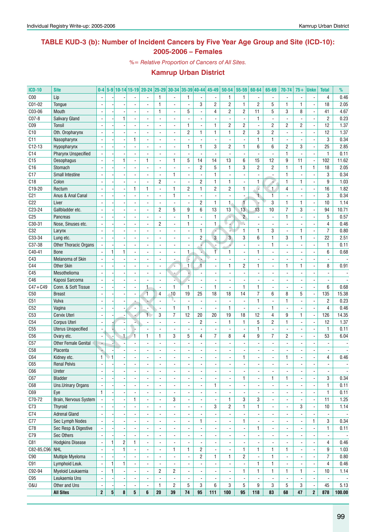## **TABLE KUD-3 (b): Number of Incident Cancers by Five Year Age Group and Site (ICD-10): 2005-2006 – Females**

*%= Relative Proportion of Cancers of All Sites.*

| <b>ICD-10</b>   | <b>Site</b>                            | $0-4$                    |          |                          |                          |                          |                          |                                    |                     |                          | 5-9   10-14   15-19   20-24   25-29   30-34   35-39   40-44   45-49 |                          | $50-54$ 55-59            | 60-64                    | 65-69                    | 70-74                    | $75+$                    | <b>Unkn</b>              | <b>Total</b>                  | %                        |
|-----------------|----------------------------------------|--------------------------|----------|--------------------------|--------------------------|--------------------------|--------------------------|------------------------------------|---------------------|--------------------------|---------------------------------------------------------------------|--------------------------|--------------------------|--------------------------|--------------------------|--------------------------|--------------------------|--------------------------|-------------------------------|--------------------------|
| C <sub>00</sub> | Lip                                    |                          |          |                          |                          |                          | $\mathbf{1}$             |                                    | $\mathbf{1}$        |                          |                                                                     | 1                        | $\mathbf{1}$             |                          |                          |                          |                          |                          | 4                             | 0.46                     |
| C01-02          | Tongue                                 | $\overline{a}$           |          |                          |                          | $\overline{a}$           | $\mathbf{1}$             | L.                                 | $\overline{a}$      | 3                        | $\overline{c}$                                                      | $\overline{c}$           | $\mathbf{1}$             | $\overline{2}$           | 5                        | $\mathbf{1}$             | 1                        | Ĭ.                       | 18                            | 2.05                     |
| C03-06          | Mouth                                  | $\overline{\phantom{a}}$ |          |                          | $\blacksquare$           | $\overline{\phantom{a}}$ | $\mathbf{1}$             | $\overline{\phantom{a}}$           | 5                   | $\overline{\phantom{a}}$ | $\overline{4}$                                                      | $\overline{c}$           | 2                        | 11                       | 5                        | 3                        | 8                        | ÷,                       | 41                            | 4.67                     |
| C07-8           | <b>Salivary Gland</b>                  | $\overline{\phantom{a}}$ |          | $\mathbf{1}$             | $\overline{\phantom{a}}$ | ÷.                       | $\blacksquare$           | $\blacksquare$                     | L,                  | $\blacksquare$           | ÷,                                                                  | ä,                       | $\blacksquare$           | $\mathbf{1}$             | $\overline{a}$           | $\frac{1}{2}$            |                          | ä,                       | $\overline{c}$                | 0.23                     |
| C <sub>09</sub> | Tonsil                                 |                          |          |                          |                          |                          |                          | $\overline{\phantom{a}}$           | $\mathbf{1}$        | $\overline{\phantom{a}}$ | 1                                                                   | $\overline{c}$           | $\overline{\mathbf{c}}$  |                          | $\overline{2}$           | $\overline{2}$           | 2                        | $\overline{\phantom{m}}$ | 12                            | 1.37                     |
| C10             | Oth. Oropharynx                        | $\blacksquare$           |          |                          |                          | ÷.                       | $\overline{a}$           | $\blacksquare$                     | $\overline{2}$      | $\mathbf{1}$             | $\mathbf{1}$                                                        | 1                        | $\overline{2}$           | 3                        | $\overline{2}$           | $\blacksquare$           | $\overline{a}$           | ÷,                       | 12                            | 1.37                     |
| C11             | Nasopharynx                            | $\blacksquare$           |          |                          | $\mathbf{1}$             | ÷.                       | $\overline{\phantom{a}}$ | $\overline{\phantom{a}}$           | ÷,                  | $\blacksquare$           | $\overline{a}$                                                      | $\overline{a}$           | ä,                       | $\mathbf{1}$             | $\mathbf{1}$             | $\blacksquare$           |                          | ÷,                       | 3                             | 0.34                     |
| $C12-13$        | Hypopharynx                            |                          |          |                          |                          |                          | $\blacksquare$           | $\blacksquare$                     | $\mathbf{1}$        | $\mathbf{1}$             | 3                                                                   | $\overline{c}$           | $\mathbf{1}$             | 6                        | 6                        | $\overline{c}$           | 3                        | l,                       | 25                            | 2.85                     |
| C <sub>14</sub> | <b>Pharynx Unspecified</b>             | $\blacksquare$           |          |                          |                          | $\overline{a}$           | ÷,                       | $\overline{a}$                     | ÷,                  | $\overline{\phantom{a}}$ |                                                                     | ä,                       | ä,                       |                          | $\overline{a}$           | $\mathbf{1}$             |                          | Ĭ.                       | $\mathbf{1}$                  | 0.11                     |
| C15             | <b>Oesophagus</b>                      | $\overline{\phantom{a}}$ |          | $\mathbf{1}$             | $\blacksquare$           | 1                        | $\blacksquare$           | 1                                  | 5                   | 14                       | 14                                                                  | 13                       | 6                        | 15                       | 12                       | 9                        | 11                       | $\overline{\phantom{a}}$ | 102                           | 11.62                    |
| C16             | Stomach                                |                          |          |                          |                          | $\overline{\phantom{0}}$ | $\blacksquare$           | $\overline{\phantom{a}}$           | $\overline{a}$      | $\overline{2}$           | 5                                                                   | $\mathbf{1}$             | 3                        | $\overline{2}$           | $\overline{2}$           | $\mathbf{1}$             | $\mathbf{1}$             | 1                        | 18                            | 2.05                     |
| C17             | Small Intestine                        |                          |          |                          |                          |                          |                          | 1                                  | $\overline{a}$      | $\overline{\phantom{a}}$ | $\mathbf{1}$                                                        |                          | $\blacksquare$           |                          |                          | $\mathbf{1}$             |                          | $\blacksquare$           | 3                             | 0.34                     |
| C18             | Colon                                  |                          |          |                          |                          | $\overline{\phantom{0}}$ | $\overline{c}$           | $\blacksquare$                     | $\overline{a}$      | $\overline{c}$           | $\mathbf{1}$                                                        | 1                        | $\Box$                   | 1                        |                          | $\mathbf{1}$             | 1                        | $\blacksquare$           | 9                             | 1.03                     |
| C19-20          | Rectum                                 | ÷,                       |          |                          | $\mathbf{1}$             | $\mathbf{1}$             | ÷,                       | 1                                  | $\overline{2}$      | $\mathbf{1}$             | $\overline{2}$                                                      | $\overline{c}$           | $\mathbf{1}$             | ē                        | $\mathbf{1}$             | $\overline{4}$           | $\blacksquare$           | ÷,                       | 16                            | 1.82                     |
| C <sub>21</sub> | Anus & Anal Canal                      |                          |          |                          |                          |                          | $\blacksquare$           | $\mathbf{1}$                       |                     | $\overline{\phantom{a}}$ |                                                                     |                          | $\blacksquare$           | $\blacksquare$           | 1                        | ä,                       |                          | ä,                       | 3                             | 0.34                     |
| C22             | Liver                                  | $\blacksquare$           |          |                          |                          | $\overline{\phantom{0}}$ | ä,                       | $\blacksquare$                     | L,                  | $\overline{c}$           | $\mathbf{1}$                                                        | $\mathbf{1}$             | 1                        |                          | 3                        | $\mathbf{1}$             | 1                        | ÷,                       | 10                            | 1.14                     |
| C23-24          | Gallbladder etc.                       | $\sim$                   |          |                          | $\overline{\phantom{a}}$ | $\overline{a}$           | 2                        | 5                                  | 9                   | 6                        | 13                                                                  | 13                       | 13                       | 13                       | 10                       | $\overline{7}$           | 3                        | ä,                       | 94                            | 10.71                    |
| C <sub>25</sub> | Pancreas                               | $\blacksquare$           |          |                          |                          | $\overline{\phantom{0}}$ | $\overline{\phantom{a}}$ | $\overline{\phantom{a}}$           | 1                   | $\overline{\phantom{a}}$ | $\mathbf{1}$                                                        | g.                       | $\overline{c}$           | $\overline{\phantom{a}}$ | $\blacksquare$           | $\mathbf{1}$             |                          | $\overline{\phantom{a}}$ | 5                             | 0.57                     |
| C30-31          | Nose, Sinuses etc.                     |                          |          |                          |                          |                          | $\overline{2}$           |                                    | $\mathbf{1}$        | ÷,                       | $\mathbf{1}$                                                        |                          | ù.                       |                          |                          | $\blacksquare$           |                          |                          | 4                             | 0.46                     |
| C32             | Larynx                                 | $\overline{\phantom{a}}$ |          |                          | $\overline{\phantom{a}}$ | $\overline{\phantom{0}}$ | $\overline{\phantom{a}}$ | $\blacksquare$                     | $\overline{a}$      | $\mathbf{1}$             | ۰.                                                                  |                          | $\mathbf{1}$             | $\mathbf{1}$             | 3                        | $\blacksquare$           | $\mathbf{1}$             | ÷,                       | $\overline{7}$                | 0.80                     |
| C33-34          | Lung etc.                              | $\overline{\phantom{a}}$ |          |                          |                          |                          | $\overline{a}$           | $\blacksquare$                     | ÷,                  | $\overline{c}$           | 3                                                                   | $\overline{3}$           | 3                        | 6                        | $\mathbf{1}$             | 3                        | $\mathbf{1}$             | ä,                       | 22                            | 2.51                     |
| C37-38          | Other Thoracic Organs                  |                          |          |                          |                          |                          |                          | $\overline{\phantom{a}}$           |                     | Ġ                        |                                                                     |                          | $\overline{\phantom{a}}$ |                          | 1                        | $\overline{\phantom{a}}$ |                          | $\overline{\phantom{a}}$ | $\mathbf{1}$                  | 0.11                     |
| C40-41          | <b>Bone</b>                            | $\mathbf{r}$             | 1        | $\mathbf{1}$             | $\overline{\phantom{a}}$ | $\overline{\phantom{0}}$ | $\blacksquare$           | $\blacksquare$                     | $\mathbf{1}$        | R                        | Ŧ                                                                   | 1                        | $\Box$                   | $\mathbf{1}$             | $\overline{a}$           | $\overline{\phantom{a}}$ |                          | ä,                       | 6                             | 0.68                     |
| C43             | Melanoma of Skin                       | $\overline{\phantom{a}}$ |          |                          | $\blacksquare$           | ÷.                       | $\overline{\phantom{a}}$ | $\blacksquare$                     | Ĩ,                  | b.                       |                                                                     | $\blacksquare$           | $\blacksquare$           | $\overline{\phantom{a}}$ | $\blacksquare$           | $\frac{1}{2}$            | $\overline{a}$           | ÷,                       | $\blacksquare$                | $\overline{\phantom{a}}$ |
| C44             | <b>Other Skin</b>                      |                          |          |                          |                          | $\overline{\phantom{0}}$ | $\blacksquare$           | ÷                                  | $\mathbf{1}$        | 4                        | $\blacksquare$                                                      | 1                        | 2                        | 1                        |                          | $\mathbf{1}$             | 1                        | $\overline{\phantom{a}}$ | 8                             | 0.91                     |
| C45             | Mesothelioma                           | $\blacksquare$           |          |                          |                          | ÷.                       | ÷,                       |                                    |                     | $\blacksquare$           |                                                                     |                          | $\sim$                   | $\blacksquare$           |                          | $\blacksquare$           | ÷,                       | $\overline{a}$           | $\blacksquare$                |                          |
| C46             | Kaposi Sarcoma                         | $\overline{\phantom{a}}$ |          |                          | $\overline{\phantom{a}}$ | $\overline{a}$           | $\overline{\phantom{a}}$ | à.                                 |                     | $\overline{\phantom{a}}$ |                                                                     |                          | $\blacksquare$           |                          |                          | $\blacksquare$           |                          | $\overline{\phantom{a}}$ |                               |                          |
| $C47 + C49$     | Conn. & Soft Tissue                    |                          |          |                          |                          | $\mathbf{1}$             |                          | $\mathbf{1}$                       | $\mathbf{1}$        | $\overline{a}$           | $\mathbf{1}$                                                        |                          | $\mathbf{1}$             | $\mathbf{1}$             |                          | ä,                       |                          | $\overline{a}$           | 6                             | 0.68                     |
| C50             | <b>Breast</b>                          |                          |          |                          |                          | $\mathbf{1}$             | 4                        | $-10$                              | 19                  | 25                       | 18                                                                  | 18                       | 14                       | $\overline{7}$           | 6                        | 8                        | 5                        | l,                       | 135                           | 15.38                    |
| C51             | Vulva                                  | $\overline{\phantom{a}}$ |          |                          |                          |                          | $\overline{a}$           | ι.                                 | ÷,                  | $\blacksquare$           | ä,                                                                  | ä,                       | $\Box$                   | $\mathbf{1}$             | $\blacksquare$           | $\mathbf{1}$             | $\overline{a}$           | Ĭ.                       | $\overline{c}$                | 0.23                     |
| C52             | Vagina                                 | $\overline{\phantom{a}}$ |          |                          | $\blacksquare$           | ÷.                       | $\blacksquare$           | 1                                  | $\mathbf{1}$        | $\overline{\phantom{a}}$ | $\blacksquare$                                                      | $\mathbf{1}$             | $\blacksquare$           | $\overline{\phantom{a}}$ | $\mathbf{1}$             | $\frac{1}{2}$            | $\overline{a}$           | ä,                       | 4                             | 0.46                     |
| C53             | Cervix Uteri                           |                          |          |                          |                          | $\mathbf 1$              | 3                        | $\overline{7}$                     | 12                  | 20                       | 20                                                                  | 19                       | 18                       | 12                       | $\overline{4}$           | 9                        | 1                        | $\overline{\phantom{a}}$ | 126                           | 14.35                    |
| C54             | Corpus Uteri                           | $\blacksquare$           |          |                          |                          | ۰.                       | $\overline{a}$           | $\blacksquare$                     | ÷,                  | $\overline{c}$           | $\blacksquare$                                                      | $\mathbf{1}$             | 1                        | 5                        | $\overline{2}$           | $\mathbf{1}$             | $\overline{\phantom{a}}$ | ÷,                       | 12                            | 1.37                     |
| C55             | <b>Uterus Unspecified</b>              | $\overline{\phantom{a}}$ |          | $\overline{\phantom{a}}$ |                          | $\overline{a}$           | $\blacksquare$           | $\blacksquare$                     |                     | $\overline{\phantom{a}}$ |                                                                     |                          | $\blacksquare$           | $\mathbf{1}$             | $\overline{a}$           | $\overline{a}$           | $\blacksquare$           | ÷,                       | $\mathbf{1}$                  | 0.11                     |
| C56             | Ovary etc.                             | $\overline{\phantom{a}}$ |          | $\mathbf{1}$             | $\mathbf{1}$             | 1                        | 1                        | 3                                  | 5                   | 4                        | $\overline{7}$                                                      | 8                        | 4                        | 9                        | $\overline{7}$           | $\overline{2}$           |                          | ÷,                       | 53                            | 6.04                     |
| C57             | <b>Other Female Genital</b>            | $\overline{\phantom{a}}$ |          |                          |                          |                          |                          | L.                                 |                     | $\overline{\phantom{a}}$ |                                                                     |                          | ÷,                       |                          |                          |                          |                          |                          |                               |                          |
| C <sub>58</sub> | Placenta                               | ٠                        |          |                          | $\blacksquare$           | $\overline{\phantom{0}}$ | $\overline{\phantom{a}}$ | $\overline{\phantom{a}}$           | $\blacksquare$      | $\overline{\phantom{a}}$ | ٠                                                                   |                          | $\overline{\phantom{a}}$ | $\overline{\phantom{a}}$ | $\blacksquare$           | $\blacksquare$           | $\blacksquare$           | $\blacksquare$           | $\overline{\phantom{a}}$      | $\overline{\phantom{a}}$ |
| C64             | Kidney etc.                            | $\mathbf{1}$             | 1        |                          |                          | $\overline{a}$           |                          | $\blacksquare$                     | $\overline{a}$      | $\overline{\phantom{a}}$ | ä,                                                                  |                          | 1                        | ä,                       |                          | 1                        |                          | ÷,                       | 4                             | 0.46                     |
| C65             | <b>Renal Pelvis</b>                    |                          |          |                          |                          |                          |                          | $\overline{a}$                     |                     | $\frac{1}{2}$            | $\overline{\phantom{a}}$                                            |                          | $\blacksquare$           |                          |                          |                          |                          |                          | $\overline{\phantom{a}}$      |                          |
| C66             | Ureter                                 | $\overline{\phantom{a}}$ |          |                          |                          | $\overline{\phantom{a}}$ | $\overline{\phantom{a}}$ | $\overline{\phantom{a}}$           |                     |                          | $\overline{\phantom{a}}$                                            | $\frac{1}{2}$            | $\overline{\phantom{a}}$ | $\overline{\phantom{a}}$ | $\overline{\phantom{a}}$ | $\overline{\phantom{a}}$ | $\overline{\phantom{a}}$ |                          |                               |                          |
| C67             | Bladder                                |                          |          |                          |                          | $\overline{\phantom{0}}$ | ä,                       | $\blacksquare$                     | -<br>$\overline{a}$ | $\blacksquare$           |                                                                     | $\blacksquare$           | $\mathbf{1}$             | $\blacksquare$           | $\mathbf{1}$             | $\mathbf{1}$             |                          | ٠<br>÷,                  | $\overline{\phantom{a}}$<br>3 | 0.34                     |
| C68             | <b>Uns.Urinary Organs</b>              |                          |          |                          |                          |                          |                          |                                    |                     | $\overline{\phantom{a}}$ | $\mathbf{1}$                                                        |                          | ÷,                       |                          |                          | $\overline{\phantom{a}}$ |                          | $\overline{\phantom{a}}$ | $\mathbf{1}$                  | 0.11                     |
| C69             | Eye                                    | $\mathbf{1}$             |          |                          | $\overline{\phantom{a}}$ | $\overline{a}$           | $\overline{\phantom{a}}$ | $\overline{\phantom{a}}$<br>$\Box$ |                     | $\overline{\phantom{a}}$ | ÷,                                                                  | ÷,                       | $\Box$                   | $\overline{\phantom{a}}$ | $\blacksquare$           | $\blacksquare$           |                          | $\overline{a}$           | $\mathbf{1}$                  | 0.11                     |
| C70-72          | Brain, Nervous System                  | $\Box$                   |          |                          | 1                        |                          | $\overline{\phantom{a}}$ | 3                                  | $\overline{a}$      |                          |                                                                     | $\mathbf{1}$             | 3                        | 3                        | $\blacksquare$           |                          |                          | $\overline{a}$           | 11                            | 1.25                     |
| C73             |                                        | $\blacksquare$           |          |                          |                          | $\blacksquare$           |                          |                                    |                     | $\overline{\phantom{a}}$ | $\blacksquare$                                                      |                          |                          |                          |                          | $\overline{\phantom{a}}$ |                          |                          | 10                            |                          |
|                 | <b>Thyroid</b><br><b>Adrenal Gland</b> |                          |          | $\blacksquare$           | $\overline{\phantom{a}}$ | ۰.                       | $\blacksquare$           | ÷,                                 | $\frac{1}{2}$       | $\blacksquare$           | 3                                                                   | $\overline{c}$           | 1                        | $\mathbf{1}$             | $\overline{\phantom{a}}$ | $\overline{\phantom{a}}$ | 3                        | $\blacksquare$           |                               | 1.14                     |
| C74             |                                        | $\overline{\phantom{a}}$ |          |                          | $\overline{\phantom{a}}$ | $\overline{\phantom{0}}$ | $\overline{\phantom{a}}$ | $\overline{\phantom{a}}$           | $\frac{1}{2}$       | $\overline{\phantom{a}}$ | $\blacksquare$                                                      | $\overline{\phantom{a}}$ | $\overline{\phantom{a}}$ | $\overline{\phantom{a}}$ | $\overline{\phantom{a}}$ | $\overline{\phantom{a}}$ |                          | $\overline{\phantom{a}}$ | $\overline{\phantom{a}}$      | $\overline{\phantom{a}}$ |
| C77             | Sec Lymph Nodes                        |                          |          |                          | $\overline{\phantom{a}}$ |                          |                          | $\overline{\phantom{a}}$           | -                   | 1                        | $\overline{\phantom{a}}$                                            | $\overline{\phantom{m}}$ | 1                        |                          | $\overline{\phantom{a}}$ |                          |                          | $\mathbf{1}$             | 3                             | 0.34                     |
| C78             | Sec Resp & Digestive                   |                          |          |                          |                          | $\overline{\phantom{0}}$ | $\blacksquare$           | $\blacksquare$                     |                     | $\overline{\phantom{a}}$ |                                                                     |                          | $\overline{\phantom{a}}$ | 1                        | $\overline{\phantom{a}}$ | $\blacksquare$           |                          | ÷,                       | $\mathbf{1}$                  | 0.11                     |
| C79             | Sec Others                             |                          |          |                          |                          |                          | $\blacksquare$           | $\blacksquare$                     |                     | $\overline{\phantom{a}}$ |                                                                     |                          | $\blacksquare$           |                          | $\blacksquare$           | $\overline{\phantom{a}}$ |                          | $\blacksquare$           | $\overline{\phantom{a}}$      | $\overline{\phantom{a}}$ |
| C81             | <b>Hodgkins Disease</b>                | $\blacksquare$           | 1        | $\sqrt{2}$               | $\mathbf{1}$             |                          |                          |                                    |                     | $\overline{\phantom{a}}$ |                                                                     |                          |                          |                          |                          |                          |                          | $\blacksquare$           | $\overline{4}$                | 0.46                     |
| C82-85, C96 NHL |                                        |                          |          | $\mathbf{1}$             |                          |                          | $\overline{\phantom{a}}$ | 1                                  | 1                   | $\overline{\mathbf{c}}$  |                                                                     |                          | 1                        | $\mathbf{1}$             | $\mathbf{1}$             | $\mathbf{1}$             |                          |                          | 9                             | 1.03                     |
| C90             | Multiple Myeloma                       | $\Box$                   |          |                          | $\blacksquare$           | ÷.                       | $\blacksquare$           | $\mathbb{Z}^2$                     | ÷,                  | $\overline{c}$           | $\mathbf{1}$                                                        | 1                        | $\overline{2}$           | $\blacksquare$           | $\mathbf{1}$             | $\blacksquare$           |                          | ÷,                       | $\overline{7}$                | 0.80                     |
| C91             | Lymphoid Leuk.                         | $\Box$                   | 1        | $\mathbf{1}$             | $\overline{\phantom{a}}$ | $\overline{\phantom{a}}$ | $\overline{\phantom{a}}$ | $\overline{\phantom{a}}$           | $\overline{a}$      | $\blacksquare$           | ä,                                                                  | $\overline{\phantom{a}}$ | $\Box$                   | $\mathbf{1}$             | 1                        | ÷,                       | $\blacksquare$           | ä,                       | $\overline{4}$                | 0.46                     |
| C92-94          | Myeloid Leukaemia                      | $\blacksquare$           | 1        | $\blacksquare$           | $\overline{\phantom{a}}$ | $\overline{\phantom{a}}$ | $\overline{2}$           | $\overline{2}$                     | $\blacksquare$      | $\overline{\phantom{a}}$ | $\blacksquare$                                                      | $\overline{\phantom{a}}$ | 1                        | $\mathbf{1}$             | 1                        | $\mathbf{1}$             | 1                        | $\overline{\phantom{a}}$ | 10                            | 1.14                     |
| C95             | Leukaemia Uns                          | $\overline{\phantom{a}}$ |          | $\overline{a}$           | $\overline{\phantom{a}}$ | ۰                        | $\overline{\phantom{a}}$ | $\overline{\phantom{a}}$           | -                   | $\overline{\phantom{a}}$ | $\overline{\phantom{a}}$                                            | $\overline{\phantom{a}}$ | $\overline{\phantom{a}}$ | $\overline{\phantom{a}}$ | $\blacksquare$           | $\overline{\phantom{a}}$ |                          | $\overline{\phantom{a}}$ | $\overline{\phantom{a}}$      | $\overline{\phantom{a}}$ |
| 0&U             | Other and Uns                          | $\blacksquare$           |          |                          | $\overline{a}$           | $\overline{a}$           | $\mathbf{1}$             | $\overline{2}$                     | 5                   | 3                        | 6                                                                   | 3                        | 5                        | 9                        | 3                        | 5                        | 3                        | $\blacksquare$           | 45                            | 5.13                     |
|                 | <b>All Sites</b>                       | $\mathbf{2}$             | $5\vert$ | 8                        | 5                        | 6                        | 20                       | 39                                 | 74                  | 95                       | 111                                                                 | 100                      | 95                       | 118                      | 83                       | 68                       | 47                       | $\boldsymbol{2}$         | 878                           | 100.00                   |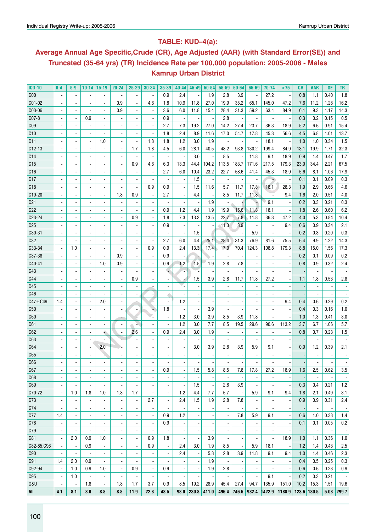## **Table: KUD–4(a):**

# **Average Annual Age Specific,Crude (CR), Age Adjusted (AAR) (with Standard Error(SE)) and Truncated (35-64 yrs) (TR) Incidence Rate per 100,000 population: 2005-2006 - Males Kamrup Urban District**

| <b>ICD-10</b>      | $0-4$                    | $5-9$                    | $10-14$   15-19          |                          | $20 - 24$                | $25 - 29$                | 30-34                    | 35-39                    | 40-44                    | 45-49         | $50 - 54$  | 55-59                    | 60-64 | 65-69                    | 70-74  | >75    | CR          | AAR                             | <b>SE</b>                        | TR                              |
|--------------------|--------------------------|--------------------------|--------------------------|--------------------------|--------------------------|--------------------------|--------------------------|--------------------------|--------------------------|---------------|------------|--------------------------|-------|--------------------------|--------|--------|-------------|---------------------------------|----------------------------------|---------------------------------|
| C <sub>00</sub>    |                          |                          |                          |                          |                          |                          | $\blacksquare$           | 0.9                      | 2.4                      |               | 1.9        | 2.8                      | 3.9   | $\blacksquare$           | 27.2   |        | 0.8         | 1.1                             | 0.40                             | 1.8                             |
| C01-02             |                          |                          |                          |                          | 0.9                      |                          | 4.6                      | 1.8                      | 10.9                     | 11.8          | 27.0       | 19.9                     | 35.2  | 65.1                     | 145.0  | 47.2   | 7.6         | 11.2                            | 1.28                             | 16.2                            |
| C03-06             |                          |                          |                          |                          | 0.9                      |                          | $\overline{\phantom{a}}$ | 3.6                      | 6.0                      | 11.8          | 15.4       | 28.4                     | 31.3  | 59.2                     | 63.4   | 84.9   | 6.1         | 9.3                             | 1.17                             | 14.3                            |
| C07-8              |                          |                          | 0.9                      |                          |                          |                          | ÷,                       | 0.9                      |                          |               |            | 2.8                      |       | $\blacksquare$           |        |        | 0.3         | 0.2                             | 0.15                             | 0.5                             |
| C <sub>09</sub>    |                          |                          |                          | ä,                       |                          |                          |                          | 2.7                      | 7.3                      | 19.2          | 27.0       | 14.2                     | 27.4  | 23.7                     | 36.3   | 18.9   | 5.2         | 6.6                             | 0.91                             | 15.4                            |
| C10                |                          |                          |                          |                          |                          |                          |                          | 1.8                      | 2.4                      | 8.9           | 11.6       | 17.0                     | 54.7  | 17.8                     | 45.3   | 56.6   | 4.5         | 6.8                             | 1.01                             | 13.7                            |
| C <sub>11</sub>    |                          |                          |                          | 1.0                      |                          |                          | 1.8                      | 1.8                      | 1.2                      | 3.0           | 1.9        | $\overline{\phantom{a}}$ |       |                          | 18.1   |        | 1.0         | 1.0                             | 0.34                             | 1.5                             |
| $C12-13$           |                          |                          |                          |                          |                          | 1.7                      | 1.8                      | 4.5                      | 6.0                      | 28.1          | 40.5       | 48.2                     | 93.8  | 130.2                    | 199.4  | 84.9   | 13.1        | 19.9                            | 1.71                             | 32.3                            |
| C14                |                          |                          |                          | ۰                        |                          | $\overline{\phantom{a}}$ | $\overline{\phantom{a}}$ |                          |                          | 3.0           |            | 8.5                      |       | 11.8                     | 9.1    | 18.9   | 0.9         | 1.4                             | 0.47                             | 1.7                             |
| C <sub>15</sub>    |                          |                          |                          | $\overline{\phantom{a}}$ |                          | 0.9                      | 4.6                      | 6.3                      | 13.3                     | 44.4          | 104.2      | 113.5                    | 183.7 | 171.6                    | 217.5  | 179.3  | 23.9        | 34.4                            | 2.21                             | 67.5                            |
| C16                |                          |                          | $\overline{\phantom{a}}$ | $\overline{\phantom{a}}$ | $\overline{\phantom{a}}$ | $\overline{\phantom{a}}$ | $\overline{\phantom{a}}$ | 2.7                      | 6.0                      | 10.4          | 23.2       | 22.7                     | 58.6  | 41.4                     | 45.3   | 18.9   | 5.6         | 8.1                             | 1.06                             | 17.9                            |
| C17                |                          |                          | $\overline{a}$           | $\overline{\phantom{a}}$ | $\overline{a}$           | $\overline{a}$           | ä,                       |                          |                          | 1.5           |            | $\overline{\phantom{a}}$ |       | $\overline{\phantom{a}}$ | ÷      |        | 0.1         | 0.1                             | 0.09                             | 0.3                             |
| C18                |                          |                          | $\overline{a}$           | $\overline{\phantom{a}}$ | $\overline{a}$           | $\overline{a}$           | 0.9                      | 0.9                      |                          | 1.5           | 11.6       | 5.7                      | 11.7  | 17.8                     | 18.1   | 28.3   | 1.9         | 2.9                             | 0.66                             | 4.6                             |
| C19-20             |                          |                          |                          | $\frac{1}{2}$            | 1.8                      | 0.9                      | $\overline{\phantom{a}}$ | 2.7                      |                          | 4.4           |            | 8.5                      | 11.7  | 11.8                     |        | 9.4    | 1.6         | 2.0                             | 0.51                             | 4.0                             |
| C <sub>21</sub>    |                          |                          | $\blacksquare$           | $\overline{\phantom{0}}$ | $\blacksquare$           |                          | $\blacksquare$           |                          |                          |               | 1.9        |                          |       | ٠                        | 9.1    |        | 0.2         | 0.3                             | 0.21                             | 0.3                             |
| C <sub>22</sub>    |                          |                          | $\blacksquare$           | $\overline{\phantom{0}}$ |                          |                          | $\blacksquare$           | 0.9                      | 1.2                      | 4.4           | 1.9        | 19.9                     | 15.6  | 11.8                     | 18.1   |        | 1.8         | 2.6                             | 0.60                             | 6.2                             |
| C23-24             |                          |                          | $\blacksquare$           | $\overline{\phantom{0}}$ | $\overline{\phantom{a}}$ | 0.9                      | $\blacksquare$           | 1.8                      | 7.3                      | 13.3          | 13.5       | 22.7                     | 7.8   | 11.8                     | 36.3   | 47.2   | 4.0         | 5.3                             | 0.84                             | 10.4                            |
| C <sub>25</sub>    |                          |                          | $\overline{a}$           | ٠                        | $\overline{a}$           |                          | $\blacksquare$           | 0.9                      | $\overline{\phantom{a}}$ |               |            | $-11.3$                  | 3.9   | $\overline{\phantom{a}}$ |        | 9.4    | 0.6         | 0.9                             | 0.34                             | 2.1                             |
| C30-31             |                          | $\blacksquare$           | $\overline{a}$           | ٠                        | $\overline{a}$           |                          | $\overline{a}$           |                          |                          | 1.5           |            |                          |       | 5.9                      |        |        | 0.2         | 0.3                             | 0.20                             | 0.3                             |
| C32                |                          |                          | $\overline{\phantom{a}}$ | ٠                        | $\overline{a}$           |                          | $\blacksquare$           | 2.7                      | 6.0                      | 4.4           | 25.1       | 28.4                     | 31.3  | 76.9                     | 81.6   | 75.5   | 6.4         | 9.9                             | 1.22                             | 14.3                            |
| C33-34             |                          | 1.0                      | $\blacksquare$           | ٠                        |                          | $\overline{a}$           | 0.9                      | 0.9                      | 2.4                      | 13.3          | 17.4       | 17.0                     | 70.4  | 124.3                    | 108.8  | 179.3  | 8.8         | 15.0                            | 1.56                             | 17.3                            |
| C37-38             |                          |                          |                          |                          | 0.9                      |                          | $\blacksquare$           | 0.9                      |                          |               |            |                          |       |                          |        |        | 0.2         | 0.1                             | 0.09                             | 0.2                             |
| C40-41             |                          |                          | $\overline{\phantom{a}}$ | 1.0                      | 0.9                      |                          | $\blacksquare$           | 0.9                      | 1.2                      | 1.5           | 1.9        | 2.8                      | 7.8   |                          |        |        | 0.8         | 0.9                             | 0.32                             | 2.4                             |
| C43                |                          |                          |                          | ٠                        |                          |                          |                          |                          |                          |               |            |                          |       |                          |        |        |             |                                 |                                  |                                 |
| C44                |                          |                          | $\overline{\phantom{a}}$ | $\overline{a}$           | $\overline{a}$           | 0.9                      |                          |                          |                          | 1.5           | 3.9        | 2.8                      | 11.7  | 11.8                     | 27.2   |        | 1.1         | 1.8                             | 0.53                             | 2.8                             |
| C45                |                          |                          | $\overline{\phantom{a}}$ | $\overline{a}$           | $\overline{\phantom{a}}$ |                          |                          |                          |                          |               |            |                          |       |                          |        |        |             | $\overline{a}$                  |                                  |                                 |
| C46                |                          |                          | $\overline{\phantom{a}}$ | $\overline{a}$           | $\overline{\phantom{a}}$ | $\overline{a}$           |                          |                          |                          |               |            |                          |       |                          |        |        |             |                                 |                                  |                                 |
|                    |                          |                          | $\overline{\phantom{a}}$ |                          | $\overline{a}$           |                          |                          |                          | 1.2                      |               |            |                          |       |                          |        | 9.4    | 0.4         | 0.6                             | 0.29                             | 0.2                             |
| $C47 + C49$<br>C50 | 1.4                      |                          | $\overline{\phantom{a}}$ | 2.0<br>ä,                | $\blacksquare$           | $\blacksquare$           |                          | 1.8                      |                          |               | 3.9        |                          |       |                          |        |        | 0.4         | 0.3                             | 0.16                             | 1.0                             |
| C60                |                          |                          | $\overline{\phantom{a}}$ | ä,                       |                          |                          |                          | $\blacksquare$           | 1.2                      | 3.0           | 3.9        | 8.5                      | 3.9   | 11.8                     |        |        | 1.0         | 1.3                             | 0.41                             | 3.0                             |
| C61                |                          |                          | $\overline{\phantom{a}}$ | $\overline{\phantom{0}}$ | $\sim$                   |                          | $\overline{a}$           | $\overline{\phantom{a}}$ | 1.2                      | 3.0           | 7.7        | 8.5                      | 19.5  | 29.6                     | 90.6   | 113.2  | 3.7         | 6.7                             | 1.06                             | 5.7                             |
| C62                |                          |                          | $\overline{\phantom{a}}$ | ÷                        | $\blacksquare$           | 2.6                      |                          | 0.9                      | 2.4                      | 3.0           | 1.9        | $\blacksquare$           |       | $\blacksquare$           |        |        | 0.8         | 0.7                             | 0.23                             | 1.5                             |
| C63                |                          |                          |                          |                          |                          |                          |                          | $\blacksquare$           |                          |               |            |                          |       |                          |        |        |             |                                 |                                  |                                 |
| C64                |                          |                          | $\overline{\phantom{a}}$ | 2.0                      |                          |                          |                          |                          |                          | 3.0           | 3.9        | 2.8                      | 3.9   | 5.9                      | 9.1    |        | 0.9         | 1.2                             | 0.39                             | 2.1                             |
| C65                |                          |                          |                          | ٠                        |                          |                          |                          |                          |                          |               |            |                          |       |                          |        |        |             |                                 |                                  |                                 |
| C66                |                          |                          |                          |                          |                          |                          |                          |                          |                          |               |            |                          |       |                          |        |        |             |                                 |                                  |                                 |
| C67                |                          |                          | $\overline{\phantom{a}}$ |                          |                          |                          |                          |                          |                          |               | 5.8        | 8.5                      | 7.8   | 17.8                     | 27.2   |        |             | 2.5                             | 0.62                             | 3.5                             |
| C68                | $\blacksquare$           |                          | $\overline{\phantom{a}}$ | $\overline{\phantom{a}}$ | $\overline{a}$           | $\overline{a}$           | $\blacksquare$           | 0.9                      |                          | 1.5           |            |                          |       | $\blacksquare$           |        | 18.9   | 1.6         | $\overline{\phantom{a}}$        |                                  | $\overline{\phantom{a}}$        |
| C69                |                          |                          | $\blacksquare$           | $\overline{\phantom{a}}$ | $\blacksquare$           | ÷,                       | $\blacksquare$           | $\blacksquare$           |                          | 1.5           |            | 2.8                      | 3.9   | $\overline{\phantom{a}}$ |        |        | 0.3         | 0.4                             | 0.21                             | 1.2                             |
| C70-72             | $\overline{\phantom{a}}$ | 1.0                      | 1.8                      | 1.0                      | 1.8                      | 1.7                      | $\overline{\phantom{a}}$ | $\overline{\phantom{a}}$ | 1.2                      | 4.4           | 7.7        | 5.7                      |       | 5.9                      | 9.1    | 9.4    | 1.8         | 2.1                             | 0.49                             | 3.1                             |
| C <sub>73</sub>    | $\overline{\phantom{a}}$ |                          | $\blacksquare$           | $\overline{\phantom{a}}$ | $\overline{\phantom{a}}$ | $\overline{a}$           | 2.7                      |                          | 2.4                      | 1.5           | 1.9        | 2.8                      | 7.8   |                          |        |        | 0.9         | 0.9                             | 0.31                             | $2.4\,$                         |
| C74                |                          |                          | $\overline{\phantom{a}}$ | $\overline{\phantom{a}}$ |                          |                          |                          |                          |                          |               |            |                          |       | $\overline{\phantom{a}}$ |        |        |             | $\overline{\phantom{a}}$        |                                  |                                 |
| C77                | 1.4                      |                          | $\blacksquare$           |                          |                          |                          | $\blacksquare$           | 0.9                      | 1.2                      |               |            | $\blacksquare$           | 7.8   | 5.9                      | 9.1    |        | 0.6         | 1.0                             | $\overline{\phantom{a}}$<br>0.38 | $\overline{\phantom{a}}$<br>1.4 |
|                    |                          |                          |                          | $\frac{1}{2}$            |                          |                          |                          | 0.9                      |                          |               |            |                          |       |                          |        |        |             |                                 |                                  |                                 |
| C78                |                          |                          | $\overline{\phantom{a}}$ | $\overline{\phantom{a}}$ |                          |                          |                          |                          |                          |               |            | $\overline{a}$           |       |                          |        |        | 0.1         | 0.1<br>$\overline{\phantom{a}}$ | 0.05                             | 0.2                             |
| C79                |                          |                          | $\overline{a}$           | $\overline{\phantom{a}}$ | $\overline{\phantom{a}}$ | $\overline{a}$           | $\overline{\phantom{a}}$ |                          |                          |               |            | $\overline{a}$           |       |                          |        |        |             |                                 | $\overline{\phantom{a}}$         | $\overline{\phantom{a}}$        |
| C81                | $\overline{\phantom{a}}$ | 2.0                      | 0.9<br>0.9               | 1.0                      | $\overline{\phantom{a}}$ | ä,                       | 0.9<br>0.9               | 1.8                      |                          |               | 3.9        | 8.5                      |       | $\blacksquare$<br>5.9    |        | 18.9   | 1.0         | 1.1<br>1.4                      | 0.36<br>0.43                     | 1.0                             |
| C82-85,C96         |                          | $\overline{\phantom{a}}$ |                          | $\overline{\phantom{a}}$ | $\overline{\phantom{a}}$ |                          |                          | $\overline{\phantom{a}}$ | 2.4                      | 3.0           | 1.9<br>5.8 | 2.8                      |       |                          | 18.1   |        | 1.2         | 1.4                             | 0.46                             | 2.5                             |
| C90                |                          | ä,<br>2.0                | 0.9                      | $\overline{\phantom{a}}$ | $\overline{\phantom{a}}$ |                          | $\blacksquare$           | $\blacksquare$           | 2.4                      |               | 1.9        |                          | 3.9   | 11.8                     | 9.1    | 9.4    | 1.0         | 0.5                             | 0.25                             | 2.3                             |
| C91                | 1.4                      |                          |                          | $\overline{\phantom{0}}$ | $\overline{\phantom{a}}$ |                          | $\blacksquare$           |                          |                          |               |            |                          |       |                          |        |        | 0.4         |                                 |                                  | 0.3                             |
| C92-94             | $\overline{\phantom{a}}$ | 1.0                      | 0.9                      | 1.0                      | $\blacksquare$           | 0.9                      | $\blacksquare$           | 0.9                      |                          |               | 1.9        | 2.8                      |       |                          |        |        | 0.6         | 0.6                             | 0.23                             | 0.9                             |
| C95                | $\overline{\phantom{a}}$ | 1.0                      | $\blacksquare$           | $\overline{\phantom{a}}$ | $\overline{\phantom{a}}$ | ÷,                       | $\blacksquare$           |                          |                          |               |            | $\overline{\phantom{a}}$ |       | $\blacksquare$           | 9.1    |        | 0.2         | 0.3                             | 0.21                             | $\overline{\phantom{a}}$        |
| <b>0&amp;U</b>     |                          |                          | 1.8                      | $\overline{\phantom{a}}$ | 1.8                      | 1.7                      | 3.7                      | 0.9                      | 8.5                      | 19.2          | 28.9       | 45.4                     | 27.4  | 94.7                     | 135.9  | 151.0  | 10.2        | 15.3                            | 1.51                             | 19.6                            |
| All                | 4.1                      | 8.1                      | 8.0                      | 8.8                      | 8.8                      | 11.9                     | 22.8                     | 48.5                     | 98.0                     | $230.8$ 411.0 |            | 496.4                    |       | 746.6 982.4              | 1422.9 | 1188.9 | 123.6 180.5 |                                 |                                  | $5.08$ 299.7                    |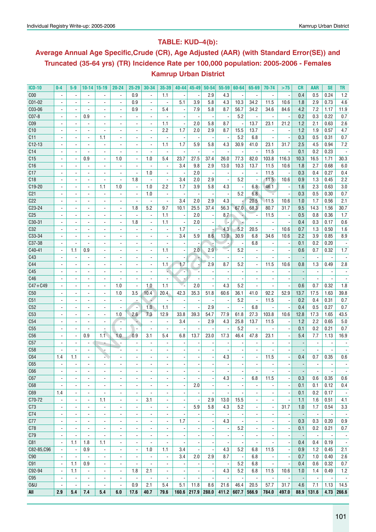# **Table: KUD–4(b):**

# **Average Annual Age Specific,Crude (CR), Age Adjusted (AAR) (with Standard Error(SE)) and Truncated (35-64 yrs) (TR) Incidence Rate per 100,000 population: 2005-2006 - Females Kamrup Urban District**

| <b>ICD-10</b>   | $0-4$                    | $5-9$                                      | 10-14                                      | $ 15-19$                        | 20-24                    | $25 - 29$                                            | 30-34                           | 35-39                                                | $40 - 44$                                            | $45 - 49$                | $50 - 54$                       | $55 - 59$                | $60 - 64$                | 65-69                           | 70-74                        | >75                                                  | CR                       | AAR                      | <b>SE</b>                        | TR                              |
|-----------------|--------------------------|--------------------------------------------|--------------------------------------------|---------------------------------|--------------------------|------------------------------------------------------|---------------------------------|------------------------------------------------------|------------------------------------------------------|--------------------------|---------------------------------|--------------------------|--------------------------|---------------------------------|------------------------------|------------------------------------------------------|--------------------------|--------------------------|----------------------------------|---------------------------------|
| C <sub>00</sub> |                          |                                            |                                            |                                 |                          | 0.9                                                  | $\overline{a}$                  | 1.1                                                  |                                                      |                          | 2.9                             | 4.3                      |                          |                                 |                              |                                                      | 0.4                      | 0.5                      | 0.24                             | 1.2                             |
| C01-02          | $\blacksquare$           | $\blacksquare$                             | $\overline{\phantom{a}}$                   | $\overline{\phantom{a}}$        | $\overline{\phantom{a}}$ | 0.9                                                  | $\overline{\phantom{a}}$        | $\overline{\phantom{a}}$                             | 5.1                                                  | 3.9                      | 5.8                             | 4.3                      | 10.3                     | 34.2                            | 11.5                         | 10.6                                                 | 1.8                      | 2.9                      | 0.73                             | 4.6                             |
| C03-06          | $\overline{\phantom{a}}$ | $\blacksquare$                             | $\overline{\phantom{a}}$                   | $\overline{\phantom{a}}$        | $\overline{\phantom{a}}$ | 0.9                                                  | $\overline{\phantom{a}}$        | 5.4                                                  | $\overline{\phantom{a}}$                             | 7.9                      | 5.8                             | 8.7                      | 56.7                     | 34.2                            | 34.6                         | 84.6                                                 | 4.2                      | 7.2                      | 1.17                             | 11.9                            |
| C07-8           |                          | $\overline{\phantom{a}}$                   | 0.9                                        | $\overline{\phantom{a}}$        |                          | ٠                                                    | $\overline{\phantom{a}}$        | $\blacksquare$                                       | $\overline{\phantom{a}}$                             |                          | $\overline{a}$                  |                          | 5.2                      | $\blacksquare$                  | $\blacksquare$               |                                                      | 0.2                      | 0.3                      | 0.22                             | 0.7                             |
| C <sub>09</sub> |                          |                                            | $\blacksquare$                             | $\blacksquare$                  |                          |                                                      |                                 | 1.1                                                  | $\overline{\phantom{a}}$                             | 2.0                      | 5.8                             | 8.7                      |                          | 13.7                            | 23.1                         | 21.2                                                 | 1.2                      | 2.1                      | 0.63                             | 2.6                             |
| C10             |                          | $\blacksquare$                             | $\blacksquare$                             | $\blacksquare$                  | ٠                        |                                                      | $\blacksquare$                  | 2.2                                                  | 1.7                                                  | 2.0                      | 2.9                             | 8.7                      | 15.5                     | 13.7                            | $\blacksquare$               | $\overline{\phantom{a}}$                             | 1.2                      | 1.9                      | 0.57                             | 4.7                             |
| C11             |                          |                                            | $\blacksquare$                             | 1.1                             | $\frac{1}{2}$            |                                                      | $\blacksquare$                  | $\overline{\phantom{a}}$                             | $\overline{\phantom{a}}$                             |                          |                                 |                          | 5.2                      | 6.8                             |                              | $\overline{\phantom{a}}$                             | 0.3                      | 0.5                      | 0.31                             | 0.7                             |
| $C12-13$        |                          |                                            | $\overline{\phantom{a}}$                   | $\overline{\phantom{a}}$        |                          | ٠                                                    | $\overline{\phantom{a}}$        | 1.1                                                  | 1.7                                                  | 5.9                      | 5.8                             | 4.3                      | 30.9                     | 41.0                            | 23.1                         | 31.7                                                 | 2.5                      | 4.5                      | 0.94                             | 7.2                             |
| C14             |                          | $\blacksquare$                             | $\blacksquare$                             | $\overline{\phantom{a}}$        | $\overline{\phantom{a}}$ | $\overline{\phantom{a}}$                             |                                 | $\overline{\phantom{a}}$                             |                                                      |                          |                                 |                          |                          | $\overline{\phantom{a}}$        | 11.5                         | $\overline{\phantom{a}}$                             | 0.1                      | 0.2                      | 0.23                             |                                 |
| C15             | $\overline{\phantom{a}}$ | $\blacksquare$                             | 0.9                                        | $\blacksquare$                  | 1.0                      | $\overline{\phantom{a}}$                             | 1.0                             | 5.4                                                  | 23.7                                                 | 27.5                     | 37.4                            | 26.0                     | 77.3                     | 82.0                            | 103.8                        | 116.3                                                | 10.3                     | 16.5                     | 1.71                             | 30.3                            |
| C16             |                          |                                            | $\blacksquare$                             | $\overline{\phantom{a}}$        | $\overline{\phantom{a}}$ | $\overline{\phantom{m}}$                             | $\blacksquare$                  | $\overline{\phantom{a}}$                             | 3.4                                                  | 9.8                      | 2.9                             | 13.0                     | 10.3                     | 13.7                            | 11.5                         | 10.6                                                 | 1.8                      | 2.7                      | 0.68                             | 6.0                             |
| C17             |                          |                                            | $\overline{a}$                             |                                 |                          | $\overline{\phantom{a}}$                             | 1.0                             | $\blacksquare$                                       |                                                      | 2.0                      | $\overline{\phantom{a}}$        |                          |                          | $\blacksquare$                  | 11.5                         |                                                      | 0.3                      | 0.4                      | 0.27                             | 0.4                             |
| C18             |                          | $\blacksquare$                             | $\blacksquare$                             | $\blacksquare$                  | $\blacksquare$           | 1.8                                                  | $\blacksquare$                  | $\overline{\phantom{a}}$                             | 3.4                                                  | 2.0                      | 2.9                             | $\overline{\phantom{a}}$ | 5.2                      | $\overline{\phantom{a}}$        | 11.5                         | 10.6                                                 | 0.9                      | 1.3                      | 0.45                             | 2.2                             |
| C19-20          |                          |                                            | $\blacksquare$                             | 1.1                             | 1.0                      | $\overline{\phantom{a}}$                             | 1.0                             | 2.2                                                  | 1.7                                                  | 3.9                      | 5.8                             | 4.3                      |                          | 6.8                             | 46.1                         | $\overline{\phantom{a}}$                             | 1.6                      | 2.3                      | 0.63                             | 3.0                             |
| C <sub>21</sub> |                          | $\blacksquare$                             | $\blacksquare$                             | $\overline{\phantom{a}}$        |                          | $\overline{\phantom{a}}$                             | 1.0                             | $\overline{\phantom{a}}$                             | $\overline{\phantom{a}}$                             | $\overline{\phantom{a}}$ |                                 | $\overline{a}$           | 5.2                      | 6.8                             |                              | $\overline{\phantom{a}}$                             | 0.3                      | 0.5                      | 0.30                             | 0.7                             |
| C <sub>22</sub> |                          |                                            | $\blacksquare$                             | $\overline{\phantom{a}}$        |                          | $\overline{a}$                                       |                                 | $\blacksquare$                                       | 3.4                                                  | 2.0                      | 2.9                             | 4.3                      |                          | 20.5                            | 11.5                         | 10.6                                                 | 1.0                      | 1.7                      | 0.56                             | 2.1                             |
| C23-24          | $\blacksquare$           | $\blacksquare$                             | $\blacksquare$                             | $\blacksquare$                  | $\blacksquare$           | 1.8                                                  | 5.2                             | 9.7                                                  | 10.1                                                 | 25.5                     | 37.4                            | 56.3                     | 67.0                     | 68.3                            | 80.7                         | 31.7                                                 | 9.5                      | 14.3                     | 1.56                             | 30.7                            |
| C <sub>25</sub> |                          | $\overline{\phantom{a}}$                   | $\blacksquare$                             | $\overline{\phantom{a}}$        | $\frac{1}{2}$            | $\overline{\phantom{a}}$                             | $\overline{\phantom{a}}$        | 1.1                                                  | $\overline{\phantom{a}}$                             | 2.0                      | $\overline{\phantom{a}}$        | 8.7                      | ÷                        | $\overline{\phantom{a}}$        | 11.5                         | $\overline{\phantom{a}}$                             | 0.5                      | 0.8                      | 0.36                             | 1.7                             |
| C30-31          |                          |                                            | ä,                                         | ä,                              |                          | 1.8                                                  | $\overline{a}$                  | 1.1                                                  |                                                      | 2.0                      | $\overline{a}$                  |                          |                          | $\blacksquare$                  |                              |                                                      | 0.4                      | 0.3                      | 0.17                             | 0.6                             |
| C32             |                          | $\blacksquare$                             | $\blacksquare$                             | $\blacksquare$                  | ٠                        | $\blacksquare$                                       | $\blacksquare$                  | $\overline{\phantom{a}}$                             | 1.7                                                  |                          |                                 | 4.3                      | 5.2                      | 20.5                            | $\overline{\phantom{a}}$     | 10.6                                                 | 0.7                      | 1.3                      | 0.50                             | 1.6                             |
| C33-34          |                          |                                            | $\overline{\phantom{a}}$                   | $\overline{a}$                  | $\overline{\phantom{a}}$ |                                                      | $\overline{a}$                  | $\overline{a}$                                       | 3.4                                                  | 5.9                      | 8.6                             | 13.0                     | 30.9                     | 6.8                             | 34.6                         | 10.6                                                 | 2.2                      | 3.9                      | 0.85                             | 8.9                             |
| C37-38          |                          |                                            | $\overline{\phantom{a}}$                   | $\overline{\phantom{a}}$        | $\overline{\phantom{a}}$ | ٠                                                    | $\overline{\phantom{a}}$        |                                                      |                                                      |                          |                                 | г.                       |                          | 6.8                             |                              | $\overline{\phantom{a}}$                             | 0.1                      | 0.2                      | 0.20                             |                                 |
| C40-41          | $\overline{\phantom{a}}$ | 1.1                                        | 0.9                                        | $\blacksquare$                  |                          | $\overline{a}$                                       | $\blacksquare$                  | 1.1                                                  | $\overline{\phantom{a}}$                             | 2.0                      | 2.9                             | Ę                        | 5.2                      | $\overline{a}$                  | $\overline{\phantom{a}}$     | $\overline{\phantom{a}}$                             | 0.6                      | 0.7                      | 0.32                             | 1.7                             |
| C43             |                          | $\blacksquare$                             | $\blacksquare$                             | $\blacksquare$                  | ٠                        | $\overline{a}$                                       | $\blacksquare$                  | $\blacksquare$                                       | $\overline{\phantom{a}}$                             |                          |                                 | $\blacksquare$           |                          | $\blacksquare$                  | $\blacksquare$               | $\overline{\phantom{a}}$                             |                          | $\blacksquare$           | $\blacksquare$                   | $\overline{\phantom{a}}$        |
| C44             |                          | $\overline{\phantom{a}}$                   | $\overline{\phantom{a}}$                   | $\overline{\phantom{a}}$        | $\frac{1}{2}$            | ۰                                                    | $\blacksquare$                  | 1.1                                                  | 1.7                                                  | ь,                       | 2.9                             | 8.7                      | 5.2                      | $\overline{\phantom{a}}$        | 11.5                         | 10.6                                                 | 0.8                      | 1.3                      | 0.49                             | 2.8                             |
| C45             |                          |                                            | $\overline{\phantom{a}}$                   | $\overline{\phantom{a}}$        |                          | ۰                                                    | $\blacksquare$                  | L.                                                   | $\overline{\phantom{a}}$                             |                          |                                 | $\overline{a}$           |                          |                                 | $\blacksquare$               |                                                      |                          | $\overline{\phantom{a}}$ |                                  |                                 |
| C46             |                          |                                            | $\blacksquare$                             | $\blacksquare$                  |                          |                                                      |                                 | $\blacksquare$                                       |                                                      |                          |                                 |                          |                          |                                 |                              |                                                      |                          | $\blacksquare$           |                                  |                                 |
| $C47 + C49$     |                          |                                            | $\blacksquare$                             | $\blacksquare$                  | 1.0                      | $\overline{\phantom{a}}$                             | 1.0                             | 1.1                                                  |                                                      | 2.0                      |                                 | 4.3                      | 5.2                      | $\blacksquare$                  |                              |                                                      | 0.6                      | 0.7                      | 0.32                             | 1.8                             |
| C50             |                          |                                            | $\blacksquare$                             | $\blacksquare$                  | 1.0                      | 3.5                                                  | 10.4                            | 20.4                                                 | 42.3                                                 | 35.3                     | 51.8                            | 60.6                     | 36.1                     | 41.0                            | 92.2                         | 52.9                                                 | 13.7                     | 17.5                     | 1.63                             | 39.8                            |
| C <sub>51</sub> |                          |                                            | $\overline{\phantom{a}}$                   | $\overline{\phantom{a}}$        |                          | $\overline{a}$                                       |                                 | $\overline{\phantom{a}}$                             |                                                      |                          |                                 | $\overline{a}$           | 5.2                      | $\overline{\phantom{a}}$        | 11.5                         | $\overline{\phantom{a}}$                             | 0.2                      | 0.4                      | 0.31                             | 0.7                             |
| C52             |                          |                                            | $\overline{\phantom{a}}$                   |                                 |                          | $\overline{\phantom{a}}$                             | 1.0                             | 1.1                                                  | $\overline{\phantom{a}}$                             |                          | 2.9                             | $\overline{\phantom{a}}$ |                          | 6.8                             | $\overline{\phantom{a}}$     | ÷,                                                   | 0.4                      | 0.5                      | 0.27                             | 0.7                             |
| C53             | $\overline{\phantom{a}}$ | $\blacksquare$                             | $\blacksquare$                             | $\overline{a}$                  | 1.0                      | 2.6                                                  | 7.3                             | 12.9                                                 | 33.8                                                 | 39.3                     | 54.7                            | 77.9                     | 61.8                     | 27.3                            | 103.8                        | 10.6                                                 | 12.8                     | 17.3                     | 1.65                             | 43.5                            |
| C54             | $\overline{a}$           | $\blacksquare$                             | $\overline{\phantom{a}}$                   | $\overline{a}$                  | $\blacksquare$           | ٠                                                    | $\overline{\phantom{a}}$        | $\blacksquare$                                       | 3.4                                                  | $\overline{\phantom{a}}$ | 2.9                             | 4.3                      | 25.8                     | 13.7                            | 11.5                         | $\overline{\phantom{a}}$                             | 1.2                      | 2.2                      | 0.65                             | 5.0                             |
| C <sub>55</sub> |                          |                                            | $\blacksquare$                             |                                 | ٠                        |                                                      | $\overline{\phantom{a}}$        | $\overline{\phantom{a}}$                             |                                                      |                          |                                 |                          | 5.2                      | $\overline{\phantom{a}}$        |                              | ÷                                                    | 0.1                      | 0.2                      | 0.21                             | 0.7                             |
| C <sub>56</sub> |                          |                                            | 0.9                                        | 1.1                             | 1.0                      | 0.9                                                  | 3.1                             | 5.4                                                  | 6.8                                                  | 13.7                     | 23.0                            | 17.3                     | 46.4                     | 47.8                            | 23.1                         |                                                      | 5.4                      | 7.7                      | 1.13                             | 16.9                            |
| C57             | $\blacksquare$           | $\blacksquare$                             | $\blacksquare$                             |                                 |                          | $\overline{\phantom{a}}$                             | $\overline{a}$                  | $\blacksquare$                                       | $\overline{\phantom{a}}$                             |                          |                                 |                          |                          | $\blacksquare$                  | $\blacksquare$               |                                                      |                          | $\blacksquare$           |                                  |                                 |
| C <sub>58</sub> |                          |                                            | $\blacksquare$                             |                                 | $\overline{a}$           |                                                      | $\overline{a}$                  | $\overline{a}$                                       | $\overline{\phantom{a}}$                             |                          |                                 |                          |                          |                                 |                              |                                                      |                          |                          |                                  |                                 |
| C64             | 1.4                      | 1.1                                        | $\blacksquare$                             | ÷.                              |                          |                                                      |                                 |                                                      |                                                      |                          |                                 | 4.3                      |                          | $\blacksquare$                  | 11.5                         |                                                      | 0.4                      | 0.7                      | 0.35                             | 0.6                             |
| C65             |                          |                                            |                                            |                                 |                          |                                                      |                                 |                                                      |                                                      |                          |                                 |                          |                          |                                 |                              |                                                      |                          |                          |                                  |                                 |
| C66             | $\overline{\phantom{a}}$ | $\overline{\phantom{a}}$                   |                                            |                                 | $\overline{\phantom{a}}$ |                                                      | $\overline{\phantom{a}}$        |                                                      |                                                      |                          |                                 |                          | $\overline{\phantom{a}}$ |                                 | $\qquad \qquad \blacksquare$ |                                                      | $\overline{\phantom{a}}$ | $\overline{\phantom{a}}$ | $\overline{\phantom{a}}$         |                                 |
| C67             | $\overline{\phantom{a}}$ | $\overline{\phantom{a}}$                   | $\overline{\phantom{a}}$<br>$\blacksquare$ | ٠<br>$\blacksquare$             | $\blacksquare$           | $\overline{\phantom{a}}$<br>$\overline{\phantom{a}}$ | $\blacksquare$                  | $\overline{\phantom{a}}$<br>$\overline{\phantom{a}}$ | $\overline{\phantom{a}}$<br>$\overline{\phantom{a}}$ | $\overline{\phantom{a}}$ | $\overline{\phantom{a}}$        | 4.3                      | $\blacksquare$           | $\overline{\phantom{a}}$<br>6.8 | 11.5                         | $\overline{\phantom{a}}$<br>$\overline{\phantom{a}}$ | 0.3                      | 0.6                      | 0.35                             | $\overline{\phantom{a}}$<br>0.6 |
| C68             | $\overline{\phantom{a}}$ |                                            | $\overline{\phantom{a}}$                   |                                 |                          |                                                      | $\overline{\phantom{a}}$        |                                                      |                                                      | 2.0                      | $\overline{\phantom{a}}$        |                          |                          | $\blacksquare$                  | $\qquad \qquad \blacksquare$ |                                                      | 0.1                      | 0.1                      | 0.12                             | 0.4                             |
| C69             | 1.4                      | $\overline{\phantom{a}}$<br>$\blacksquare$ | $\overline{\phantom{a}}$                   | ٠<br>$\blacksquare$             | $\overline{\phantom{a}}$ | $\overline{\phantom{a}}$                             | $\overline{a}$                  | $\overline{\phantom{a}}$<br>$\overline{a}$           | $\overline{\phantom{a}}$<br>$\overline{\phantom{a}}$ |                          | $\overline{a}$                  | $\overline{a}$           | $\overline{\phantom{a}}$ |                                 | $\overline{\phantom{a}}$     | $\overline{\phantom{a}}$<br>$\overline{\phantom{a}}$ | 0.1                      | 0.2                      | 0.17                             | $\sim$                          |
| C70-72          | $\overline{\phantom{a}}$ | $\blacksquare$                             | $\overline{\phantom{a}}$                   | 1.1                             | $\overline{\phantom{a}}$ | $\overline{\phantom{a}}$                             | 3.1                             | $\overline{\phantom{a}}$                             | $\overline{\phantom{a}}$                             |                          | 2.9                             | 13.0                     | 15.5                     | $\overline{\phantom{a}}$        | $\overline{\phantom{a}}$     | $\overline{\phantom{a}}$                             | 1.1                      | 1.6                      | 0.51                             | 4.1                             |
| C73             | $\blacksquare$           | $\blacksquare$                             | $\blacksquare$                             | $\blacksquare$                  | $\overline{\phantom{a}}$ | $\overline{\phantom{a}}$                             | $\overline{\phantom{a}}$        | $\blacksquare$                                       | $\overline{\phantom{a}}$                             | 5.9                      | 5.8                             | 4.3                      | 5.2                      | $\blacksquare$                  | $\blacksquare$               | 31.7                                                 | 1.0                      | 1.7                      | 0.54                             | 3.3                             |
| C74             | $\blacksquare$           | $\overline{\phantom{a}}$                   | $\overline{\phantom{a}}$                   | $\overline{\phantom{a}}$        | $\overline{\phantom{a}}$ | $\overline{\phantom{a}}$                             | $\overline{\phantom{a}}$        | $\blacksquare$                                       |                                                      |                          |                                 | $\overline{\phantom{a}}$ |                          | $\overline{\phantom{a}}$        | $\blacksquare$               |                                                      |                          | $\overline{\phantom{a}}$ |                                  |                                 |
| C77             | $\overline{\phantom{a}}$ | $\overline{\phantom{a}}$                   | $\overline{\phantom{a}}$                   | $\overline{\phantom{a}}$        | $\frac{1}{2}$            | $\overline{a}$                                       | $\blacksquare$                  | $\blacksquare$                                       | 1.7                                                  | $\overline{\phantom{a}}$ | $\overline{\phantom{a}}$        | 4.3                      |                          | $\overline{\phantom{a}}$        | $\overline{\phantom{a}}$     | $\overline{\phantom{a}}$<br>$\overline{\phantom{a}}$ | 0.3                      | 0.3                      | 0.20                             | $\overline{\phantom{a}}$<br>0.9 |
| C78             | $\overline{\phantom{a}}$ | $\overline{\phantom{a}}$                   | $\overline{\phantom{a}}$                   | $\overline{\phantom{a}}$        | $\overline{\phantom{a}}$ | $\overline{\phantom{a}}$                             | $\overline{\phantom{a}}$        | $\blacksquare$                                       |                                                      | $\overline{\phantom{a}}$ |                                 | $\blacksquare$           | 5.2                      | $\overline{\phantom{a}}$        | $\overline{\phantom{a}}$     | $\overline{\phantom{a}}$                             | 0.1                      | 0.2                      | 0.21                             | 0.7                             |
|                 |                          |                                            |                                            |                                 |                          |                                                      |                                 |                                                      | $\overline{\phantom{a}}$                             |                          |                                 |                          |                          |                                 |                              |                                                      |                          |                          |                                  |                                 |
| C79<br>C81      | $\overline{\phantom{a}}$ | $\overline{\phantom{a}}$                   | $\overline{\phantom{a}}$<br>1.8            | $\overline{\phantom{a}}$<br>1.1 | $\blacksquare$           | $\overline{\phantom{a}}$                             | $\overline{\phantom{a}}$        | $\blacksquare$                                       | $\overline{\phantom{a}}$                             | $\blacksquare$           | $\blacksquare$                  | $\overline{\phantom{a}}$ | $\overline{\phantom{a}}$ | $\overline{\phantom{a}}$        | $\overline{\phantom{a}}$     | $\overline{\phantom{a}}$                             | $\overline{\phantom{a}}$ | $\blacksquare$<br>0.4    | $\overline{\phantom{a}}$<br>0.19 | $\overline{\phantom{a}}$        |
| C82-85,C96      | ۰                        | 1.1                                        | 0.9                                        |                                 |                          | $\overline{\phantom{a}}$                             | $\overline{\phantom{a}}$<br>1.0 | $\overline{\phantom{a}}$                             | $\overline{\phantom{a}}$<br>3.4                      | г.                       | $\overline{a}$                  | $\overline{\phantom{a}}$ | $\overline{\phantom{a}}$ | $\overline{\phantom{a}}$        | ۰                            | $\overline{\phantom{a}}$                             | 0.4                      | 1.2                      | 0.45                             | $\overline{\phantom{a}}$        |
|                 | $\overline{\phantom{a}}$ | $\overline{\phantom{a}}$                   |                                            | $\overline{\phantom{a}}$        | $\overline{\phantom{a}}$ | $\overline{\phantom{a}}$                             |                                 | 1.1                                                  |                                                      | $\overline{\phantom{a}}$ | $\overline{\phantom{a}}$<br>2.9 | 4.3                      | 5.2                      | 6.8                             | 11.5                         | $\overline{\phantom{a}}$                             | 0.9                      |                          |                                  | 2.1                             |
| C90             | $\blacksquare$           | $\overline{\phantom{a}}$                   | $\overline{\phantom{a}}$                   | $\overline{\phantom{a}}$        | $\overline{\phantom{a}}$ | $\overline{\phantom{a}}$                             | $\overline{\phantom{a}}$        | $\overline{\phantom{a}}$                             | 3.4                                                  | 2.0                      |                                 | 8.7                      | $\overline{\phantom{a}}$ | 6.8                             | $\overline{\phantom{a}}$     | $\overline{\phantom{a}}$                             | 0.7                      | 1.0                      | 0.40                             | 2.6                             |
| C91             | $\blacksquare$           | 1.1                                        | 0.9                                        | $\overline{\phantom{a}}$        | $\overline{\phantom{a}}$ | $\overline{\phantom{a}}$                             | $\blacksquare$                  | $\blacksquare$                                       | $\overline{\phantom{a}}$                             |                          | $\overline{\phantom{a}}$        | $\overline{\phantom{a}}$ | 5.2                      | 6.8                             | $\overline{\phantom{a}}$     | $\overline{\phantom{a}}$                             | 0.4                      | 0.6                      | 0.32                             | 0.7                             |
| C92-94          | $\blacksquare$           | 1.1                                        | $\overline{\phantom{a}}$                   | $\overline{\phantom{a}}$        | $\overline{\phantom{a}}$ | 1.8                                                  | 2.1                             | $\blacksquare$                                       | $\overline{\phantom{a}}$                             | $\overline{\phantom{a}}$ | $\overline{\phantom{a}}$        | 4.3                      | 5.2                      | 6.8                             | 11.5                         | 10.6                                                 | 1.0                      | 1.4                      | 0.49                             | 1.2                             |
| C95             | $\blacksquare$           | $\blacksquare$                             | $\blacksquare$                             | ÷,                              | $\blacksquare$           | $\blacksquare$                                       | $\blacksquare$                  | $\blacksquare$                                       | $\overline{\phantom{a}}$                             | $\overline{\phantom{a}}$ | $\overline{a}$                  | $\overline{a}$           | $\overline{\phantom{a}}$ | $\Box$                          | $\Box$                       | $\blacksquare$                                       | $\overline{\phantom{a}}$ | $\Box$                   | $\blacksquare$                   | $\overline{\phantom{a}}$        |
| <b>0&amp;U</b>  | $\overline{\phantom{a}}$ | $\overline{\phantom{a}}$                   | $\overline{\phantom{a}}$                   | $\overline{\phantom{a}}$        | $\overline{\phantom{a}}$ | 0.9                                                  | 2.1                             | $5.4\,$                                              | 5.1                                                  | 11.8                     | 8.6                             | 21.6                     | 46.4                     | 20.5                            | 57.7                         | 31.7                                                 | 4.6                      | 7.1                      | 1.13                             | 14.5                            |
| All             | 2.9                      | 5.4                                        | 7.4                                        | 5.4                             | 6.0                      | 17.6                                                 | 40.7                            | 79.6                                                 |                                                      | 160.6 217.9 288.0        |                                 |                          | 411.2 607.7 566.9        |                                 | 784.0                        | 497.0                                                | 88.9                     | 131.6                    |                                  | $4.73$ 266.6                    |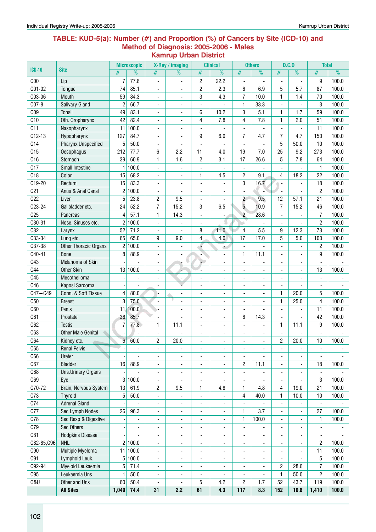#### **Table: KUD-5(a): Number (#) and Proportion (%) of Cancers by Site (ICD-10) and Method of Diagnosis: 2005-2006 - Males Kamrup Urban District**

|                 |                              |                          | <b>Microscopic</b>       |                          | X-Ray / imaging          |                              | <b>Clinical</b>              |                              | <b>Others</b>            |                          | D.C.0                        | <b>Total</b>             |       |
|-----------------|------------------------------|--------------------------|--------------------------|--------------------------|--------------------------|------------------------------|------------------------------|------------------------------|--------------------------|--------------------------|------------------------------|--------------------------|-------|
| <b>ICD-10</b>   | <b>Site</b>                  | #                        | %                        | #                        | %                        | #                            | %                            | #                            | %                        | #                        | $\frac{9}{6}$                | #                        | %     |
| C <sub>00</sub> | Lip                          | 7                        | 77.8                     | $\overline{\phantom{a}}$ | ä,                       | $\overline{c}$               | 22.2                         | ä,                           |                          |                          | $\overline{a}$               | 9                        | 100.0 |
| C01-02          | Tongue                       | 74                       | 85.1                     | $\overline{\phantom{a}}$ | $\overline{\phantom{a}}$ | $\sqrt{2}$                   | 2.3                          | 6                            | 6.9                      | 5                        | 5.7                          | 87                       | 100.0 |
| C03-06          | Mouth                        | 59                       | 84.3                     | $\blacksquare$           | $\overline{\phantom{a}}$ | $\sqrt{3}$                   | 4.3                          | $\overline{7}$               | 10.0                     | 1                        | 1.4                          | 70                       | 100.0 |
| C07-8           | <b>Salivary Gland</b>        | $\overline{c}$           | 66.7                     | $\blacksquare$           | $\blacksquare$           | ä,                           |                              | $\mathbf{1}$                 | 33.3                     |                          |                              | 3                        | 100.0 |
| CO9             | Tonsil                       | 49                       | 83.1                     | $\blacksquare$           | $\blacksquare$           | 6                            | 10.2                         | 3                            | 5.1                      | 1                        | 1.7                          | 59                       | 100.0 |
| C10             | Oth. Oropharynx              | 42                       | 82.4                     | $\overline{\phantom{a}}$ | $\blacksquare$           | 4                            | 7.8                          | 4                            | 7.8                      | 1                        | 2.0                          | 51                       | 100.0 |
| C11             | Nasopharynx                  | 11                       | 100.0                    | ÷,                       |                          |                              |                              |                              |                          |                          | ÷,                           | 11                       | 100.0 |
| $C12-13$        | Hypopharynx                  | 127                      | 84.7                     | $\overline{\phantom{a}}$ |                          | 9                            | 6.0                          | $\overline{7}$               | 4.7                      | $\overline{7}$           | 4.7                          | 150                      | 100.0 |
| C <sub>14</sub> | <b>Pharynx Unspecified</b>   | 5                        | 50.0                     | $\overline{\phantom{a}}$ |                          | ÷,                           |                              | $\blacksquare$               |                          | 5                        | 50.0                         | 10                       | 100.0 |
| C15             | <b>Oesophagus</b>            | 212                      | 77.7                     | 6                        | 2.2                      | 11                           | 4.0                          | 19                           | 7.0                      | 25                       | 9.2                          | 273                      | 100.0 |
| C16             | Stomach                      | 39                       | 60.9                     | 1                        | 1.6                      | $\overline{c}$               | 3.1                          | 17                           | 26.6                     | 5                        | 7.8                          | 64                       | 100.0 |
| C17             | Small Intestine              | 1                        | 100.0                    | $\blacksquare$           | $\overline{\phantom{a}}$ | $\qquad \qquad \blacksquare$ | $\overline{\phantom{a}}$     | $\overline{\phantom{a}}$     |                          | ä,                       | $\blacksquare$               | $\mathbf{1}$             | 100.0 |
| C18             | Colon                        | 15                       | 68.2                     | $\overline{\phantom{a}}$ | $\overline{\phantom{a}}$ | 1                            | 4.5                          | $\overline{2}$               | 9.1                      | 4                        | 18.2                         | 22                       | 100.0 |
| C19-20          | Rectum                       | 15                       | 83.3                     | $\blacksquare$           |                          | $\overline{a}$               |                              | 3                            | 16.7                     |                          |                              | 18                       | 100.0 |
| C <sub>21</sub> | Anus & Anal Canal            | $\overline{c}$           | 100.0                    | $\overline{\phantom{a}}$ |                          | $\overline{\phantom{a}}$     |                              | $\qquad \qquad \blacksquare$ |                          | $\overline{\phantom{a}}$ |                              | $\mathbf{2}$             | 100.0 |
| C22             | Liver                        | 5                        | 23.8                     | $\overline{c}$           | 9.5                      | $\overline{\phantom{a}}$     |                              | $\overline{2}$               | 9.5                      | 12                       | 57.1                         | 21                       | 100.0 |
| C23-24          | Gallbladder etc.             | 24                       | 52.2                     | $\overline{7}$           | 15.2                     | 3                            | 6.5                          | $5\overline{)}$              | 10.9                     | $\overline{7}$           | 15.2                         | 46                       | 100.0 |
| C <sub>25</sub> | Pancreas                     | 4                        | 57.1                     | 1                        | 14.3                     | $\blacksquare$               | $\overline{\phantom{a}}$     | $\overline{c}$               | 28.6                     | ä,                       |                              | $\overline{7}$           | 100.0 |
| C30-31          | Nose, Sinuses etc.           | 2                        | 100.0                    | $\blacksquare$           |                          | Ĭ.                           |                              | ÷.                           |                          | $\overline{a}$           |                              | $\overline{c}$           | 100.0 |
| C32             | Larynx                       | 52                       | 71.2                     | $\blacksquare$           |                          | 8                            | 11.0                         | $\overline{4}$               | 5.5                      | 9                        | 12.3                         | 73                       | 100.0 |
| C33-34          | Lung etc.                    | 65                       | 65.0                     | 9                        | 9.0                      | 4                            | 4.0                          | 17                           | 17.0                     | 5                        | 5.0                          | 100                      | 100.0 |
| C37-38          | <b>Other Thoracic Organs</b> | 2                        | 100.0                    | $\overline{\phantom{a}}$ |                          |                              | ٠                            | $\qquad \qquad \blacksquare$ |                          |                          |                              | $\overline{2}$           | 100.0 |
| C40-41          | <b>Bone</b>                  | 8                        | 88.9                     | $\overline{\phantom{a}}$ |                          | ÷                            | $\qquad \qquad \blacksquare$ | 1                            | 11.1                     |                          |                              | 9                        | 100.0 |
| C43             | Melanoma of Skin             |                          |                          | $\overline{\phantom{a}}$ | ۰<br>÷                   | шD                           | ÷,                           | $\blacksquare$               | ÷,                       | $\overline{\phantom{0}}$ | ÷,                           | $\overline{\phantom{a}}$ |       |
| C44             | <b>Other Skin</b>            |                          | 13 100.0                 | $\overline{\phantom{a}}$ |                          |                              | ٠                            | $\qquad \qquad \blacksquare$ | $\blacksquare$           | ٠                        | $\blacksquare$               | 13                       | 100.0 |
| C45             | Mesothelioma                 |                          |                          | ÷,                       | ÷,                       | $\blacksquare$               | ÷,                           | $\blacksquare$               | $\blacksquare$           | ä,                       | ä,                           | $\overline{\phantom{a}}$ |       |
| C46             | Kaposi Sarcoma               |                          |                          |                          |                          |                              | ä,                           | $\blacksquare$               |                          |                          |                              | $\overline{\phantom{a}}$ |       |
| $C47 + C49$     | Conn. & Soft Tissue          | 4                        | 80.0                     |                          |                          | $\overline{\phantom{m}}$     | ۰                            | $\qquad \qquad \blacksquare$ |                          | 1                        | 20.0                         | 5                        | 100.0 |
| C50             | <b>Breast</b>                | 3                        | 75.0                     | $\blacksquare$           |                          | $\overline{\phantom{a}}$     | $\overline{\phantom{a}}$     | $\blacksquare$               |                          | $\mathbf{1}$             | 25.0                         | 4                        | 100.0 |
| C60             | Penis                        | 11                       | 100.0                    | Ŷ.                       | $\blacksquare$           | $\blacksquare$               | $\blacksquare$               | $\overline{\phantom{a}}$     |                          |                          |                              | 11                       | 100.0 |
| C61             | Prostate                     | 36                       | 85.7                     | $\overline{\phantom{a}}$ |                          | $\blacksquare$               | $\blacksquare$               | 6                            | 14.3                     | ä,                       |                              | 42                       | 100.0 |
| C62             | <b>Testis</b>                | 7                        | 77.8                     | 1                        | 11.1                     | $\blacksquare$               | ٠                            | $\overline{\phantom{a}}$     | L.                       | 1                        | 11.1                         | 9                        | 100.0 |
| C63             | <b>Other Male Genital</b>    |                          |                          | $\blacksquare$           |                          | ÷,                           | ä,                           | ä,                           |                          |                          |                              | L.                       |       |
| C64             | Kidney etc.                  | $6\phantom{1}$           | 60.0                     | 2                        | 20.0                     |                              |                              | ٠                            |                          | $\overline{c}$           | 20.0                         | 10                       | 100.0 |
| C65             | <b>Renal Pelvis</b>          |                          | $\overline{\phantom{a}}$ | $\overline{\phantom{a}}$ | $\overline{\phantom{a}}$ | $\overline{\phantom{m}}$     | $\overline{\phantom{0}}$     | $\qquad \qquad \blacksquare$ |                          | -                        | $\qquad \qquad \blacksquare$ | $\overline{\phantom{a}}$ |       |
| C66             | Ureter                       |                          |                          | $\overline{\phantom{a}}$ | $\overline{\phantom{a}}$ | $\qquad \qquad \blacksquare$ | ٠                            | $\blacksquare$               |                          | ÷,                       |                              | $\overline{\phantom{a}}$ |       |
| C67             | <b>Bladder</b>               | 16                       | 88.9                     | $\overline{\phantom{a}}$ | $\overline{\phantom{a}}$ | $\overline{\phantom{a}}$     | ٠                            | $\overline{c}$               | 11.1                     | ٠                        | $\qquad \qquad \blacksquare$ | 18                       | 100.0 |
| C68             | Uns.Urinary Organs           | $\overline{\phantom{a}}$ |                          | $\overline{\phantom{a}}$ | $\overline{\phantom{a}}$ | $\overline{\phantom{a}}$     | $\qquad \qquad \blacksquare$ | $\qquad \qquad \blacksquare$ |                          | $\overline{\phantom{0}}$ | $\qquad \qquad \blacksquare$ | $\blacksquare$           |       |
| C69             | Eye                          | 3                        | 100.0                    | $\blacksquare$           | $\overline{\phantom{a}}$ | $\overline{\phantom{a}}$     | $\overline{\phantom{a}}$     | $\overline{\phantom{a}}$     | $\overline{\phantom{a}}$ | ٠                        | $\blacksquare$               | 3                        | 100.0 |
| C70-72          | Brain, Nervous System        | 13                       | 61.9                     | 2                        | 9.5                      | 1                            | 4.8                          | 1                            | 4.8                      | 4                        | 19.0                         | 21                       | 100.0 |
| C73             | <b>Thyroid</b>               | 5                        | 50.0                     | $\overline{\phantom{a}}$ |                          | $\overline{\phantom{a}}$     |                              | 4                            | 40.0                     | 1                        | 10.0                         | 10                       | 100.0 |
| C74             | <b>Adrenal Gland</b>         |                          |                          | $\overline{\phantom{a}}$ | $\overline{\phantom{a}}$ | $\overline{\phantom{a}}$     | $\overline{\phantom{a}}$     | $\qquad \qquad \blacksquare$ |                          | $\overline{\phantom{0}}$ |                              | ÷                        |       |
| C77             | Sec Lymph Nodes              | 26                       | 96.3                     | $\overline{\phantom{a}}$ | $\overline{\phantom{a}}$ | $\overline{\phantom{a}}$     | $\overline{\phantom{a}}$     | $\mathbf{1}$                 | 3.7                      | ÷,                       | $\overline{\phantom{a}}$     | 27                       | 100.0 |
| C78             | Sec Resp & Digestive         | $\overline{a}$           | $\overline{\phantom{a}}$ | $\overline{\phantom{a}}$ | $\overline{\phantom{a}}$ | $\blacksquare$               | $\overline{\phantom{a}}$     | $\mathbf{1}$                 | 100.0                    | ٠                        | $\blacksquare$               | 1                        | 100.0 |
| C79             | Sec Others                   | ٠                        | $\blacksquare$           | $\overline{\phantom{a}}$ | $\blacksquare$           | $\overline{\phantom{a}}$     | ٠                            | $\blacksquare$               |                          | ä,                       | $\blacksquare$               | $\overline{\phantom{a}}$ |       |
| C81             | <b>Hodgkins Disease</b>      |                          |                          | $\overline{\phantom{a}}$ | $\overline{\phantom{a}}$ | $\overline{\phantom{a}}$     | ۰                            | $\blacksquare$               | $\overline{\phantom{a}}$ | $\overline{\phantom{0}}$ | $\overline{\phantom{a}}$     | $\overline{\phantom{a}}$ |       |
| C82-85, C96     | <b>NHL</b>                   | $\overline{c}$           | 100.0                    | $\overline{\phantom{a}}$ | $\overline{\phantom{a}}$ | $\blacksquare$               | ۰                            | $\blacksquare$               | $\overline{\phantom{a}}$ |                          | $\blacksquare$               | $\overline{c}$           | 100.0 |
| C90             | Multiple Myeloma             |                          | 11 100.0                 | $\overline{\phantom{a}}$ | $\overline{a}$           | $\overline{\phantom{a}}$     | ٠                            | $\qquad \qquad \blacksquare$ | $\overline{\phantom{a}}$ | -                        | $\qquad \qquad \blacksquare$ | 11                       | 100.0 |
| C91             | Lymphoid Leuk.               | 5                        | 100.0                    | $\overline{\phantom{a}}$ | $\overline{\phantom{a}}$ | $\overline{\phantom{a}}$     | ٠                            | $\qquad \qquad \blacksquare$ | $\blacksquare$           | $\overline{a}$           | $\overline{\phantom{a}}$     | 5                        | 100.0 |
| C92-94          | Myeloid Leukaemia            | 5                        | 71.4                     | $\overline{\phantom{a}}$ | $\overline{\phantom{a}}$ | $\overline{\phantom{a}}$     | $\qquad \qquad \blacksquare$ | $\overline{\phantom{a}}$     | $\overline{\phantom{a}}$ | 2                        | 28.6                         | $\overline{7}$           | 100.0 |
| C95             | Leukaemia Uns                | 1                        | 50.0                     | $\overline{\phantom{a}}$ | $\overline{\phantom{a}}$ | $\overline{\phantom{a}}$     | $\overline{\phantom{a}}$     | ٠                            | $\overline{\phantom{a}}$ | 1                        | 50.0                         | $\overline{c}$           | 100.0 |
| <b>0&amp;U</b>  | Other and Uns                | 60                       | 50.4                     | $\overline{\phantom{a}}$ | $\blacksquare$           | 5                            | 4.2                          | $\overline{2}$               | 1.7                      | 52                       | 43.7                         | 119                      | 100.0 |
|                 | <b>All Sites</b>             | 1,049                    | 74.4                     | 31                       | 2.2                      | 61                           | 4.3                          | 117                          | 8.3                      | 152                      | 10.8                         | 1,410                    | 100.0 |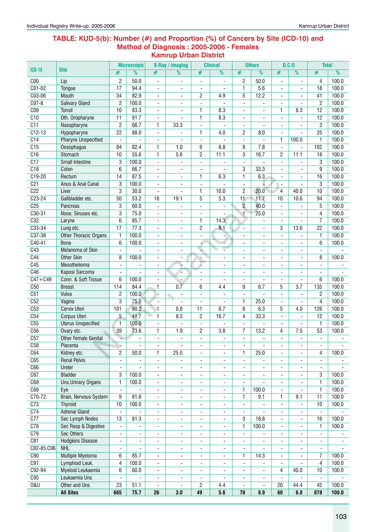#### **Table: KUD-5(b): Number (#) and Proportion (%) of Cancers by Site (ICD-10) and Method of Diagnosis : 2005-2006 - Females Kamrup Urban District**

|                 |                                       |                          | <b>Microscopic</b>       |                              | X-Ray / imaging          |                                            | <b>Clinical</b>          |                          | <b>Others</b>            |                          | D.C.0                    | <b>Total</b>                  |                |
|-----------------|---------------------------------------|--------------------------|--------------------------|------------------------------|--------------------------|--------------------------------------------|--------------------------|--------------------------|--------------------------|--------------------------|--------------------------|-------------------------------|----------------|
| $ICD-10$        | <b>Site</b>                           | #                        | $\frac{9}{6}$            | #                            | $\overline{\%}$          | #                                          | %                        | #                        | $\overline{\frac{9}{0}}$ | #                        | %                        | #                             | %              |
| C <sub>00</sub> | Lip                                   | $\overline{c}$           | 50.0                     | $\qquad \qquad \blacksquare$ | $\overline{\phantom{a}}$ | $\overline{\phantom{a}}$                   | $\blacksquare$           | 2                        | 50.0                     | $\blacksquare$           | ٠                        | 4                             | 100.0          |
| $CO1-02$        | Tongue                                | 17                       | 94.4                     | $\qquad \qquad \blacksquare$ | $\overline{\phantom{a}}$ | $\overline{\phantom{a}}$                   | $\blacksquare$           | 1                        | 5.6                      | $\blacksquare$           |                          | 18                            | 100.0          |
| C03-06          | Mouth                                 | 34                       | 82.9                     | ä,                           | $\blacksquare$           | 2                                          | 4.9                      | 5                        | 12.2                     | $\blacksquare$           |                          | 41                            | 100.0          |
| $CO7-8$         | <b>Salivary Gland</b>                 | $\overline{2}$           | 100.0                    | $\overline{\phantom{a}}$     | $\blacksquare$           | $\overline{\phantom{a}}$                   |                          | $\overline{\phantom{a}}$ | ٠                        |                          |                          | $\overline{2}$                | 100.0          |
| C <sub>09</sub> | <b>Tonsil</b>                         | 10                       | 83.3                     | ٠                            |                          | 1                                          | 8.3                      | ٠                        | ٠                        | 1                        | 8.3                      | 12                            | 100.0          |
| C10             | Oth. Oropharynx                       | 11                       | 91.7                     | $\qquad \qquad \blacksquare$ |                          | 1                                          | 8.3                      | $\overline{\phantom{a}}$ | ٠                        | ÷,                       |                          | 12                            | 100.0          |
| C11             | Nasopharynx                           | $\overline{2}$           | 66.7                     | 1                            | 33.3                     | $\blacksquare$                             |                          |                          | ä,                       |                          |                          | 3                             | 100.0          |
| $C12-13$        | Hypopharynx                           | $\overline{22}$          | 88.0                     | $\blacksquare$               |                          | 1                                          | 4.0                      | 2                        | 8.0                      | $\blacksquare$           |                          | 25                            | 100.0          |
| C14             | <b>Pharynx Unspecified</b>            | $\blacksquare$           |                          | $\overline{\phantom{a}}$     |                          | $\overline{\phantom{a}}$                   |                          | $\blacksquare$           | $\blacksquare$           | $\mathbf{1}$             | 100.0                    | $\mathbf{1}$                  | 100.0          |
| C15             | Oesophagus                            | 84                       | 82.4                     | 1                            | 1.0                      | 9                                          | 8.8                      | 8                        | 7.8                      | $\overline{a}$           |                          | 102                           | 100.0          |
| C16             | Stomach                               | 10                       | 55.6                     | 1                            | 5.6                      | $\overline{c}$                             | 11.1                     | 3                        | 16.7                     | $\overline{c}$           | 11.1                     | 18                            | 100.0          |
| C17             | <b>Small Intestine</b>                | 3                        | 100.0                    | $\blacksquare$               |                          | ÷,                                         |                          | ä,                       |                          |                          |                          | 3                             | 100.0          |
| C18             | Colon                                 | 6                        | 66.7                     | $\qquad \qquad \blacksquare$ |                          | $\overline{\phantom{a}}$                   |                          | 3                        | 33.3                     |                          |                          | 9                             | 100.0          |
| $C19-20$        | Rectum                                | 14                       | 87.5                     | ٠                            | $\overline{\phantom{a}}$ | 1                                          | 6.3                      | $\mathbf{1}$             | 6.3                      |                          |                          | 16                            | 100.0          |
| C <sub>21</sub> | Anus & Anal Canal                     | 3                        | 100.0                    | ÷,                           | $\blacksquare$           | $\blacksquare$                             |                          | ÷,                       |                          | $\blacksquare$           | $\overline{a}$           | 3                             | 100.0          |
| C <sub>22</sub> | Liver                                 | 3                        | 30.0                     | ä,                           | $\overline{\phantom{a}}$ | 1                                          | 10.0                     | $\overline{c}$           | 20.0                     | $\overline{4}$           | 40.0                     | 10                            | 100.0          |
| $C23-24$        | Gallbladder etc.                      | 50                       | 53.2                     | 18                           | 19.1                     | 5                                          | 5.3                      | 11                       | 11.7                     | 10                       | 10.6                     | 94                            | 100.0          |
| C <sub>25</sub> | Pancreas                              | 3                        | 60.0                     | $\blacksquare$               | $\blacksquare$           | $\blacksquare$                             |                          | $\overline{2}$           | 40.0                     | $\blacksquare$           |                          | 5                             | 100.0          |
| C30-31          | Nose, Sinuses etc.                    | 3                        | 75.0                     | $\overline{\phantom{a}}$     | $\blacksquare$           | $\overline{\phantom{a}}$                   |                          | $\blacktriangleleft$     | 25.0                     | $\blacksquare$           | ä,                       | 4                             | 100.0          |
| C32             | Larynx                                | 6                        | 85.7                     | $\blacksquare$               | $\overline{\phantom{a}}$ | 1                                          | 14.3                     | è.                       | $\overline{\phantom{a}}$ | $\blacksquare$           | $\overline{\phantom{a}}$ | $\overline{I}$                | 100.0          |
| $C33-34$        | Lung etc.                             | 17                       | 77.3                     | $\qquad \qquad \blacksquare$ | $\overline{\phantom{a}}$ | $\overline{c}$                             | 9.1                      | ä,                       | $\overline{\phantom{a}}$ | 3                        | 13.6                     | $\overline{22}$               | 100.0          |
| C37-38          | <b>Other Thoracic Organs</b>          | 1                        | 100.0                    | $\blacksquare$               | $\blacksquare$           | ÷,                                         | ٠                        | ٠                        | ä,                       |                          |                          | $\mathbf{1}$                  | 100.0          |
| $C40-41$        | <b>Bone</b>                           | 6                        | 100.0                    | $\blacksquare$               |                          | ń                                          | s                        |                          | ä,                       |                          |                          | 6                             | 100.0          |
| C43             | Melanoma of Skin                      |                          | $\blacksquare$           | ä,                           |                          |                                            |                          | ä,                       | $\overline{\phantom{a}}$ | $\overline{a}$           |                          | $\blacksquare$                |                |
| C44             | <b>Other Skin</b>                     | 8                        | 100.0                    | ÷                            | $\overline{\phantom{a}}$ |                                            |                          | ٠                        | $\overline{\phantom{a}}$ | $\blacksquare$           | ٠                        | 8                             | 100.0          |
| C45<br>C46      | Mesothelioma                          | $\blacksquare$           | $\blacksquare$           | $\blacksquare$               | ۵                        | L,                                         | $\overline{a}$           | $\blacksquare$           | $\overline{\phantom{0}}$ | $\blacksquare$           | ٠                        | $\blacksquare$                |                |
| $C47 + C49$     | Kaposi Sarcoma<br>Conn. & Soft Tissue | $\blacksquare$<br>6      | 100.0                    | ÷,                           |                          | $\overline{a}$                             | ٠                        | $\overline{\phantom{a}}$ | $\overline{\phantom{a}}$ | $\blacksquare$           | ÷,                       | $\overline{\phantom{a}}$<br>6 | 100.0          |
| C50             | <b>Breast</b>                         | 114                      | 84.4                     | ä,<br>$\mathbf{1}$           | $0.\overline{7}$         | $\blacksquare$<br>6                        | 4.4                      | ä,<br>9                  | 6.7                      | 5                        | $\overline{3.7}$         | 135                           | 100.0          |
| C51             | Vulva                                 | $\overline{2}$           | 100.0                    | ŀ.                           |                          |                                            |                          |                          |                          |                          |                          | $\overline{2}$                | 100.0          |
| C52             | Vagina                                | 3                        | 75.0                     | $\overline{\phantom{a}}$     |                          | $\overline{\phantom{a}}$<br>$\blacksquare$ |                          | 1                        | 25.0                     | $\blacksquare$           |                          | 4                             | 100.0          |
| C53             | Cervix Uteri                          | 101                      | 80.2                     | $\overline{1}$               | 0.8                      | $\overline{11}$                            | 8.7                      | 8                        | 6.3                      | 5                        | 4.0                      | 126                           | 100.0          |
| C54             | Corpus Uteri                          | 5                        | 41.7                     | $\mathbf{1}$                 | 8.3                      | $\overline{2}$                             | 16.7                     | 4                        | 33.3                     | $\blacksquare$           |                          | 12                            | 100.0          |
| C55             | <b>Uterus Unspecified</b>             | $\mathbf{1}$             | 100.0                    | $\blacksquare$               | ÷,                       | $\overline{\phantom{a}}$                   | ٠                        | $\blacksquare$           | $\overline{\phantom{0}}$ | $\blacksquare$           | $\blacksquare$           | $\mathbf{1}$                  | 100.0          |
| C56             | Ovary etc.                            | 39                       | 73.6                     | 1                            | 1.9                      | 2                                          | 3.8                      | 7                        | 13.2                     | 4                        | 7.5                      | 53                            | 100.0          |
| C57             | <b>Other Female Genital</b>           | ÷                        |                          | ä,                           | $\blacksquare$           | $\blacksquare$                             |                          | $\overline{\phantom{a}}$ | ä,                       | $\overline{a}$           | ä,                       | $\overline{\phantom{a}}$      |                |
| C58             | Placenta                              | Þ.                       | ۰                        | ٠                            |                          | ٠                                          | ٠                        | ٠                        | ۰                        | ٠                        | ٠                        | ٠                             |                |
| C64             | Kidney etc.                           | $\overline{c}$           | 50.0                     | 1                            | 25.0                     | $\overline{\phantom{a}}$                   | $\blacksquare$           | $\mathbf{1}$             | 25.0                     |                          | $\blacksquare$           | 4                             | 100.0          |
| C65             | <b>Renal Pelvis</b>                   | $\overline{\phantom{a}}$ | $\overline{\phantom{a}}$ | $\overline{\phantom{a}}$     | $\overline{\phantom{a}}$ | $\overline{\phantom{a}}$                   | $\blacksquare$           | $\overline{\phantom{a}}$ | $\blacksquare$           | $\blacksquare$           | ä,                       | $\overline{\phantom{a}}$      |                |
| C66             | Ureter                                | $\blacksquare$           | ä,                       | $\blacksquare$               | $\overline{\phantom{a}}$ | $\overline{\phantom{a}}$                   | ٠                        | $\overline{\phantom{a}}$ | $\overline{\phantom{a}}$ | $\blacksquare$           | $\overline{\phantom{a}}$ | $\blacksquare$                |                |
| C67             | <b>Bladder</b>                        | 3                        | 100.0                    | $\qquad \qquad \blacksquare$ | $\overline{\phantom{a}}$ | $\overline{\phantom{a}}$                   | ٠                        | $\overline{\phantom{a}}$ | $\overline{\phantom{a}}$ | $\blacksquare$           | $\overline{\phantom{a}}$ | 3                             | 100.0          |
| C68             | <b>Uns.Urinary Organs</b>             | $\mathbf{1}$             | 100.0                    | $\qquad \qquad \blacksquare$ | $\overline{\phantom{a}}$ | $\overline{\phantom{a}}$                   | $\overline{\phantom{a}}$ | $\overline{\phantom{a}}$ |                          | $\overline{\phantom{a}}$ | ٠                        | $\mathbf{1}$                  | 100.0          |
| C69             | Eye                                   | $\blacksquare$           |                          | $\blacksquare$               | $\blacksquare$           | $\blacksquare$                             | $\blacksquare$           | $\mathbf{1}$             | 100.0                    | $\blacksquare$           |                          | $\mathbf{1}$                  | 100.0          |
| $C70-72$        | Brain, Nervous System                 | 9                        | 81.8                     | $\blacksquare$               | $\blacksquare$           | $\blacksquare$                             | $\blacksquare$           | $\mathbf{1}$             | 9.1                      | 1                        | 9.1                      | $\overline{11}$               | 100.0          |
| C <sub>73</sub> | <b>Thyroid</b>                        | 10                       | 100.0                    | $\qquad \qquad \blacksquare$ | $\overline{\phantom{a}}$ | $\overline{\phantom{a}}$                   | $\overline{\phantom{a}}$ | $\overline{\phantom{a}}$ |                          | $\overline{\phantom{a}}$ |                          | 10                            | 100.0          |
| C <sub>74</sub> | <b>Adrenal Gland</b>                  |                          |                          | ٠                            | $\overline{\phantom{a}}$ | $\overline{\phantom{a}}$                   | $\overline{\phantom{a}}$ | $\overline{\phantom{a}}$ |                          |                          |                          | $\blacksquare$                |                |
| C <sub>0</sub>  | Sec Lymph Nodes                       | 13                       | 81.3                     | $\qquad \qquad \blacksquare$ | $\overline{\phantom{a}}$ | $\overline{\phantom{a}}$                   | $\overline{\phantom{a}}$ | $\overline{3}$           | 18.8                     | $\blacksquare$           |                          | 16                            | 100.0          |
| C78             | Sec Resp & Digestive                  | $\overline{\phantom{a}}$ | $\overline{\phantom{a}}$ | ٠                            | $\overline{\phantom{a}}$ | $\overline{\phantom{a}}$                   | $\overline{\phantom{a}}$ | $\mathbf{1}$             | 100.0                    | $\overline{\phantom{a}}$ | $\blacksquare$           | $\mathbf{1}$                  | 100.0          |
| C79             | Sec Others                            | $\overline{\phantom{a}}$ | $\overline{\phantom{a}}$ | ٠                            | $\overline{\phantom{a}}$ | $\overline{\phantom{a}}$                   | $\overline{\phantom{a}}$ | $\overline{\phantom{a}}$ | ٠                        | $\overline{\phantom{a}}$ | ٠                        | $\overline{\phantom{a}}$      |                |
| C81             | <b>Hodgkins Disease</b>               | $\overline{\phantom{a}}$ | $\blacksquare$           | ÷,                           | $\overline{\phantom{a}}$ | $\overline{\phantom{a}}$                   | $\overline{\phantom{a}}$ | $\overline{\phantom{a}}$ | $\overline{\phantom{a}}$ | $\overline{\phantom{a}}$ | ٠                        | $\overline{\phantom{a}}$      | $\blacksquare$ |
| C82-85,C96      | <b>NHL</b>                            | $\overline{\phantom{a}}$ | $\blacksquare$           | $\blacksquare$               | $\overline{\phantom{a}}$ | $\overline{\phantom{a}}$                   | $\overline{\phantom{a}}$ | $\overline{\phantom{a}}$ | $\overline{\phantom{a}}$ | $\overline{\phantom{a}}$ |                          | $\overline{\phantom{a}}$      |                |
| C90             | Multiple Myeloma                      | 6                        | 85.7                     | $\overline{\phantom{a}}$     | $\overline{\phantom{a}}$ | $\overline{\phantom{a}}$                   | $\overline{\phantom{a}}$ | $\mathbf{1}$             | 14.3                     | $\overline{\phantom{a}}$ |                          | 7                             | 100.0          |
| C91             | Lymphoid Leuk.                        | 4                        | 100.0                    | ٠                            | ۰                        | ٠                                          | ۰                        | $\overline{\phantom{a}}$ | ۰                        | $\overline{\phantom{a}}$ |                          | $\overline{4}$                | 100.0          |
| C92-94          | Myeloid Leukaemia                     | 6                        | 60.0                     | ۰                            | $\overline{\phantom{a}}$ | ٠                                          | $\overline{\phantom{a}}$ | $\overline{\phantom{a}}$ | $\overline{\phantom{a}}$ | 4                        | 40.0                     | 10                            | 100.0          |
| C95             | Leukaemia Uns                         | $\overline{\phantom{a}}$ | $\overline{\phantom{a}}$ | $\qquad \qquad \blacksquare$ | $\overline{\phantom{a}}$ | $\overline{\phantom{a}}$                   | $\blacksquare$           | $\overline{\phantom{a}}$ | $\blacksquare$           | $\blacksquare$           | $\sim$                   | $\overline{\phantom{a}}$      |                |
| 0&U             | Other and Uns                         | 23                       | 51.1                     | $\blacksquare$               | $\blacksquare$           | $\overline{2}$                             | 4.4                      | $\overline{\phantom{a}}$ | $\blacksquare$           | 20                       | 44.4                     | 45                            | 100.0          |
|                 | <b>All Sites</b>                      | 665                      | 75.7                     | 26                           | 3.0                      | 49                                         | 5.6                      | 78                       | 8.9                      | 60                       | 6.8                      | 878                           | 100.0          |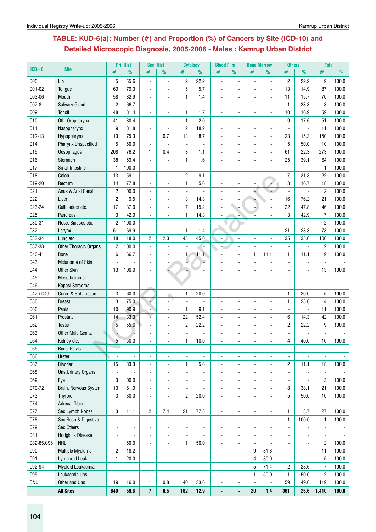# **Table: KUD-6(a): Number (#) and Proportion (%) of Cancers by Site (ICD-10) and Detailed Microscopic Diagnosis, 2005-2006 - Males : Kamrup Urban District**

|                 | <b>Site</b>                | Pri. Hist                |                | Sec. Hist                      |                              | <b>Cytology</b> |                | <b>Blood Film</b>        |                | <b>Bone Marrow</b> |                      | <b>Others</b>            |                | <b>Total</b>   |       |
|-----------------|----------------------------|--------------------------|----------------|--------------------------------|------------------------------|-----------------|----------------|--------------------------|----------------|--------------------|----------------------|--------------------------|----------------|----------------|-------|
| <b>ICD-10</b>   |                            | #                        | $\frac{9}{6}$  | #                              | $\frac{9}{6}$                | #               | $\frac{9}{6}$  | #                        | $\frac{9}{6}$  | #                  | $\frac{9}{6}$        | #                        | $\frac{9}{6}$  | #              | %     |
| C <sub>00</sub> | Lip                        | 5                        | 55.6           | $\blacksquare$                 | $\blacksquare$               | $\overline{c}$  | 22.2           | ÷,                       |                |                    | $\ddot{\phantom{0}}$ | $\overline{2}$           | 22.2           | 9              | 100.0 |
| C01-02          | Tongue                     | 69                       | 79.3           | $\blacksquare$                 | $\blacksquare$               | 5               | 5.7            |                          |                |                    | $\blacksquare$       | 13                       | 14.9           | 87             | 100.0 |
| C03-06          | Mouth                      | 58                       | 82.9           | $\overline{a}$                 | $\blacksquare$               | 1               | 1.4            | $\ddot{\phantom{a}}$     |                |                    | $\blacksquare$       | 11                       | 15.7           | 70             | 100.0 |
| C07-8           | <b>Salivary Gland</b>      | $\overline{2}$           | 66.7           | $\blacksquare$                 | $\blacksquare$               | $\blacksquare$  |                | $\blacksquare$           | $\blacksquare$ | $\blacksquare$     | $\blacksquare$       | $\mathbf{1}$             | 33.3           | 3              | 100.0 |
| C <sub>09</sub> | Tonsil                     | 48                       | 81.4           | $\overline{a}$                 | ä,                           | $\mathbf{1}$    | 1.7            | $\blacksquare$           |                |                    | $\blacksquare$       | 10                       | 16.9           | 59             | 100.0 |
| C10             | Oth. Oropharynx            | 41                       | 80.4           | ÷,                             |                              | $\mathbf{1}$    | 2.0            |                          |                |                    |                      | 9                        | 17.6           | 51             | 100.0 |
| C11             | Nasopharynx                | 9                        | 81.8           | $\overline{a}$                 |                              | $\overline{c}$  | 18.2           |                          |                |                    |                      |                          |                | 11             | 100.0 |
| $C12-13$        | Hypopharynx                | 113                      | 75.3           | 1                              | 0.7                          | 13              | 8.7            |                          |                |                    | $\blacksquare$       | 23                       | 15.3           | 150            | 100.0 |
| C14             | <b>Pharynx Unspecified</b> | 5                        | 50.0           | $\overline{\phantom{a}}$       |                              |                 |                |                          |                |                    | $\blacksquare$       | 5                        | 50.0           | 10             | 100.0 |
| C15             | <b>Oesophagus</b>          | 208                      | 76.2           | 1                              | 0.4                          | 3               | 1.1            | $\blacksquare$           | $\blacksquare$ |                    | $\blacksquare$       | 61                       | 22.3           | 273            | 100.0 |
| C16             | Stomach                    | 38                       | 59.4           | $\overline{a}$                 | $\blacksquare$               | 1               | 1.6            | ÷                        |                |                    | $\sim$               | 25                       | 39.1           | 64             | 100.0 |
| C17             | <b>Small Intestine</b>     | $\mathbf{1}$             | 100.0          | $\blacksquare$                 |                              |                 |                |                          |                |                    |                      |                          |                | $\mathbf{1}$   | 100.0 |
| C18             | Colon                      | 13                       | 59.1           |                                |                              | $\overline{c}$  | 9.1            |                          |                |                    |                      | $\overline{7}$           | 31.8           | 22             | 100.0 |
|                 |                            |                          |                | $\blacksquare$                 |                              |                 |                |                          |                |                    |                      |                          |                |                |       |
| C19-20          | Rectum                     | 14                       | 77.8           | $\qquad \qquad \blacksquare$   |                              | $\mathbf{1}$    | 5.6            |                          |                |                    |                      | 3                        | 16.7           | 18             | 100.0 |
| C <sub>21</sub> | Anus & Anal Canal          | $\overline{2}$           | 100.0          | $\qquad \qquad \blacksquare$   | $\overline{\phantom{a}}$     |                 |                |                          |                | ۰                  |                      | $\blacksquare$           | $\blacksquare$ | $\overline{2}$ | 100.0 |
| C22             | Liver                      | $\overline{2}$           | 9.5            | $\blacksquare$                 | $\overline{\phantom{a}}$     | 3               | 14.3           | $\blacksquare$           | $\overline{a}$ | ÷.                 | $\blacksquare$       | 16                       | 76.2           | 21             | 100.0 |
| C23-24          | Gallbladder etc.           | 17                       | 37.0           | $\blacksquare$                 | $\overline{\phantom{a}}$     | $\overline{7}$  | 15.2           | $\blacksquare$           |                |                    | $\blacksquare$       | 22                       | 47.8           | 46             | 100.0 |
| C <sub>25</sub> | Pancreas                   | 3                        | 42.9           | $\overline{\phantom{a}}$       | $\overline{\phantom{a}}$     | $\mathbf{1}$    | 14.3           | $\blacksquare$           |                |                    | $\blacksquare$       | 3                        | 42.9           | $\overline{7}$ | 100.0 |
| C30-31          | Nose, Sinuses etc.         | $\overline{2}$           | 100.0          | $\overline{\phantom{a}}$       |                              |                 |                |                          |                |                    | $\blacksquare$       |                          |                | $\overline{c}$ | 100.0 |
| C32             | Larynx                     | 51                       | 69.9           | $\overline{\phantom{a}}$       |                              | $\mathbf{1}$    | 1.4            |                          |                |                    | ÷,                   | 21                       | 28.8           | 73             | 100.0 |
| C33-34          | Lung etc.                  | 18                       | 18.0           | $\overline{c}$                 | 2.0                          | 45              | 45.0           | $\blacksquare$           |                |                    | $\ddot{\phantom{a}}$ | 35                       | 35.0           | 100            | 100.0 |
| C37-38          | Other Thoracic Organs      | $\overline{2}$           | 100.0          | $\overline{\phantom{a}}$       | $\blacksquare$               |                 | $\sim$ $\sim$  | $\sim$                   |                |                    | $\ddot{\phantom{a}}$ | $\blacksquare$           |                | $\overline{c}$ | 100.0 |
| C40-41          | <b>Bone</b>                | 6                        | 66.7           | $\blacksquare$                 | $\overline{a}$               | 1               | 11.1           | $\blacksquare$           |                | $\mathbf{1}$       | 11.1                 | $\mathbf{1}$             | 11.1           | 9              | 100.0 |
| C43             | Melanoma of Skin           | $\overline{a}$           |                | $\blacksquare$                 | $\blacksquare$               |                 | ₽              | ÷                        |                | ÷                  | $\blacksquare$       | $\overline{a}$           | $\blacksquare$ | $\overline{a}$ |       |
| C44             | <b>Other Skin</b>          | 13                       | 100.0          | $\overline{a}$                 |                              |                 |                |                          |                |                    | $\overline{a}$       | L.                       |                | 13             | 100.0 |
| C45             | Mesothelioma               |                          |                |                                |                              |                 |                |                          |                |                    |                      |                          |                |                |       |
| C46             | Kaposi Sarcoma             |                          |                |                                |                              |                 |                |                          |                |                    |                      |                          |                |                |       |
| $C47 + C49$     | Conn. & Soft Tissue        | 3                        | 60.0           | $\blacksquare$<br>è            | z.                           | 1               | 20.0           |                          |                |                    | ÷,                   | 1                        | 20.0           | 5              | 100.0 |
| C50             | <b>Breast</b>              | 3                        | 75.0           |                                |                              |                 |                |                          |                |                    | $\blacksquare$       | $\mathbf{1}$             | 25.0           | 4              | 100.0 |
| C60             | Penis                      | 10                       | 90.9           | $\overline{\phantom{a}}$<br>L. | $\blacksquare$               | $\mathbf{1}$    | 9.1            | $\blacksquare$           | $\blacksquare$ | $\blacksquare$     | $\blacksquare$       | $\blacksquare$           | ä,             | 11             | 100.0 |
| C61             | Prostate                   | 14                       | 33.3           |                                | ÷                            | 22              | 52.4           | $\overline{a}$           | $\blacksquare$ | $\blacksquare$     | $\blacksquare$       | 6                        | 14.3           | 42             | 100.0 |
| C62             | <b>Testis</b>              | $\sqrt{5}$               | 55.6           | $\overline{a}$                 | $\blacksquare$               | $\overline{c}$  | 22.2           | $\blacksquare$           |                |                    | $\blacksquare$       | $\overline{c}$           | 22.2           | 9              | 100.0 |
| C63             | <b>Other Male Genital</b>  |                          |                | ÷,                             |                              |                 |                |                          |                |                    |                      |                          |                |                |       |
| C64             | Kidney etc.                | 5                        | 50.0           |                                |                              | 1               | 10.0           |                          |                |                    |                      | 4                        | 40.0           | 10             | 100.0 |
| C65             | <b>Renal Pelvis</b>        |                          |                | $\blacksquare$                 | $\overline{\phantom{a}}$     | $\blacksquare$  | $\blacksquare$ |                          |                | $\blacksquare$     | $\blacksquare$       | $\overline{\phantom{a}}$ |                | $\blacksquare$ |       |
| C66             | Ureter                     |                          |                | $\blacksquare$                 | ä,                           | $\blacksquare$  |                | $\ddot{\phantom{a}}$     |                |                    |                      |                          |                |                |       |
| C67             | Bladder                    | 15                       | 83.3           | $\blacksquare$                 | $\blacksquare$               | $\mathbf{1}$    | 5.6            | $\blacksquare$           | $\blacksquare$ | $\blacksquare$     | $\sim$               | $\overline{c}$           | 11.1           | 18             | 100.0 |
| C68             | <b>Uns.Urinary Organs</b>  |                          |                | $\blacksquare$                 |                              |                 |                |                          |                |                    |                      |                          |                |                |       |
| C69             | Eye                        | 3                        | 100.0          | $\overline{a}$                 |                              |                 |                |                          |                |                    |                      |                          |                | 3              | 100.0 |
| C70-72          | Brain, Nervous System      | 13                       | 61.9           | $\qquad \qquad \blacksquare$   |                              | $\blacksquare$  |                |                          |                |                    |                      | 8                        | 38.1           | 21             | 100.0 |
| C73             | <b>Thyroid</b>             | 3                        | 30.0           | $\qquad \qquad \blacksquare$   | $\qquad \qquad \blacksquare$ | $\overline{c}$  | 20.0           | $\blacksquare$           |                |                    |                      | 5                        | 50.0           | 10             | 100.0 |
| C74             | <b>Adrenal Gland</b>       | $\blacksquare$           |                | $\blacksquare$                 | $\blacksquare$               | $\blacksquare$  |                | $\blacksquare$           | $\blacksquare$ | $\blacksquare$     | $\blacksquare$       | $\overline{\phantom{a}}$ |                | $\blacksquare$ |       |
| C77             | Sec Lymph Nodes            | 3                        | 11.1           | $\overline{c}$                 | 7.4                          | 21              | 77.8           | $\blacksquare$           | $\blacksquare$ | $\blacksquare$     | $\blacksquare$       | $\mathbf{1}$             | 3.7            | 27             | 100.0 |
| C78             | Sec Resp & Digestive       | $\blacksquare$           | $\blacksquare$ | $\blacksquare$                 | $\blacksquare$               | $\blacksquare$  |                | $\blacksquare$           | $\blacksquare$ | $\blacksquare$     | $\blacksquare$       | 1                        | 100.0          | 1              | 100.0 |
| C79             | Sec Others                 | $\blacksquare$           |                | $\blacksquare$                 | ä,                           | $\blacksquare$  |                |                          | $\blacksquare$ |                    | $\blacksquare$       | $\overline{a}$           |                | $\blacksquare$ |       |
| C81             | <b>Hodgkins Disease</b>    | $\blacksquare$           |                | $\blacksquare$                 |                              |                 |                |                          |                |                    |                      |                          |                | ÷.             |       |
| C82-85,C96      | <b>NHL</b>                 | 1                        | 50.0           | $\blacksquare$                 | $\blacksquare$               | 1               | 50.0           | $\blacksquare$           | $\blacksquare$ |                    |                      | $\blacksquare$           | $\blacksquare$ | $\overline{c}$ | 100.0 |
| C90             | Multiple Myeloma           | $\sqrt{2}$               | 18.2           | $\blacksquare$                 | $\blacksquare$               | $\blacksquare$  |                | $\blacksquare$           | $\blacksquare$ | 9                  | 81.8                 | $\blacksquare$           | $\blacksquare$ | 11             | 100.0 |
| C91             | Lymphoid Leuk.             | $\mathbf{1}$             | 20.0           | $\overline{a}$                 | $\overline{\phantom{a}}$     | $\blacksquare$  | $\blacksquare$ | $\blacksquare$           | $\blacksquare$ | $\overline{4}$     | 80.0                 | $\blacksquare$           |                | 5              | 100.0 |
| C92-94          | Myeloid Leukaemia          | $\blacksquare$           |                | $\blacksquare$                 | $\blacksquare$               | $\blacksquare$  | $\blacksquare$ | $\sim$                   | $\blacksquare$ | 5                  | 71.4                 | $\overline{c}$           | 28.6           | $\overline{7}$ | 100.0 |
| C95             | Leukaemia Uns              | $\overline{\phantom{a}}$ |                | $\blacksquare$                 |                              | $\blacksquare$  |                | $\blacksquare$           | $\blacksquare$ | 1                  | 50.0                 | $\mathbf{1}$             | 50.0           | $\overline{c}$ | 100.0 |
| 0&U             | Other and Uns              | 19                       | 16.0           | $\mathbf{1}$                   | 0.8                          | 40              | 33.6           |                          |                |                    | $\ddot{\phantom{a}}$ | 59                       | 49.6           | 119            | 100.0 |
|                 | <b>All Sites</b>           | 840                      | 59.6           | 7                              | 0.5                          | 182             | 12.9           | $\overline{\phantom{0}}$ |                | 20                 | $1.4$                | 361                      | 25.6           | 1,410          | 100.0 |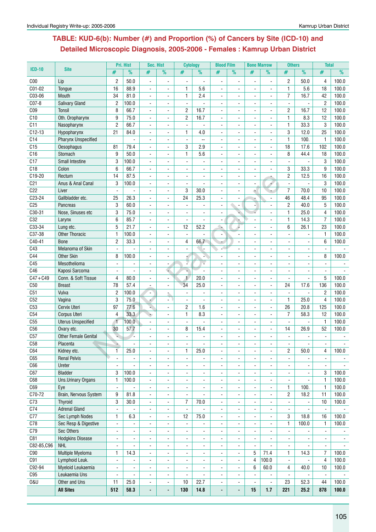# **Table: KUD-6(b): Number (#) and Proportion (%) of Cancers by Site (ICD-10) and Detailed Microscopic Diagnosis, 2005-2006 - Females : Kamrup Urban District**

|                 |                                   |                          | Pri. Hist          | Sec. Hist                |                          | <b>Cytology</b>          |                | <b>Blood Film</b>    |                          | <b>Bone Marrow</b>           |                          | <b>Others</b>            |                          | <b>Total</b>             |                |
|-----------------|-----------------------------------|--------------------------|--------------------|--------------------------|--------------------------|--------------------------|----------------|----------------------|--------------------------|------------------------------|--------------------------|--------------------------|--------------------------|--------------------------|----------------|
| <b>ICD-10</b>   | <b>Site</b>                       | #                        | $\frac{9}{6}$      | #                        | %                        | #                        | $\frac{9}{6}$  | #                    | $\frac{9}{6}$            | #                            | %                        | #                        | $\overline{\%}$          | #                        | %              |
| C <sub>00</sub> | Lip                               | $\overline{c}$           | 50.0               |                          |                          |                          |                |                      |                          |                              |                          | $\overline{c}$           | 50.0                     | 4                        | 100.0          |
| C01-02          | Tongue                            | 16                       | 88.9               | $\blacksquare$           |                          | $\mathbf{1}$             | 5.6            |                      |                          |                              |                          | $\mathbf{1}$             | 5.6                      | 18                       | 100.0          |
| C03-06          | Mouth                             | 34                       | 81.0               | $\sim$                   |                          | 1                        | 2.4            |                      |                          |                              |                          | $\overline{7}$           | 16.7                     | 42                       | 100.0          |
| $CO7-8$         | Salivary Gland                    | $\overline{c}$           | 100.0              | $\blacksquare$           | ä,                       | $\overline{a}$           |                |                      |                          |                              | $\overline{a}$           | $\overline{a}$           | ä,                       | $\overline{c}$           | 100.0          |
| C <sub>09</sub> |                                   |                          | 66.7               |                          |                          |                          | 16.7           | $\overline{a}$       |                          |                              |                          |                          | 16.7                     | 12                       | 100.0          |
|                 | <b>Tonsil</b>                     | 8                        |                    | $\overline{\phantom{a}}$ | ä,                       | $\overline{c}$           |                |                      |                          |                              | ÷.                       | $\overline{c}$           |                          |                          |                |
| C10             | Oth. Oropharynx                   | 9                        | 75.0               |                          |                          | $\overline{c}$           | 16.7           |                      |                          |                              |                          | $\mathbf{1}$             | 8.3                      | 12                       | 100.0          |
| C11             | Nasopharynx                       | $\mathbf{2}$             | 66.7               | $\blacksquare$           | $\frac{1}{2}$            |                          |                |                      |                          |                              |                          | 1                        | 33.3                     | 3                        | 100.0          |
| $C12-13$        | Hypopharynx                       | 21                       | 84.0               | $\overline{\phantom{a}}$ |                          | 1                        | 4.0            |                      |                          |                              | ÷                        | 3                        | 12.0                     | 25                       | 100.0          |
| C <sub>14</sub> | <b>Pharynx Unspecified</b>        |                          |                    | $\sim$                   | $\blacksquare$           | $\overline{\phantom{a}}$ | $\overline{a}$ |                      |                          |                              | $\blacksquare$           | 1                        | 100.                     | $\mathbf{1}$             | 100.0          |
| C15             | Oesophagus                        | 81                       | 79.4               | $\sim$                   | $\blacksquare$           | 3                        | 2.9            | $\blacksquare$       | $\sim$                   | $\overline{a}$               | $\sim$                   | 18                       | 17.6                     | 102                      | 100.0          |
| C16             | Stomach                           | 9                        | 50.0               | $\blacksquare$           | $\blacksquare$           | 1                        | 5.6            | $\blacksquare$       |                          |                              | $\sim$                   | 8                        | 44.4                     | 18                       | 100.0          |
| C17             | Small Intestine                   | 3                        | 100.0              | L,                       |                          |                          |                |                      |                          |                              |                          |                          |                          | 3                        | 100.0          |
| C18             | Colon                             | 6                        | 66.7               | $\blacksquare$           | $\blacksquare$           |                          |                |                      |                          |                              |                          | 3                        | 33.3                     | 9                        | 100.0          |
| C19-20          | Rectum                            | 14                       | 87.5               |                          |                          |                          |                |                      |                          |                              |                          | $\overline{c}$           | 12.5                     | 16                       | 100.0          |
| C <sub>21</sub> | Anus & Anal Canal                 | 3                        | 100.0              | $\blacksquare$           |                          |                          |                |                      |                          |                              |                          |                          |                          | 3                        | 100.0          |
| C22             | Liver                             | $\blacksquare$           |                    |                          |                          | 3                        | 30.0           |                      |                          | ۸                            |                          | $\overline{7}$           | 70.0                     | 10                       | 100.0          |
| $C23-24$        | Gallbladder etc.                  | 25                       | 26.3               | $\overline{a}$           | $\overline{a}$           | 24                       | 25.3           |                      |                          |                              |                          | 46                       | 48.4                     | 95                       | 100.0          |
| C <sub>25</sub> | Pancreas                          | 3                        | 60.0               | $\overline{\phantom{a}}$ |                          | $\blacksquare$           | ÷.             | $\blacksquare$       | $\overline{\phantom{a}}$ |                              |                          | $\overline{c}$           | 40.0                     | 5                        | 100.0          |
| C30-31          | Nose, Sinuses etc                 | 3                        | 75.0               |                          |                          |                          |                |                      |                          |                              |                          | $\mathbf{1}$             | 25.0                     | 4                        | 100.0          |
| C32             | Larynx                            | 6                        | 85.7               | $\blacksquare$           | $\frac{1}{2}$            |                          |                |                      |                          |                              |                          | 1                        | 14.3                     | $\overline{7}$           | 100.0          |
| C33-34          | Lung etc.                         | 5                        | 21.7               | $\overline{\phantom{a}}$ |                          | 12                       | 52.2           |                      |                          |                              | ÷                        | 6                        | 26.1                     | 23                       | 100.0          |
| C37-38          | <b>Other Thoracic</b>             | $\mathbf{1}$             | 100.0              | $\sim$                   | $\blacksquare$           | $\blacksquare$           |                | $\blacksquare$       |                          |                              | $\blacksquare$           |                          |                          | 1                        | 100.0          |
| C40-41          | <b>Bone</b>                       | 2                        | 33.3               | $\sim$                   | $\mathbf{r}$             | 4                        | 66.7           |                      | $\overline{a}$           | $\overline{a}$               | $\blacksquare$           | $\blacksquare$           | $\blacksquare$           | 6                        | 100.0          |
| C43             | Melanoma of Skin                  | $\blacksquare$           |                    | $\sim$                   | $\blacksquare$           | $\overline{\phantom{a}}$ |                |                      |                          |                              | $\blacksquare$           | $\blacksquare$           | $\blacksquare$           | $\blacksquare$           |                |
| C44             | <b>Other Skin</b>                 | 8                        | 100.0              |                          |                          |                          |                |                      |                          |                              |                          |                          |                          | 8                        | 100.0          |
|                 |                                   |                          |                    | $\overline{a}$           |                          |                          |                |                      |                          |                              |                          |                          |                          |                          |                |
| C45             | Mesothelioma                      | $\blacksquare$           |                    |                          |                          |                          |                |                      |                          |                              |                          |                          |                          |                          |                |
| C46             | Kaposi Sarcoma                    | $\blacksquare$           |                    |                          |                          |                          |                |                      |                          |                              |                          |                          |                          |                          |                |
| $C47 + C49$     | Conn. & Soft Tissue               | 4                        | 80.0               |                          |                          | $\mathbf{1}$             | 20.0           |                      |                          |                              |                          |                          |                          | 5                        | 100.0          |
| C50             | <b>Breast</b>                     | 78                       | 57.4               | $\sim$                   | $\blacksquare$           | 34                       | 25.0           | $\overline{a}$       |                          | $\blacksquare$               | $\overline{a}$           | 24                       | 17.6                     | 136                      | 100.0          |
| C51             | Vulva                             | $\overline{c}$           | 100.0              | $\blacksquare$           |                          | $\mathbf{r}$             |                |                      |                          |                              | $\overline{a}$           | $\overline{\phantom{a}}$ |                          | $\overline{c}$           | 100.0          |
| C52             | Vagina                            | 3                        | 75.0               |                          |                          | $\overline{a}$           |                |                      |                          |                              | ÷.                       | $\mathbf{1}$             | 25.0                     | $\overline{4}$           | 100.0          |
| C53             | Cervix Uteri                      | 97                       | 77.6               |                          |                          | 2                        | 1.6            |                      |                          |                              |                          | 26                       | 20.8                     | 125                      | 100.0          |
| C54             | Corpus Uteri                      | 4                        | 33.3               | ٠                        | $\blacksquare$           | $\mathbf{1}$             | 8.3            |                      |                          |                              |                          | $\overline{7}$           | 58.3                     | 12                       | 100.0          |
| C55             | <b>Uterus Unspecified</b>         | $\overline{1}$           | 100.0 <sub>1</sub> | $\blacksquare$           |                          | $\mathbf{r}$             |                | $\sim$               |                          |                              | $\overline{a}$           |                          | ä,                       | $\mathbf{1}$             | 100.0          |
| C <sub>56</sub> | Ovary etc.                        | 30                       | 57.7               | $\sim$                   | $\blacksquare$           | 8                        | 15.4           |                      |                          |                              | $\sim$                   | 14                       | 26.9                     | 52                       | 100.0          |
| C57             | <b>Other Female Genital</b>       | g)                       | ٠.                 | $\sim$                   | $\blacksquare$           | $\blacksquare$           |                | $\blacksquare$       | $\blacksquare$           | $\overline{a}$               | $\sim$                   | $\blacksquare$           | $\blacksquare$           | $\blacksquare$           |                |
| C <sub>58</sub> | Placenta                          |                          |                    |                          |                          |                          |                |                      |                          |                              |                          |                          |                          |                          |                |
| C64             | Kidney etc.                       | 1                        | 25.0               | $\blacksquare$           | $\overline{\phantom{a}}$ | 1                        | 25.0           |                      |                          | $\blacksquare$               | $\blacksquare$           | $\overline{c}$           | 50.0                     | 4                        | 100.0          |
| C65             | <b>Renal Pelvis</b>               | $\blacksquare$           | $\blacksquare$     | $\blacksquare$           | ä,                       | $\blacksquare$           |                | $\blacksquare$       | $\sim$                   | $\overline{\phantom{a}}$     | $\sim$                   | $\blacksquare$           |                          | $\blacksquare$           |                |
| C66             | Ureter                            | $\blacksquare$           |                    | $\blacksquare$           | ä,                       | $\overline{\phantom{a}}$ | ÷,             | $\ddot{\phantom{a}}$ |                          | $\blacksquare$               | $\sim$                   | $\blacksquare$           |                          | $\blacksquare$           |                |
| C67             | <b>Bladder</b>                    | 3                        | 100.0              | $\overline{\phantom{a}}$ | $\overline{\phantom{0}}$ |                          |                |                      |                          |                              |                          | $\blacksquare$           |                          | 3                        | 100.0          |
| C68             | <b>Uns.Urinary Organs</b>         | 1                        | 100.0              | $\blacksquare$           | $\frac{1}{2}$            | $\blacksquare$           | $\blacksquare$ | $\blacksquare$       | $\blacksquare$           | $\blacksquare$               | $\blacksquare$           | $\blacksquare$           | $\blacksquare$           | 1                        | 100.0          |
| C69             | Eye                               | $\mathbf{r}$             |                    | $\blacksquare$           | ä,                       | $\blacksquare$           | $\blacksquare$ | $\blacksquare$       | $\blacksquare$           | $\blacksquare$               | $\sim$                   | $\mathbf{1}$             | 100.                     | $\mathbf{1}$             | 100.0          |
| C70-72          | Brain, Nervous System             | 9                        | 81.8               | $\blacksquare$           | $\blacksquare$           | $\blacksquare$           |                | $\blacksquare$       | $\blacksquare$           | $\blacksquare$               |                          | $\overline{c}$           | 18.2                     | 11                       | 100.0          |
| C73             | <b>Thyroid</b>                    | 3                        | 30.0               | $\blacksquare$           | $\frac{1}{2}$            | $\overline{7}$           | 70.0           | $\blacksquare$       |                          |                              |                          | $\blacksquare$           |                          | 10                       | 100.0          |
| C <sub>74</sub> | <b>Adrenal Gland</b>              | $\blacksquare$           |                    | $\blacksquare$           | $\overline{\phantom{a}}$ | $\Box$                   |                | $\blacksquare$       |                          | $\qquad \qquad \blacksquare$ | $\blacksquare$           | $\blacksquare$           |                          | $\blacksquare$           |                |
| C77             | Sec Lymph Nodes                   | $\mathbf{1}$             | 6.3                | $\blacksquare$           | ÷.                       | 12                       | 75.0           | $\blacksquare$       | $\blacksquare$           | $\blacksquare$               | $\blacksquare$           | 3                        | 18.8                     | 16                       | 100.0          |
| C78             | Sec Resp & Digestive              | $\blacksquare$           | ä,                 | $\blacksquare$           | $\overline{\phantom{a}}$ | $\blacksquare$           | $\blacksquare$ | $\blacksquare$       | $\blacksquare$           | $\overline{\phantom{a}}$     | $\blacksquare$           | $\mathbf{1}$             | 100.0                    | 1                        | 100.0          |
| C79             | Sec Others                        | ä,                       | $\blacksquare$     | $\blacksquare$           | $\frac{1}{2}$            | $\blacksquare$           | $\blacksquare$ | $\blacksquare$       | $\blacksquare$           | $\blacksquare$               | $\blacksquare$           | $\blacksquare$           | $\blacksquare$           | $\blacksquare$           |                |
| C81             | <b>Hodgkins Disease</b>           | $\overline{\phantom{a}}$ | ÷,                 | $\blacksquare$           | $\frac{1}{2}$            | $\blacksquare$           | $\blacksquare$ | $\blacksquare$       | $\blacksquare$           | $\overline{\phantom{a}}$     | $\overline{a}$           | $\overline{\phantom{a}}$ |                          | $\overline{\phantom{a}}$ | $\sim$         |
| C82-85,C96      | <b>NHL</b>                        |                          |                    |                          |                          |                          |                |                      |                          |                              |                          |                          | $\blacksquare$           |                          |                |
|                 |                                   | $\blacksquare$           | $\blacksquare$     | $\blacksquare$           | $\overline{\phantom{a}}$ | $\blacksquare$           | $\blacksquare$ | $\blacksquare$       | $\blacksquare$           | $\blacksquare$               |                          | $\blacksquare$           | $\overline{\phantom{a}}$ | $\blacksquare$           |                |
| C90             | Multiple Myeloma                  | 1                        | 14.3               | $\blacksquare$           | $\frac{1}{2}$            | $\blacksquare$           | ÷,             | $\blacksquare$       | $\blacksquare$           | 5                            | 71.4                     | 1                        | 14.3                     | $\overline{7}$           | 100.0          |
| C91             | Lymphoid Leuk.                    | $\blacksquare$           | $\blacksquare$     | $\blacksquare$           | ä,                       | $\overline{\phantom{a}}$ | ÷,             | ÷,                   | $\overline{\phantom{a}}$ | 4                            | 100.0                    | $\blacksquare$           | ä,                       | 4                        | 100.0          |
| C92-94          | Myeloid Leukaemia                 | $\blacksquare$           |                    | ÷,                       | $\overline{\phantom{0}}$ | $\blacksquare$           | $\overline{a}$ |                      | $\blacksquare$           | 6                            | 60.0                     | 4                        | 40.0                     | 10                       | 100.0          |
| C95             |                                   |                          |                    | $\blacksquare$           | $\blacksquare$           | $\blacksquare$           | $\overline{a}$ | $\blacksquare$       | $\blacksquare$           | $\blacksquare$               | $\overline{\phantom{a}}$ | $\blacksquare$           | $\overline{\phantom{a}}$ | $\blacksquare$           |                |
|                 | Leukaemia Uns                     | $\blacksquare$           |                    |                          |                          |                          |                |                      |                          |                              |                          |                          |                          |                          |                |
| 0&U             | Other and Uns<br><b>All Sites</b> | 11<br>512                | 25.0<br>58.3       | $\blacksquare$           | $\blacksquare$           | 10<br>130                | 22.7<br>14.8   | $\blacksquare$       | $\overline{\phantom{a}}$ | ÷,<br>15                     | 1.7                      | 23<br>221                | 52.3<br>25.2             | 44<br>878                | 100.0<br>100.0 |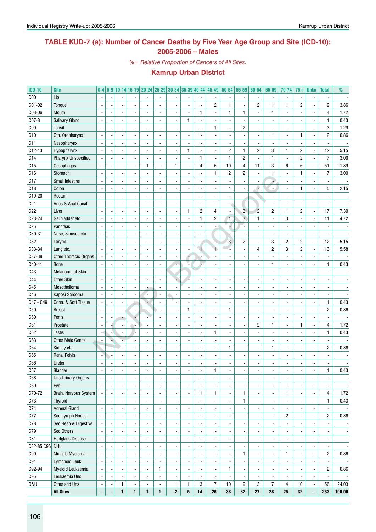## **TABLE KUD-7 (a): Number of Cancer Deaths by Five Year Age Group and Site (ICD-10): 2005-2006 – Males**

*%= Relative Proportion of Cancers of All Sites.*

| <b>ICD-10</b>   | <b>Site</b>                | $0-4$                    |                          |                          | 5-9 10-14 15-19 20-24 25-29 30-34 35-39 40-44 |                          |                          |                |                          | 45-49                    | 50-54                    | 55-59                   | 60-64                    | 65-69          | 70-74                    | $75+$                    | <b>Unkn</b>              | <b>Total</b>             | %                        |
|-----------------|----------------------------|--------------------------|--------------------------|--------------------------|-----------------------------------------------|--------------------------|--------------------------|----------------|--------------------------|--------------------------|--------------------------|-------------------------|--------------------------|----------------|--------------------------|--------------------------|--------------------------|--------------------------|--------------------------|
| C <sub>00</sub> | Lip                        |                          |                          |                          |                                               |                          |                          |                |                          |                          |                          |                         |                          |                | $\overline{\phantom{a}}$ |                          |                          |                          |                          |
| C01-02          | Tongue                     |                          |                          |                          |                                               |                          |                          |                | $\overline{a}$           | $\overline{c}$           | 1                        | $\blacksquare$          | $\overline{c}$           | 1              | $\mathbf{1}$             | $\overline{c}$           |                          | 9                        | 3.86                     |
| C03-06          | Mouth                      |                          |                          |                          |                                               |                          |                          |                | 1                        |                          | 1                        | 1                       |                          | 1              | ä,                       |                          |                          | 4                        | 1.72                     |
| $CO7-8$         | <b>Salivary Gland</b>      |                          |                          |                          |                                               |                          |                          | $\mathbf{1}$   |                          |                          |                          |                         |                          |                |                          |                          |                          | $\mathbf{1}$             | 0.43                     |
| C <sub>09</sub> | Tonsil                     |                          |                          |                          |                                               |                          |                          |                |                          | $\mathbf{1}$             |                          | $\overline{c}$          |                          |                |                          |                          |                          | 3                        | 1.29                     |
| C10             | Oth. Oropharynx            |                          |                          |                          |                                               |                          |                          |                |                          |                          |                          | ÷,                      |                          | 1              | ä,                       | 1                        |                          | $\overline{2}$           | 0.86                     |
| C11             | Nasopharynx                |                          |                          |                          |                                               |                          |                          |                |                          |                          |                          |                         |                          |                |                          |                          |                          |                          |                          |
| C12-13          | Hypopharynx                |                          |                          |                          |                                               |                          |                          | $\mathbf{1}$   | ÷,                       |                          | $\overline{c}$           | 1                       | $\overline{c}$           | 3              | $\mathbf{1}$             | 2                        | ÷,                       | 12                       | 5.15                     |
| C14             | <b>Pharynx Unspecified</b> |                          |                          |                          |                                               |                          |                          |                | $\mathbf{1}$             |                          | 1                        | $\overline{c}$          | $\overline{\phantom{a}}$ | $\mathbf{1}$   | $\frac{1}{2}$            | 2                        |                          | $\overline{7}$           | 3.00                     |
| C15             |                            |                          |                          |                          | 1                                             |                          | $\mathbf{1}$             |                | 4                        | 5                        | $10$                     | $\overline{\mathbf{4}}$ | 11                       | 3              | 6                        | 6                        | $\overline{a}$           | 51                       | 21.89                    |
| C16             | Oesophagus                 |                          |                          |                          |                                               |                          |                          |                | ÷,                       | $\mathbf{1}$             |                          | 2                       |                          |                |                          | 1                        |                          | $\overline{7}$           |                          |
|                 | Stomach                    |                          |                          |                          |                                               |                          |                          |                |                          |                          | 2                        |                         | $\overline{\phantom{a}}$ | 1              | $\frac{1}{2}$            |                          |                          |                          | 3.00                     |
| C17             | Small Intestine            |                          |                          |                          |                                               |                          |                          |                |                          |                          |                          | ÷,                      |                          |                | $\overline{\phantom{a}}$ |                          |                          | ä,                       |                          |
| C18             | Colon                      |                          |                          |                          |                                               |                          |                          |                |                          |                          | 4                        | $\blacksquare$          | e                        |                |                          | 1                        |                          | 5                        | 2.15                     |
| C19-20          | Rectum                     |                          |                          |                          |                                               |                          |                          |                |                          |                          |                          |                         |                          |                |                          |                          |                          |                          |                          |
| C <sub>21</sub> | Anus & Anal Canal          |                          |                          |                          |                                               |                          |                          |                |                          |                          |                          | Ģ                       |                          |                |                          |                          |                          |                          |                          |
| C22             | Liver                      |                          |                          |                          |                                               |                          |                          | $\mathbf{1}$   | $\overline{c}$           | 4                        |                          | $\mathbf{3}$            | $\overline{c}$           | $\overline{c}$ | $\mathbf{1}$             | 2                        | $\overline{a}$           | 17                       | 7.30                     |
| C23-24          | Gallbladder etc.           |                          |                          |                          |                                               |                          |                          |                | $\mathbf{1}$             | $\overline{c}$           | 1                        | $\overline{3}$          | $\mathbf{1}$             |                | 3                        |                          |                          | 11                       | 4.72                     |
| C <sub>25</sub> | Pancreas                   |                          |                          |                          |                                               |                          |                          |                | $\overline{a}$           |                          | 4                        |                         |                          |                |                          |                          |                          |                          |                          |
| C30-31          | Nose, Sinuses etc.         | $\overline{\phantom{a}}$ |                          |                          |                                               |                          |                          |                |                          |                          |                          |                         |                          |                |                          |                          |                          |                          |                          |
| C32             | Larynx                     |                          |                          |                          |                                               |                          |                          |                |                          |                          | $\mathbf{3}$             | $\overline{c}$          | $\overline{a}$           | 3              | $\overline{2}$           | 2                        | $\overline{a}$           | 12                       | 5.15                     |
| C33-34          | Lung etc.                  | $\overline{\phantom{a}}$ |                          |                          |                                               |                          |                          |                | $\mathbf{L}$             | $\blacktriangleleft$     |                          | $\overline{a}$          | 4                        | $\overline{c}$ | 3                        | 2                        |                          | 13                       | 5.58                     |
| C37-38          | Other Thoracic Organs      |                          |                          |                          |                                               |                          |                          |                |                          |                          |                          |                         |                          |                |                          |                          |                          | ÷,                       |                          |
| C40-41          | <b>Bone</b>                |                          |                          |                          |                                               |                          |                          |                |                          |                          |                          |                         |                          | 1              |                          |                          |                          | $\mathbf{1}$             | 0.43                     |
| C43             | Melanoma of Skin           | $\overline{\phantom{a}}$ |                          |                          |                                               |                          |                          |                |                          |                          |                          |                         |                          |                |                          |                          |                          |                          |                          |
| C44             | <b>Other Skin</b>          |                          |                          |                          |                                               |                          |                          |                |                          |                          |                          |                         |                          |                |                          |                          |                          |                          |                          |
| C45             | Mesothelioma               |                          |                          |                          |                                               |                          |                          |                |                          |                          |                          |                         |                          |                |                          |                          |                          |                          |                          |
| C46             | Kaposi Sarcoma             |                          |                          |                          | $\frac{1}{2}$                                 |                          |                          |                |                          |                          |                          |                         |                          |                |                          |                          |                          |                          |                          |
| $C47 + C49$     | Conn. & Soft Tissue        |                          |                          | 1                        |                                               |                          |                          |                |                          |                          |                          |                         |                          |                |                          |                          |                          | $\mathbf{1}$             | 0.43                     |
| C50             | <b>Breast</b>              |                          |                          |                          |                                               |                          |                          | $\mathbf{1}$   |                          |                          | 1                        |                         |                          |                |                          |                          |                          | $\overline{2}$           | 0.86                     |
| C60             | Penis                      |                          |                          |                          |                                               |                          |                          |                |                          |                          |                          |                         |                          |                |                          |                          |                          |                          |                          |
| C61             | Prostate                   |                          |                          |                          |                                               |                          |                          |                |                          |                          |                          | ÷,                      | $\overline{c}$           | 1              |                          | 1                        |                          | 4                        | 1.72                     |
| C62             | <b>Testis</b>              |                          |                          |                          |                                               |                          |                          |                |                          | $\mathbf{1}$             |                          |                         |                          |                |                          |                          |                          | $\mathbf{1}$             | 0.43                     |
|                 |                            |                          |                          |                          |                                               |                          |                          |                |                          |                          |                          |                         |                          |                |                          |                          |                          |                          |                          |
| C63             | <b>Other Male Genital</b>  | $\overline{\phantom{a}}$ |                          |                          |                                               |                          |                          |                |                          |                          |                          |                         |                          |                |                          |                          |                          | $\frac{1}{2}$            |                          |
| C64             | Kidney etc.                |                          |                          |                          |                                               |                          |                          |                |                          |                          | 1                        | $\overline{a}$          |                          | 1              |                          |                          |                          | $\overline{c}$           | 0.86                     |
| C65             | <b>Renal Pelvis</b>        |                          |                          |                          |                                               |                          |                          |                |                          |                          |                          |                         |                          |                |                          |                          |                          |                          |                          |
| C66             | Ureter                     |                          |                          |                          |                                               |                          |                          |                |                          |                          |                          |                         |                          |                |                          |                          |                          |                          |                          |
| C67             | Bladder                    | $\overline{\phantom{a}}$ | $\overline{\phantom{a}}$ | $\overline{\phantom{a}}$ | $\overline{\phantom{a}}$                      | $\overline{\phantom{a}}$ | $\overline{\phantom{a}}$ | ٠              | $\overline{\phantom{a}}$ | 1                        | ۰                        | ٠                       | $\overline{\phantom{a}}$ | ٠              | ٠                        | $\overline{\phantom{a}}$ | ٠                        | 1                        | 0.43                     |
| C68             | Uns.Urinary Organs         | $\overline{\phantom{a}}$ | $\overline{a}$           |                          | $\overline{a}$                                | $\overline{\phantom{a}}$ | $\overline{\phantom{a}}$ | $\overline{a}$ | $\blacksquare$           | $\overline{a}$           | $\overline{a}$           | ÷,                      | $\overline{a}$           | $\blacksquare$ | $\overline{\phantom{a}}$ |                          | ÷,                       | $\frac{1}{2}$            |                          |
| C69             | Eye                        | $\blacksquare$           | $\overline{a}$           |                          | $\overline{a}$                                | ä,                       | $\overline{\phantom{a}}$ | $\overline{a}$ | $\blacksquare$           | $\overline{a}$           | $\overline{a}$           | ÷,                      | $\overline{a}$           | $\blacksquare$ | $\overline{\phantom{a}}$ |                          | ÷,                       |                          | $\overline{\phantom{a}}$ |
| C70-72          | Brain, Nervous System      | $\blacksquare$           | $\overline{a}$           |                          | $\overline{a}$                                | ä,                       | $\overline{\phantom{a}}$ | $\overline{a}$ | 1                        | 1                        | $\overline{\phantom{a}}$ | 1                       | $\blacksquare$           | $\blacksquare$ | $\mathbf{1}$             |                          | $\blacksquare$           | 4                        | 1.72                     |
| C73             | Thyroid                    | $\blacksquare$           | $\overline{a}$           |                          | $\frac{1}{2}$                                 | ä,                       | $\overline{\phantom{a}}$ | $\overline{a}$ | $\overline{\phantom{a}}$ | $\overline{a}$           | $\overline{\phantom{a}}$ | 1                       | $\blacksquare$           | $\blacksquare$ | $\blacksquare$           |                          | $\overline{\phantom{a}}$ | 1                        | 0.43                     |
| C74             | <b>Adrenal Gland</b>       | $\blacksquare$           | $\overline{a}$           |                          | $\frac{1}{2}$                                 | ä,                       | $\overline{\phantom{a}}$ | $\overline{a}$ | $\blacksquare$           | $\overline{a}$           | $\overline{\phantom{a}}$ | $\blacksquare$          | ä,                       | $\blacksquare$ |                          |                          | $\overline{\phantom{a}}$ | $\overline{a}$           | $\overline{\phantom{a}}$ |
| C77             | Sec Lymph Nodes            | $\overline{\phantom{a}}$ | $\overline{a}$           |                          | $\frac{1}{2}$                                 | ä,                       | $\overline{\phantom{a}}$ | $\overline{a}$ | $\blacksquare$           | $\overline{\phantom{0}}$ | $\overline{\phantom{a}}$ | $\blacksquare$          | $\overline{a}$           | $\blacksquare$ | $\overline{c}$           |                          | $\blacksquare$           | $\overline{2}$           | 0.86                     |
| C78             | Sec Resp & Digestive       |                          | $\overline{a}$           |                          | $\frac{1}{2}$                                 | ä,                       | $\overline{\phantom{a}}$ | $\overline{a}$ | $\blacksquare$           | $\overline{\phantom{0}}$ | $\overline{\phantom{a}}$ | $\tilde{\phantom{a}}$   | $\overline{a}$           | ÷,             | $\overline{\phantom{a}}$ |                          | ÷,                       |                          | $\blacksquare$           |
| C79             | Sec Others                 | $\blacksquare$           | $\overline{a}$           |                          | $\overline{a}$                                | ä,                       | $\overline{\phantom{a}}$ | $\overline{a}$ | $\blacksquare$           | $\overline{a}$           | $\overline{\phantom{a}}$ | ÷,                      | $\overline{a}$           | $\blacksquare$ | $\overline{\phantom{a}}$ |                          | ÷,                       | ä,                       | $\blacksquare$           |
| C81             | <b>Hodgkins Disease</b>    | $\overline{\phantom{a}}$ | $\overline{a}$           |                          | $\overline{a}$                                | ä,                       | $\overline{\phantom{a}}$ | $\overline{a}$ | $\overline{\phantom{a}}$ | $\overline{a}$           | $\overline{\phantom{a}}$ | ÷,                      | $\overline{a}$           | $\blacksquare$ | $\overline{\phantom{a}}$ |                          | ÷,                       | ä,                       | $\blacksquare$           |
| C82-85, C96 NHL |                            | $\blacksquare$           | $\overline{a}$           |                          | $\overline{a}$                                | ä,                       | $\overline{\phantom{a}}$ | $\overline{a}$ | $\overline{\phantom{a}}$ | $\overline{a}$           | $\overline{\phantom{a}}$ | ÷,                      | $\overline{a}$           | $\blacksquare$ | $\overline{\phantom{a}}$ |                          | $\blacksquare$           |                          | $\overline{\phantom{a}}$ |
| C90             | Multiple Myeloma           | $\overline{\phantom{a}}$ | $\overline{a}$           |                          | $\overline{a}$                                | ä,                       | $\overline{\phantom{a}}$ | $\overline{a}$ | $\overline{\phantom{a}}$ | $\overline{a}$           | $\overline{a}$           | 1                       | $\overline{\phantom{a}}$ | $\blacksquare$ | $\mathbf{1}$             |                          | ä,                       | $\overline{2}$           | 0.86                     |
| C91             | Lymphoid Leuk.             | $\overline{\phantom{a}}$ | $\overline{a}$           |                          | $\overline{a}$                                | ä,                       | $\overline{\phantom{a}}$ | $\overline{a}$ | $\overline{\phantom{a}}$ | $\overline{a}$           | $\overline{\phantom{a}}$ | $\blacksquare$          | $\overline{a}$           | $\blacksquare$ | $\overline{\phantom{a}}$ |                          | ÷,                       | $\overline{\phantom{a}}$ | $\overline{\phantom{a}}$ |
| C92-94          | Myeloid Leukaemia          | $\overline{\phantom{a}}$ | $\overline{a}$           |                          | $\overline{a}$                                | 1                        | $\overline{\phantom{a}}$ | $\overline{a}$ | $\blacksquare$           | $\overline{a}$           | $\mathbf{1}$             | $\blacksquare$          | $\overline{a}$           | $\blacksquare$ | $\overline{\phantom{a}}$ |                          | ÷,                       | $\overline{2}$           | 0.86                     |
| ${\tt C95}$     | Leukaemia Uns              | $\blacksquare$           | $\overline{a}$           | $\blacksquare$           | $\overline{a}$                                | $\overline{\phantom{a}}$ | $\overline{\phantom{a}}$ | $\overline{a}$ | $\overline{\phantom{a}}$ | $\overline{a}$           | $\overline{\phantom{a}}$ | $\blacksquare$          | $\overline{\phantom{a}}$ | $\blacksquare$ | $\overline{\phantom{a}}$ |                          | ÷,                       | $\overline{\phantom{a}}$ | $\overline{\phantom{a}}$ |
| 0&U             | Other and Uns              |                          |                          |                          | $\frac{1}{2}$                                 |                          | $\mathbf{1}$             | 1              | 3                        | $\overline{7}$           | 10                       | 9                       | 3                        | $\overline{7}$ | 4                        | 10                       |                          | 56                       | 24.03                    |
|                 |                            | $\overline{\phantom{a}}$ | 1                        | $\blacksquare$           |                                               | $\overline{\phantom{a}}$ |                          |                |                          |                          |                          |                         |                          |                |                          |                          | ÷                        |                          |                          |
|                 | <b>All Sites</b>           | $\blacksquare$           | 1                        | 1                        | 1                                             | 1                        | $\mathbf{2}$             | 5              | ${\bf 14}$               | 26                       | ${\bf 38}$               | 32                      | 27                       | 28             | 25                       | 32                       | ÷,                       | 233                      | 100.00                   |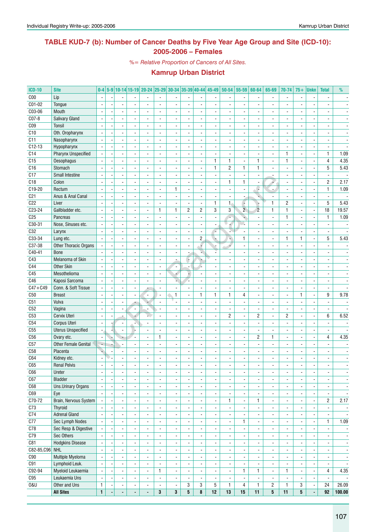## **TABLE KUD-7 (b): Number of Cancer Deaths by Five Year Age Group and Site (ICD-10): 2005-2006 – Females**

*%= Relative Proportion of Cancers of All Sites.*

| <b>ICD-10</b>    | <b>Site</b>                 | $0-4$                    |                          |                          |                          |                          |                          |                          |                          |                          | 5-9 10-14 15-19 20-24 25-29 30-34 35-39 40-44 45-49 50-54 |                          | 55-59                        | 60-64                    | 65-69                    | 70-74                    | $75+$                    | Unkn                     | <b>Total</b>             | $\%$                     |
|------------------|-----------------------------|--------------------------|--------------------------|--------------------------|--------------------------|--------------------------|--------------------------|--------------------------|--------------------------|--------------------------|-----------------------------------------------------------|--------------------------|------------------------------|--------------------------|--------------------------|--------------------------|--------------------------|--------------------------|--------------------------|--------------------------|
| C <sub>00</sub>  | Lip                         |                          |                          |                          |                          |                          |                          |                          |                          |                          |                                                           |                          |                              |                          |                          | $\overline{\phantom{a}}$ |                          |                          |                          |                          |
| C01-02           | Tongue                      |                          |                          |                          |                          |                          | $\overline{a}$           |                          |                          | $\blacksquare$           | $\blacksquare$                                            |                          |                              |                          |                          | $\overline{a}$           |                          |                          | $\overline{a}$           |                          |
| C03-06           | Mouth                       |                          |                          |                          |                          |                          |                          |                          |                          |                          |                                                           |                          |                              |                          |                          | $\overline{a}$           |                          |                          | $\overline{\phantom{a}}$ |                          |
| C07-8            | <b>Salivary Gland</b>       |                          |                          |                          |                          |                          | L                        |                          |                          | ÷,                       |                                                           |                          | ä,                           |                          |                          | ÷,                       |                          |                          | Ĭ.                       |                          |
| CO <sub>9</sub>  | Tonsil                      | $\sim$                   |                          | $\overline{\phantom{a}}$ |                          | $\blacksquare$           | $\overline{a}$           | $\overline{\phantom{a}}$ | $\blacksquare$           | $\overline{\phantom{a}}$ | $\blacksquare$                                            | $\overline{a}$           | $\overline{\phantom{a}}$     | $\blacksquare$           | $\overline{a}$           | $\blacksquare$           | $\blacksquare$           | $\overline{\phantom{a}}$ | $\blacksquare$           | $\blacksquare$           |
| C10              | Oth. Oropharynx             | $\overline{\phantom{a}}$ |                          | $\overline{\phantom{a}}$ |                          | $\overline{a}$           | ÷,                       | $\overline{\phantom{a}}$ |                          | ä,                       | $\blacksquare$                                            |                          | ä,                           | $\blacksquare$           |                          | $\overline{a}$           | $\overline{a}$           | $\overline{a}$           | $\overline{a}$           |                          |
| C11              | Nasopharynx                 |                          |                          | $\overline{\phantom{a}}$ |                          |                          |                          | $\overline{\phantom{a}}$ |                          | -                        | $\overline{\phantom{a}}$                                  |                          | $\qquad \qquad \blacksquare$ | $\overline{\phantom{a}}$ |                          | $\overline{\phantom{a}}$ |                          | ×                        | ٠                        |                          |
| $C12-13$         | Hypopharynx                 | $\blacksquare$           |                          | $\overline{\phantom{a}}$ |                          |                          |                          | $\overline{a}$           |                          | $\overline{a}$           | $\overline{a}$                                            |                          | ä,                           |                          |                          | $\overline{a}$           |                          | ÷,                       | ÷,                       |                          |
| C14              | <b>Pharynx Unspecified</b>  |                          |                          | $\overline{a}$           |                          | $\blacksquare$           | $\overline{a}$           | $\blacksquare$           | $\overline{\phantom{a}}$ | $\overline{\phantom{a}}$ | $\mathbf{r}$                                              | $\overline{a}$           | ä,                           | $\blacksquare$           | $\overline{a}$           | $\mathbf{1}$             | $\blacksquare$           | $\overline{\phantom{a}}$ | 1                        | 1.09                     |
| C15              | <b>Oesophagus</b>           |                          |                          | $\blacksquare$           |                          |                          | $\overline{\phantom{0}}$ |                          |                          | $\overline{a}$           | $\mathbf{1}$                                              | $\mathbf{1}$             | $\overline{\phantom{a}}$     | $\mathbf{1}$             | $\blacksquare$           | $\mathbf{1}$             |                          | ÷,                       | 4                        | 4.35                     |
| C16              | Stomach                     |                          |                          | $\ddot{\phantom{a}}$     |                          |                          | ÷,                       |                          |                          | ÷,                       | $\mathbf{1}$                                              | $\overline{c}$           | 1                            | $\mathbf{1}$             |                          | L.                       |                          | ÷,                       | 5                        | 5.43                     |
| C17              | Small Intestine             |                          |                          | $\overline{\phantom{a}}$ |                          | $\blacksquare$           | $\overline{a}$           | $\blacksquare$           | $\blacksquare$           | $\blacksquare$           | $\blacksquare$                                            | $\overline{a}$           | $\Box$                       | $\blacksquare$           |                          | $\overline{\phantom{a}}$ | $\blacksquare$           | $\overline{\phantom{a}}$ | $\blacksquare$           | $\sim$                   |
| C18              | Colon                       | $\overline{\phantom{a}}$ |                          | $\blacksquare$           | $\overline{\phantom{a}}$ | $\overline{a}$           | $\overline{a}$           | $\blacksquare$           | $\overline{\phantom{a}}$ | ä,                       | $\blacksquare$                                            | $\mathbf{1}$             | 1                            | $\overline{\phantom{a}}$ |                          | $\blacksquare$           | $\overline{a}$           | $\blacksquare$           | $\overline{2}$           | 2.17                     |
| C19-20           | Rectum                      |                          |                          | $\overline{\phantom{a}}$ |                          |                          | $\blacksquare$           | 1                        |                          | -                        | $\overline{\phantom{a}}$                                  |                          | $\overline{\phantom{a}}$     | G                        | $\overline{\phantom{a}}$ | $\overline{\phantom{a}}$ | $\overline{\phantom{a}}$ | $\overline{a}$           | 1                        | 1.09                     |
| C <sub>21</sub>  | Anus & Anal Canal           | $\overline{\phantom{a}}$ |                          |                          |                          |                          |                          | $\overline{\phantom{a}}$ |                          | $\overline{a}$           |                                                           |                          | $\overline{\phantom{a}}$     |                          |                          |                          |                          |                          | $\blacksquare$           |                          |
| C22              | Liver                       |                          |                          | $\overline{a}$           |                          | $\overline{a}$           | $\overline{a}$           | $\blacksquare$           | $\blacksquare$           | $\frac{1}{2}$            | $\mathbf{1}$                                              | $\mathbf{1}$             | F                            |                          | 1                        | $\overline{c}$           | $\blacksquare$           | $\overline{\phantom{a}}$ | 5                        | 5.43                     |
| $C23-24$         | Gallbladder etc.            |                          |                          | $\blacksquare$           |                          |                          | 1                        | $\mathbf{1}$             | $\overline{c}$           | $\overline{c}$           | 3                                                         | 3                        | $\overline{2}$               | $\overline{2}$           | 1                        | $\mathbf{1}$             |                          | $\blacksquare$           | 18                       | 19.57                    |
| C <sub>25</sub>  | Pancreas                    |                          |                          | $\overline{\phantom{a}}$ |                          |                          |                          |                          |                          | Ĭ.                       |                                                           |                          | ٠                            | $\overline{a}$           |                          | $\mathbf{1}$             |                          |                          | 1                        | 1.09                     |
| C30-31           | Nose, Sinuses etc.          |                          |                          | $\overline{\phantom{a}}$ |                          | $\overline{\phantom{a}}$ | $\overline{a}$           | $\overline{a}$           |                          | $\blacksquare$           | $\blacksquare$                                            |                          | Ò.                           | $\blacksquare$           |                          | ä,                       |                          | $\overline{a}$           | $\blacksquare$           |                          |
| $\overline{C32}$ | Larynx                      | $\blacksquare$           |                          | $\blacksquare$           |                          | $\overline{\phantom{a}}$ | ÷.                       | $\blacksquare$           | $\overline{\phantom{a}}$ | $\blacksquare$           | ÷.                                                        | L.                       | ÷,                           | $\blacksquare$           |                          | $\blacksquare$           | $\blacksquare$           | ÷,                       | $\blacksquare$           | $\blacksquare$           |
| C33-34           | Lung etc.                   |                          |                          | $\blacksquare$           |                          | $\blacksquare$           | $\overline{\phantom{0}}$ | $\overline{\phantom{a}}$ | $\blacksquare$           | $\mathbf{2}$             | à.                                                        | ¥.                       | 1                            | $\overline{\phantom{a}}$ |                          | 1                        | 1                        | $\overline{\phantom{a}}$ | 5                        | 5.43                     |
| C37-38           | Other Thoracic Organs       |                          |                          | $\overline{\phantom{a}}$ |                          |                          |                          | $\overline{a}$           |                          | Ļ                        |                                                           |                          | $\blacksquare$               |                          |                          | $\overline{a}$           |                          |                          | $\overline{a}$           |                          |
| C40-41           | <b>Bone</b>                 |                          |                          | $\overline{a}$           |                          | $\sim$                   | $\overline{a}$           | $\blacksquare$           |                          | ¥.                       |                                                           | $\overline{a}$           | $\blacksquare$               | $\blacksquare$           | $\overline{a}$           | $\blacksquare$           | ۰                        | $\overline{\phantom{a}}$ | $\blacksquare$           |                          |
| C43              | Melanoma of Skin            |                          |                          | $\overline{\phantom{a}}$ |                          |                          | $\overline{a}$           |                          | ÷                        | ٠                        |                                                           |                          | $\overline{\phantom{a}}$     |                          |                          | $\overline{\phantom{a}}$ |                          |                          | $\overline{\phantom{a}}$ |                          |
| C44              | <b>Other Skin</b>           |                          |                          |                          |                          |                          |                          |                          |                          | L.                       |                                                           |                          | $\overline{\phantom{a}}$     | $\overline{\phantom{a}}$ |                          | $\overline{a}$           |                          |                          | $\overline{a}$           |                          |
| C45              | Mesothelioma                |                          |                          | $\blacksquare$           |                          | $\overline{a}$           | $\overline{\phantom{a}}$ | 4                        |                          | $\overline{\phantom{a}}$ | $\overline{a}$                                            |                          | $\overline{\phantom{a}}$     |                          |                          | ä,                       |                          | $\overline{\phantom{a}}$ | $\overline{\phantom{a}}$ |                          |
| C46              | Kaposi Sarcoma              | $\overline{\phantom{a}}$ |                          | $\blacksquare$           |                          | $\overline{a}$           | $\overline{a}$           | ù.                       |                          | $\frac{1}{2}$            | $\blacksquare$                                            | $\overline{a}$           | $\blacksquare$               | $\blacksquare$           |                          | $\overline{a}$           | $\blacksquare$           | $\overline{\phantom{a}}$ | $\overline{\phantom{a}}$ | $\blacksquare$           |
| $C47 + C49$      | Conn. & Soft Tissue         |                          |                          | $\overline{\phantom{a}}$ |                          |                          | $\overline{\phantom{a}}$ | $\overline{\phantom{a}}$ |                          | -                        | $\overline{\phantom{a}}$                                  |                          | ٠                            | $\overline{\phantom{a}}$ |                          | $\overline{\phantom{a}}$ | $\overline{\phantom{a}}$ | $\overline{\phantom{a}}$ | ٠                        | $\overline{\phantom{a}}$ |
| C50              | <b>Breast</b>               |                          |                          | $\blacksquare$           | ÷,                       | $\overline{\phantom{0}}$ | ÷.                       | 1                        | $\overline{\phantom{a}}$ | $\mathbf{1}$             | $\mathbf{1}$                                              | 1                        | 4                            |                          |                          | $\overline{a}$           | $\mathbf{1}$             | ÷,                       | 9                        | 9.78                     |
| C51              | Vulva                       | $\overline{\phantom{a}}$ |                          | $\overline{a}$           |                          | à.                       | $\overline{a}$           | $\blacksquare$           |                          | $\overline{\phantom{a}}$ | $\overline{\phantom{a}}$                                  | $\overline{a}$           | ä,                           | $\blacksquare$           | $\overline{a}$           | $\blacksquare$           | $\blacksquare$           | $\overline{\phantom{a}}$ | $\blacksquare$           |                          |
| C52              | Vagina                      |                          |                          | $\blacksquare$           |                          |                          |                          |                          |                          |                          |                                                           |                          | ÷,                           |                          |                          | $\overline{\phantom{a}}$ |                          |                          |                          |                          |
| C53              | Cervix Uteri                |                          |                          |                          |                          | ¥.                       |                          |                          |                          | $\overline{a}$           | $\blacksquare$                                            | $\overline{c}$           | $\overline{a}$               | $\overline{c}$           |                          | $\overline{c}$           |                          |                          | 6                        | 6.52                     |
| C54              | Corpus Uteri                | $\blacksquare$           |                          | $\blacksquare$           |                          | $\overline{\phantom{a}}$ | $\overline{a}$           | $\overline{a}$           |                          | $\overline{a}$           | $\overline{a}$                                            |                          | $\overline{\phantom{a}}$     |                          |                          |                          |                          |                          | $\overline{a}$           |                          |
| C55              | <b>Uterus Unspecified</b>   |                          |                          | $\blacksquare$           |                          | $\blacksquare$           | ÷,                       | $\overline{a}$           | $\blacksquare$           | $\overline{\phantom{a}}$ | $\mathbf{r}$                                              | $\blacksquare$           | $\blacksquare$               | $\blacksquare$           | $\overline{a}$           | $\overline{a}$           | $\blacksquare$           | $\overline{\phantom{a}}$ | $\blacksquare$           | $\blacksquare$           |
| C56              | Ovary etc.                  |                          |                          | ÷                        |                          | $\blacksquare$           | 1                        | $\overline{\phantom{a}}$ |                          | $\overline{a}$           | $\blacksquare$                                            |                          | ٠                            | $\overline{c}$           | 1                        | $\overline{\phantom{a}}$ | $\overline{\phantom{a}}$ | ٠                        | 4                        | 4.35                     |
| C57              | <b>Other Female Genital</b> | $\overline{\phantom{a}}$ |                          | $\overline{a}$           |                          |                          |                          | ÷,                       |                          | $\overline{a}$           |                                                           |                          | ä,                           |                          |                          | ÷,                       |                          |                          |                          |                          |
| C <sub>58</sub>  | Placenta                    |                          |                          | $\blacksquare$           |                          | $\blacksquare$           | $\overline{a}$           | $\blacksquare$           |                          | $\overline{\phantom{a}}$ | $\overline{\phantom{a}}$                                  |                          | ä,                           | $\blacksquare$           | $\overline{a}$           | $\overline{\phantom{a}}$ | $\blacksquare$           | ÷,                       | $\blacksquare$           |                          |
| C64              | Kidney etc.                 |                          |                          | $\blacksquare$           |                          |                          |                          | $\blacksquare$           |                          | Ĭ.                       | $\blacksquare$                                            |                          | ÷,                           | $\overline{\phantom{a}}$ |                          | ÷,                       | $\blacksquare$           |                          | $\overline{a}$           | $\blacksquare$           |
| C65              | <b>Renal Pelvis</b>         |                          |                          |                          |                          |                          |                          |                          |                          |                          |                                                           |                          |                              |                          |                          |                          |                          |                          | $\overline{a}$           |                          |
| C66              | Ureter                      | $\blacksquare$           |                          | $\overline{\phantom{a}}$ | $\overline{\phantom{a}}$ | $\overline{\phantom{a}}$ | $\blacksquare$           | $\overline{\phantom{a}}$ | $\overline{\phantom{a}}$ | $\overline{\phantom{a}}$ | $\overline{\phantom{a}}$                                  | $\overline{\phantom{a}}$ | $\overline{\phantom{a}}$     | $\overline{\phantom{a}}$ | $\overline{\phantom{a}}$ | $\overline{\phantom{a}}$ | $\overline{\phantom{a}}$ | $\overline{\phantom{a}}$ | $\overline{\phantom{a}}$ | $\overline{\phantom{a}}$ |
| C67              | Bladder                     | $\overline{\phantom{a}}$ | $\overline{\phantom{a}}$ | $\overline{\phantom{a}}$ | $\overline{\phantom{a}}$ | $\blacksquare$           | $\blacksquare$           | $\blacksquare$           | $\blacksquare$           | $\blacksquare$           | $\overline{\phantom{a}}$                                  | $\overline{\phantom{a}}$ | $\overline{\phantom{a}}$     | $\blacksquare$           | $\overline{\phantom{a}}$ | $\frac{1}{2}$            | $\blacksquare$           | $\overline{\phantom{a}}$ | $\overline{\phantom{a}}$ | $\overline{\phantom{a}}$ |
| C68              | <b>Uns.Urinary Organs</b>   | $\blacksquare$           |                          | $\overline{\phantom{a}}$ | $\overline{\phantom{a}}$ | $\overline{\phantom{a}}$ | $\blacksquare$           | $\overline{\phantom{a}}$ | $\blacksquare$           | $\overline{\phantom{a}}$ | $\overline{\phantom{a}}$                                  | $\overline{\phantom{a}}$ | ٠                            | $\overline{\phantom{a}}$ | $\overline{\phantom{a}}$ | $\overline{\phantom{a}}$ | $\blacksquare$           | $\overline{\phantom{a}}$ | $\overline{\phantom{a}}$ | $\overline{\phantom{a}}$ |
| C69              | Eye                         | $\overline{\phantom{a}}$ |                          | $\blacksquare$           | $\overline{a}$           | $\blacksquare$           | $\overline{a}$           | $\overline{\phantom{a}}$ | $\blacksquare$           | $\overline{a}$           | $\overline{\phantom{a}}$                                  | ä,                       | $\overline{\phantom{a}}$     | $\overline{\phantom{a}}$ | $\overline{\phantom{a}}$ | $\blacksquare$           | $\blacksquare$           | $\overline{\phantom{a}}$ | $\overline{\phantom{a}}$ | $\overline{\phantom{a}}$ |
| C70-72           | Brain, Nervous System       | $\blacksquare$           |                          | $\overline{\phantom{a}}$ | $\blacksquare$           | $\overline{\phantom{a}}$ | $\blacksquare$           | $\overline{\phantom{a}}$ | $\blacksquare$           | $\overline{\phantom{a}}$ | $\overline{\phantom{a}}$                                  | $\mathbf{1}$             | $\overline{\phantom{a}}$     | 1                        | $\blacksquare$           | $\overline{\phantom{a}}$ | $\blacksquare$           | $\overline{\phantom{a}}$ | 2                        | 2.17                     |
| C73              | Thyroid                     |                          |                          | $\blacksquare$           | $\blacksquare$           | $\overline{\phantom{a}}$ | $\blacksquare$           | $\blacksquare$           |                          | ä,                       | $\blacksquare$                                            | $\blacksquare$           | ä,                           | $\blacksquare$           | $\blacksquare$           | ÷,                       | $\blacksquare$           | $\blacksquare$           | $\blacksquare$           | $\overline{\phantom{a}}$ |
| C74              | <b>Adrenal Gland</b>        |                          |                          | $\overline{\phantom{a}}$ | $\blacksquare$           | $\overline{\phantom{a}}$ | $\overline{\phantom{a}}$ | $\overline{\phantom{a}}$ |                          | $\overline{\phantom{a}}$ |                                                           | $\overline{\phantom{a}}$ | $\qquad \qquad \blacksquare$ |                          | $\overline{\phantom{a}}$ | $\overline{\phantom{a}}$ |                          | $\overline{\phantom{a}}$ | -                        | $\overline{\phantom{a}}$ |
| C <sub>77</sub>  | Sec Lymph Nodes             | $\blacksquare$           |                          | $\overline{\phantom{a}}$ | $\overline{\phantom{a}}$ | $\overline{\phantom{a}}$ | $\overline{\phantom{a}}$ | $\overline{\phantom{a}}$ | $\overline{\phantom{a}}$ | $\blacksquare$           | $\blacksquare$                                            | $\overline{\phantom{a}}$ | $\mathbf{1}$                 | $\overline{\phantom{a}}$ | $\overline{\phantom{a}}$ | $\overline{\phantom{a}}$ | $\blacksquare$           | $\blacksquare$           | 1                        | 1.09                     |
| C78              | Sec Resp & Digestive        | $\blacksquare$           |                          | $\overline{\phantom{a}}$ | $\overline{\phantom{a}}$ | $\overline{\phantom{a}}$ | ÷,                       | $\overline{\phantom{a}}$ | $\blacksquare$           | $\blacksquare$           | $\overline{\phantom{a}}$                                  | $\overline{\phantom{a}}$ | $\overline{\phantom{a}}$     | $\blacksquare$           | $\overline{\phantom{a}}$ | $\overline{\phantom{a}}$ | $\blacksquare$           | $\overline{\phantom{a}}$ | $\overline{\phantom{a}}$ | $\overline{\phantom{a}}$ |
| C79              | Sec Others                  |                          |                          | $\overline{\phantom{a}}$ | $\overline{\phantom{a}}$ | $\overline{\phantom{a}}$ | $\overline{\phantom{a}}$ | $\overline{\phantom{a}}$ | $\overline{\phantom{a}}$ | $\overline{\phantom{a}}$ | $\overline{\phantom{a}}$                                  | $\overline{\phantom{a}}$ | ٠                            | $\overline{\phantom{a}}$ | $\overline{\phantom{a}}$ | $\overline{\phantom{a}}$ | $\blacksquare$           | $\overline{\phantom{a}}$ | $\overline{\phantom{a}}$ | $\overline{\phantom{a}}$ |
| C81              | <b>Hodgkins Disease</b>     | $\overline{\phantom{a}}$ |                          | $\blacksquare$           | $\blacksquare$           | $\blacksquare$           | $\blacksquare$           | $\overline{\phantom{a}}$ | $\blacksquare$           | $\overline{\phantom{a}}$ | $\blacksquare$                                            | $\overline{\phantom{a}}$ | ٠                            | $\overline{\phantom{a}}$ | $\blacksquare$           | $\overline{\phantom{a}}$ | $\overline{\phantom{a}}$ | $\overline{\phantom{a}}$ | $\overline{\phantom{a}}$ | $\overline{\phantom{a}}$ |
| C82-85, C96 NHL  |                             | $\overline{\phantom{a}}$ |                          | $\overline{\phantom{a}}$ | $\blacksquare$           | $\overline{\phantom{a}}$ | $\overline{\phantom{a}}$ | $\overline{\phantom{a}}$ |                          | $\overline{\phantom{a}}$ | $\overline{\phantom{a}}$                                  | $\overline{\phantom{a}}$ | $\overline{\phantom{a}}$     | $\overline{\phantom{a}}$ | $\blacksquare$           | $\overline{\phantom{a}}$ | $\overline{\phantom{a}}$ | $\overline{\phantom{a}}$ | $\overline{\phantom{a}}$ | $\overline{\phantom{a}}$ |
| C90              | Multiple Myeloma            | $\blacksquare$           |                          | $\blacksquare$           | $\blacksquare$           | $\blacksquare$           | $\blacksquare$           | $\blacksquare$           | $\blacksquare$           | $\overline{\phantom{a}}$ | $\blacksquare$                                            | $\frac{1}{2}$            | $\overline{\phantom{a}}$     | $\blacksquare$           | $\blacksquare$           | $\blacksquare$           | $\blacksquare$           | $\blacksquare$           | $\overline{\phantom{a}}$ | $\overline{\phantom{a}}$ |
| C91              | Lymphoid Leuk.              |                          |                          | $\overline{\phantom{a}}$ | $\overline{\phantom{a}}$ | $\overline{\phantom{a}}$ | $\blacksquare$           | $\overline{\phantom{a}}$ |                          | $\overline{\phantom{a}}$ | $\overline{\phantom{a}}$                                  | $\overline{\phantom{a}}$ | $\overline{\phantom{a}}$     | $\overline{\phantom{a}}$ | $\overline{\phantom{a}}$ | $\overline{\phantom{a}}$ |                          | $\overline{\phantom{a}}$ | $\overline{\phantom{a}}$ | $\overline{\phantom{a}}$ |
| C92-94           | Myeloid Leukaemia           | $\overline{\phantom{a}}$ |                          | $\blacksquare$           | $\blacksquare$           | $\blacksquare$           | 1                        | $\overline{\phantom{a}}$ |                          | $\blacksquare$           | $\overline{\phantom{a}}$                                  | $\blacksquare$           | 1                            | 1                        | $\overline{\phantom{a}}$ | $\mathbf{1}$             | $\blacksquare$           | ÷,                       | 4                        | 4.35                     |
| C95              | Leukaemia Uns               | $\blacksquare$           |                          | $\overline{\phantom{a}}$ | $\overline{\phantom{a}}$ | $\overline{\phantom{a}}$ | $\overline{\phantom{a}}$ | $\overline{\phantom{a}}$ | $\overline{\phantom{a}}$ | $\blacksquare$           | $\overline{\phantom{a}}$                                  | $\overline{\phantom{a}}$ | $\overline{\phantom{a}}$     | $\overline{\phantom{a}}$ | $\overline{\phantom{a}}$ | $\overline{\phantom{a}}$ | $\blacksquare$           | $\overline{\phantom{a}}$ | $\overline{\phantom{a}}$ | $\blacksquare$           |
| <b>0&amp;U</b>   | Other and Uns               | $\mathbf{1}$             | $\overline{\phantom{a}}$ | $\overline{\phantom{a}}$ | $\overline{\phantom{a}}$ | $\overline{\phantom{a}}$ | $\blacksquare$           | $\overline{\phantom{a}}$ | 3                        | 3                        | 5                                                         | 1                        | 4                            | 1                        | $\overline{\mathbf{c}}$  | 1                        | 3                        | $\overline{\phantom{a}}$ | 24                       | 26.09                    |
|                  | <b>All Sites</b>            | 1                        |                          | $\blacksquare$           | $\blacksquare$           | $\blacksquare$           | 3                        | 3                        | 5                        | 8                        | $12\,$                                                    | 13                       | 15                           | 11                       | $5\phantom{.0}$          | 11                       | 5                        | $\blacksquare$           | 92                       | 100.00                   |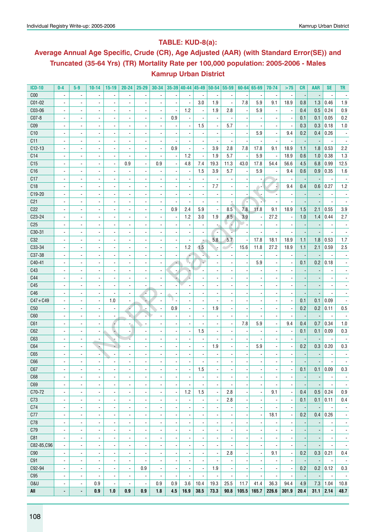## **Table: KUD-8(a):**

# **Average Annual Age Specific, Crude (CR), Age Adjusted (AAR) (with Standard Error(SE)) and Truncated (35-64 Yrs) (TR) Mortality Rate per 100,000 population: 2005-2006 - Males Kamrup Urban District**

| <b>ICD-10</b>   | $0-4$                    | $5-9$                    | $10 - 14$                | $15-19$                  | $20 - 24$                | 25-29                        | $30 - 34$                    |                          | $35-39$ 40-44 45-49      |                          | $ 50-54 55-59$           |                          |       | $60 - 64$ 65-69          | 70-74                    | >75                      | CR                       | <b>AAR</b>               | <b>SE</b>                | <b>TR</b>                |
|-----------------|--------------------------|--------------------------|--------------------------|--------------------------|--------------------------|------------------------------|------------------------------|--------------------------|--------------------------|--------------------------|--------------------------|--------------------------|-------|--------------------------|--------------------------|--------------------------|--------------------------|--------------------------|--------------------------|--------------------------|
| C <sub>00</sub> | $\overline{\phantom{a}}$ | $\overline{\phantom{a}}$ | $\overline{a}$           | $\overline{\phantom{a}}$ | $\blacksquare$           | $\overline{a}$               |                              | $\overline{\phantom{a}}$ |                          |                          |                          | $\overline{\phantom{a}}$ |       | $\overline{\phantom{a}}$ | ÷,                       | $\overline{\phantom{a}}$ | $\overline{\phantom{a}}$ | $\overline{\phantom{a}}$ | $\overline{\phantom{a}}$ |                          |
| C01-02          | ÷,                       | $\overline{a}$           | $\overline{a}$           | $\blacksquare$           | $\blacksquare$           | Ĭ.                           |                              | $\overline{a}$           | ÷,                       | 3.0                      | 1.9                      | $\overline{\phantom{a}}$ | 7.8   | 5.9                      | 9.1                      | 18.9                     | 0.8                      | 1.3                      | 0.46                     | 1.9                      |
| C03-06          | ÷,                       | $\overline{a}$           | $\overline{a}$           | $\blacksquare$           | $\blacksquare$           | $\overline{\phantom{a}}$     | $\blacksquare$               | $\overline{\phantom{a}}$ | 1.2                      | ÷,                       | 1.9                      | 2.8                      |       | 5.9                      |                          | $\overline{\phantom{a}}$ | 0.4                      | 0.5                      | 0.24                     | 0.9                      |
| C07-8           | $\overline{\phantom{a}}$ | $\overline{\phantom{a}}$ |                          | $\overline{\phantom{a}}$ | $\overline{\phantom{a}}$ | $\overline{\phantom{a}}$     | $\overline{\phantom{a}}$     | 0.9                      |                          |                          |                          |                          |       | $\overline{\phantom{a}}$ |                          | ä,                       | 0.1                      | 0.1                      | 0.05                     | 0.2                      |
| C <sub>09</sub> | $\overline{\phantom{a}}$ | $\overline{\phantom{a}}$ |                          | $\overline{\phantom{a}}$ | $\overline{\phantom{a}}$ | $\overline{\phantom{a}}$     | $\overline{\phantom{a}}$     | $\overline{\phantom{a}}$ |                          | 1.5                      |                          | 5.7                      |       | $\overline{\phantom{a}}$ |                          | $\overline{\phantom{a}}$ | 0.3                      | 0.3                      | 0.18                     | 1.0                      |
| C10             | $\overline{\phantom{a}}$ | $\overline{\phantom{a}}$ | $\overline{a}$           | $\overline{\phantom{a}}$ | $\overline{\phantom{a}}$ | $\overline{\phantom{a}}$     | $\overline{\phantom{a}}$     | $\overline{\phantom{a}}$ |                          |                          | $\overline{\phantom{a}}$ |                          |       | 5.9                      | $\overline{\phantom{a}}$ | 9.4                      | 0.2                      | 0.4                      | 0.26                     |                          |
| C11             | $\overline{\phantom{a}}$ | $\overline{\phantom{a}}$ |                          | $\overline{\phantom{a}}$ | $\overline{\phantom{a}}$ | $\blacksquare$               | $\overline{\phantom{a}}$     | $\overline{\phantom{a}}$ |                          |                          |                          |                          |       | $\overline{\phantom{a}}$ |                          | $\overline{\phantom{a}}$ | Н,                       |                          |                          |                          |
| $C12-13$        | $\overline{\phantom{a}}$ | $\overline{\phantom{a}}$ |                          | $\blacksquare$           | $\blacksquare$           | $\blacksquare$               | $\blacksquare$               | 0.9                      |                          | $\overline{a}$           | 3.9                      | 2.8                      | 7.8   | 17.8                     | 9.1                      | 18.9                     | 1.1                      | 1.8                      | 0.53                     | 2.2                      |
| C14             | $\overline{\phantom{a}}$ | $\blacksquare$           |                          | $\overline{\phantom{a}}$ |                          | $\blacksquare$               | $\blacksquare$               | $\overline{\phantom{a}}$ | 1.2                      | $\overline{a}$           | 1.9                      | 5.7                      |       | 5.9                      | $\overline{\phantom{a}}$ | 18.9                     | 0.6                      | 1.0                      | 0.38                     | 1.3                      |
| C15             | $\overline{\phantom{a}}$ | $\blacksquare$           | $\overline{a}$           | $\overline{\phantom{a}}$ | 0.9                      | $\blacksquare$               | 0.9                          | $\overline{\phantom{a}}$ | 4.8                      | 7.4                      | 19.3                     | 11.3                     | 43.0  | 17.8                     | 54.4                     | 56.6                     | 4.5                      | 6.8                      | 0.99                     | 12.5                     |
| C16             | $\blacksquare$           | $\blacksquare$           | $\overline{a}$           | $\blacksquare$           | $\overline{\phantom{a}}$ | ÷,                           |                              | $\overline{\phantom{a}}$ | $\overline{\phantom{a}}$ | 1.5                      | 3.9                      | 5.7                      |       | 5.9                      | $\overline{\phantom{a}}$ | 9.4                      | 0.6                      | 0.9                      | 0.35                     | 1.6                      |
| C17             | ÷,                       | $\overline{a}$           | $\overline{a}$           | $\blacksquare$           | $\overline{\phantom{a}}$ | ÷,                           |                              | $\overline{\phantom{a}}$ |                          |                          |                          |                          |       |                          |                          | $\blacksquare$           |                          |                          |                          |                          |
| C18             | ÷,                       | $\blacksquare$           | $\overline{a}$           | $\blacksquare$           | $\blacksquare$           | ÷,                           |                              | $\overline{a}$           |                          | $\overline{\phantom{a}}$ | 7.7                      |                          |       | ٠.                       |                          | 9.4                      | 0.4                      | 0.6                      | 0.27                     | 1.2                      |
| C19-20          | $\overline{\phantom{a}}$ | $\blacksquare$           | $\overline{a}$           | $\blacksquare$           | $\blacksquare$           | ÷,                           |                              | $\overline{\phantom{a}}$ |                          | $\overline{\phantom{a}}$ |                          | $\blacksquare$           |       | ÷                        |                          | $\overline{\phantom{a}}$ |                          |                          | $\overline{a}$           |                          |
| C <sub>21</sub> | $\overline{\phantom{a}}$ | $\blacksquare$           | $\overline{a}$           | $\blacksquare$           | $\blacksquare$           | $\blacksquare$               | $\overline{\phantom{a}}$     | $\overline{\phantom{a}}$ |                          |                          | $\overline{\phantom{a}}$ |                          |       | i.                       |                          | ä,                       |                          |                          | $\overline{\phantom{a}}$ |                          |
| C22             | $\overline{a}$           | $\overline{\phantom{a}}$ | $\overline{a}$           | $\blacksquare$           | $\overline{\phantom{a}}$ | $\blacksquare$               | $\blacksquare$               | 0.9                      | 2.4                      | 5.9                      | $\overline{\phantom{a}}$ | 8.5                      | 7.8   | 11.8                     | 9.1                      | 18.9                     | 1.5                      | 2.1                      | 0.55                     | 3.9                      |
| C23-24          | $\overline{a}$           | $\overline{\phantom{a}}$ | $\overline{a}$           | $\blacksquare$           | $\overline{\phantom{a}}$ | ÷,                           | $\overline{\phantom{a}}$     | $\overline{\phantom{a}}$ | 1.2                      | 3.0                      | 1.9                      | 8.5                      | 3.9   | $\blacksquare$           | 27.2                     | $\overline{\phantom{a}}$ | 1.0                      | 1.4                      | 0.44                     | 2.7                      |
|                 |                          |                          |                          |                          |                          |                              |                              |                          |                          |                          |                          | ٠                        |       |                          |                          |                          |                          |                          |                          |                          |
| C <sub>25</sub> | $\blacksquare$           | $\blacksquare$           | $\overline{\phantom{a}}$ | $\blacksquare$           | $\blacksquare$           | $\overline{\phantom{a}}$     |                              | $\overline{a}$           |                          |                          |                          |                          |       | $\blacksquare$           |                          |                          |                          |                          | ٠                        |                          |
| C30-31          | $\overline{\phantom{a}}$ | $\blacksquare$           | $\overline{\phantom{a}}$ | $\overline{\phantom{a}}$ | $\blacksquare$           | $\overline{\phantom{a}}$     |                              | ٠                        |                          | $\blacksquare$           | $\blacksquare$           |                          |       | $\overline{a}$           |                          | $\blacksquare$           |                          |                          | $\overline{\phantom{a}}$ |                          |
| C32             | $\overline{\phantom{a}}$ | $\blacksquare$           | $\blacksquare$           | $\blacksquare$           | $\blacksquare$           | $\overline{\phantom{a}}$     |                              | $\overline{\phantom{a}}$ |                          |                          | 5.8                      | 5.7                      |       | 17.8                     | 18.1                     | 18.9                     | 1.1                      | 1.8                      | 0.53                     | 1.7                      |
| C33-34          |                          | $\blacksquare$           | $\blacksquare$           | $\blacksquare$           | $\blacksquare$           | $\overline{\phantom{a}}$     |                              | $\blacksquare$           | 1.2                      | 1.5                      |                          | z.                       | 15.6  | 11.8                     | 27.2                     | 18.9                     | 1.1                      | 2.1                      | 0.59                     | 2.5                      |
| C37-38          | $\overline{\phantom{a}}$ | $\blacksquare$           | $\blacksquare$           | $\blacksquare$           | $\blacksquare$           | $\overline{\phantom{a}}$     |                              | $\overline{\phantom{a}}$ | 4                        |                          |                          |                          |       |                          |                          | $\blacksquare$           |                          |                          |                          |                          |
| C40-41          | $\overline{\phantom{a}}$ | $\blacksquare$           | $\blacksquare$           | $\overline{a}$           | $\blacksquare$           | $\overline{a}$               |                              | $\overline{\phantom{a}}$ | v.                       |                          |                          |                          |       | 5.9                      |                          | $\overline{a}$           | 0.1                      | 0.2                      | 0.18                     |                          |
| C43             | $\blacksquare$           | $\overline{a}$           | $\overline{\phantom{a}}$ | $\overline{a}$           | $\blacksquare$           | $\overline{a}$               |                              | $\overline{\phantom{a}}$ |                          |                          |                          |                          |       |                          |                          |                          |                          |                          |                          |                          |
| C44             | $\blacksquare$           | $\overline{a}$           | $\overline{\phantom{a}}$ | $\blacksquare$           | $\overline{a}$           | ä,                           |                              | ٠                        |                          |                          | $\overline{a}$           |                          |       | ÷,                       |                          |                          |                          |                          | $\overline{\phantom{a}}$ |                          |
| C45             | $\blacksquare$           | $\overline{a}$           | $\overline{\phantom{a}}$ | ÷.                       | $\blacksquare$           | $\blacksquare$               |                              | $\overline{\phantom{a}}$ |                          |                          |                          |                          |       | $\overline{a}$           |                          |                          |                          |                          | $\overline{a}$           |                          |
| C46             | $\blacksquare$           | $\overline{a}$           | $\overline{\phantom{a}}$ | $\overline{a}$           | $\overline{\phantom{a}}$ | l.                           | $\overline{a}$               | $\overline{\phantom{a}}$ |                          | $\overline{a}$           |                          |                          |       | $\overline{a}$           |                          |                          |                          |                          | $\overline{a}$           |                          |
| $C47 + C49$     | $\blacksquare$           | ÷                        | $\overline{\phantom{a}}$ | 1.0                      | $\overline{\phantom{a}}$ | ٥                            |                              | v<br>$\overline{a}$      |                          | $\overline{a}$           |                          |                          |       | $\overline{a}$           |                          | $\frac{1}{2}$            | 0.1                      | 0.1                      | 0.09                     |                          |
| C50             |                          |                          |                          | $\blacksquare$           | ۶                        | ÷                            |                              | 0.9                      |                          | $\blacksquare$           | 1.9                      | $\overline{a}$           |       | $\overline{a}$           |                          | $\frac{1}{2}$            | 0.2                      | 0.2                      | 0.11                     | 0.5                      |
| C60             |                          |                          |                          | $\overline{a}$           | u)                       |                              |                              | $\overline{a}$           |                          |                          |                          | $\overline{a}$           |       |                          |                          | ä,                       |                          |                          |                          |                          |
| C61             |                          |                          |                          |                          |                          |                              |                              | $\overline{a}$           |                          |                          |                          |                          | 7.8   | 5.9                      |                          | 9.4                      | 0.4                      | 0.7                      | 0.34                     | $1.0\,$                  |
| C62             |                          |                          |                          | G,                       |                          |                              |                              | $\overline{\phantom{a}}$ |                          | 1.5                      |                          |                          |       |                          |                          | ä,                       | 0.1                      | 0.1                      | 0.09                     | 0.3                      |
| C63             |                          |                          | $\overline{a}$           |                          |                          |                              |                              | $\overline{\phantom{a}}$ |                          |                          |                          |                          |       |                          |                          |                          |                          |                          |                          |                          |
| C64             |                          | $\overline{\phantom{a}}$ | ÷                        | D                        |                          |                              |                              | $\overline{\phantom{a}}$ |                          |                          | 1.9                      |                          |       | 5.9                      |                          |                          | 0.2                      | 0.3                      | 0.20                     | 0.3                      |
| C65             |                          |                          |                          | $\blacksquare$           |                          |                              |                              | $\overline{a}$           |                          |                          |                          |                          |       |                          |                          |                          |                          |                          |                          |                          |
| C66             |                          |                          |                          |                          |                          |                              |                              |                          |                          |                          |                          |                          |       |                          |                          |                          |                          |                          |                          |                          |
| C6/             | $\overline{\phantom{a}}$ | $\overline{\phantom{a}}$ | ٠                        | ۰                        | $\overline{\phantom{a}}$ | $\overline{\phantom{a}}$     | $\overline{\phantom{a}}$     | $\overline{\phantom{a}}$ |                          | 1.5                      | $\overline{\phantom{a}}$ | ٠                        |       | $\overline{\phantom{a}}$ | ٠                        | ٠                        | 0.1                      | 0.1                      | 0.09                     | $0.3\,$                  |
| C68             | $\overline{\phantom{a}}$ | $\overline{a}$           | $\overline{a}$           | $\overline{\phantom{a}}$ | $\overline{\phantom{a}}$ | ä,                           | $\overline{\phantom{a}}$     | ä,                       | $\overline{\phantom{a}}$ | $\blacksquare$           | ÷,                       |                          |       | $\overline{a}$           | $\overline{a}$           | $\overline{\phantom{a}}$ |                          |                          | $\overline{\phantom{a}}$ | $\overline{\phantom{a}}$ |
| C69             | $\overline{\phantom{a}}$ | $\overline{\phantom{a}}$ | $\overline{a}$           | $\overline{\phantom{a}}$ | $\overline{a}$           | ä,                           | $\overline{\phantom{a}}$     | ä,                       |                          | $\blacksquare$           | ÷,                       |                          |       | $\overline{a}$           |                          | $\overline{\phantom{a}}$ |                          |                          | $\overline{\phantom{a}}$ | $\blacksquare$           |
| C70-72          | ä,                       | $\overline{\phantom{a}}$ | $\overline{a}$           | $\overline{\phantom{a}}$ | $\overline{a}$           | $\overline{\phantom{a}}$     | $\overline{\phantom{a}}$     | $\overline{\phantom{a}}$ | 1.2                      | 1.5                      | $\overline{\phantom{a}}$ | 2.8                      |       | ÷,                       | 9.1                      | $\frac{1}{2}$            | 0.4                      |                          | $0.5$ 0.24               | 0.9                      |
| C73             | ä,                       | $\overline{\phantom{a}}$ | $\overline{a}$           | $\overline{\phantom{a}}$ | $\overline{a}$           | ä,                           | $\blacksquare$               | $\overline{\phantom{a}}$ | ÷,                       | $\blacksquare$           | $\overline{\phantom{a}}$ | 2.8                      |       | $\overline{a}$           |                          | $\blacksquare$           | 0.1                      | 0.1                      | 0.11                     | 0.4                      |
| C74             | ä,                       | $\overline{\phantom{a}}$ | $\overline{a}$           | $\overline{\phantom{a}}$ | $\blacksquare$           | $\overline{a}$               | $\overline{a}$               | $\overline{a}$           |                          | $\blacksquare$           | $\overline{a}$           | $\blacksquare$           |       | $\overline{a}$           |                          | $\overline{\phantom{a}}$ |                          |                          | $\overline{\phantom{a}}$ | $\overline{\phantom{a}}$ |
| C77             | ä,                       | $\overline{\phantom{a}}$ | $\overline{a}$           | $\overline{\phantom{a}}$ | $\blacksquare$           | $\overline{a}$               | $\overline{a}$               | $\overline{a}$           |                          | $\blacksquare$           | ä,                       |                          |       | $\overline{\phantom{a}}$ | 18.1                     | $\blacksquare$           | 0.2                      | 0.4                      | 0.26                     | $\overline{\phantom{a}}$ |
| C78             | ä,                       | $\blacksquare$           | $\overline{a}$           | $\overline{\phantom{a}}$ | $\blacksquare$           | ÷,                           | $\overline{a}$               | $\overline{a}$           |                          | $\blacksquare$           | $\overline{\phantom{a}}$ |                          |       | $\overline{a}$           |                          | ä,                       |                          |                          | $\overline{\phantom{a}}$ | $\blacksquare$           |
| C79             | $\blacksquare$           | $\overline{\phantom{a}}$ |                          | $\overline{\phantom{a}}$ | $\overline{\phantom{a}}$ | $\overline{\phantom{a}}$     | $\overline{a}$               | $\overline{\phantom{m}}$ | $\overline{\phantom{a}}$ | $\overline{\phantom{a}}$ | $\overline{\phantom{a}}$ | $\blacksquare$           |       | $\overline{\phantom{a}}$ | ٠                        | $\overline{\phantom{a}}$ |                          |                          | $\overline{\phantom{a}}$ | $\overline{\phantom{a}}$ |
| C81             | $\blacksquare$           | $\overline{\phantom{a}}$ |                          | $\overline{\phantom{a}}$ | $\overline{\phantom{a}}$ | $\qquad \qquad \blacksquare$ | $\qquad \qquad \blacksquare$ | $\overline{\phantom{m}}$ | $\overline{\phantom{a}}$ | $\overline{\phantom{a}}$ | $\overline{\phantom{m}}$ | $\blacksquare$           |       | $\overline{\phantom{a}}$ | $\overline{\phantom{a}}$ | $\overline{\phantom{a}}$ |                          | $\overline{\phantom{a}}$ | $\overline{\phantom{a}}$ | $\overline{\phantom{a}}$ |
| C82-85, C96     | $\overline{\phantom{a}}$ | $\overline{\phantom{a}}$ | $\overline{\phantom{a}}$ | $\overline{\phantom{a}}$ | $\overline{\phantom{a}}$ | $\qquad \qquad \blacksquare$ | $\qquad \qquad \blacksquare$ | $\overline{\phantom{a}}$ | $\overline{\phantom{a}}$ | $\overline{\phantom{a}}$ | $\overline{\phantom{m}}$ |                          |       | $\overline{\phantom{m}}$ | ٠                        | $\overline{\phantom{a}}$ | -                        | $\overline{\phantom{a}}$ | $\overline{\phantom{a}}$ | $\overline{\phantom{a}}$ |
| C90             | $\overline{\phantom{a}}$ | $\overline{\phantom{a}}$ | -                        | $\overline{\phantom{a}}$ | $\overline{\phantom{a}}$ | $\qquad \qquad \blacksquare$ | $\qquad \qquad \blacksquare$ | $\overline{\phantom{m}}$ | $\overline{a}$           | $\overline{\phantom{a}}$ | $\overline{\phantom{a}}$ | 2.8                      |       | $\overline{\phantom{a}}$ | 9.1                      | $\overline{\phantom{a}}$ | 0.2                      | 0.3                      | 0.21                     | 0.4                      |
| C91             | $\overline{\phantom{a}}$ | $\blacksquare$           | $\overline{\phantom{a}}$ | $\overline{\phantom{a}}$ | $\overline{\phantom{a}}$ | $\qquad \qquad \blacksquare$ | -                            | $\overline{\phantom{m}}$ | $\overline{a}$           | $\overline{\phantom{a}}$ | $\overline{\phantom{a}}$ |                          |       | $\overline{\phantom{a}}$ | $\overline{a}$           | $\overline{\phantom{a}}$ | ÷                        | $\overline{\phantom{a}}$ | $\overline{\phantom{a}}$ | $\overline{\phantom{a}}$ |
| C92-94          | $\overline{\phantom{a}}$ | $\blacksquare$           | $\overline{\phantom{a}}$ | $\overline{\phantom{a}}$ | $\overline{\phantom{a}}$ | 0.9                          | $\qquad \qquad \blacksquare$ | $\overline{\phantom{a}}$ | $\overline{a}$           | $\overline{\phantom{a}}$ | 1.9                      |                          |       | $\overline{\phantom{a}}$ | $\overline{a}$           | $\overline{\phantom{a}}$ | 0.2                      |                          | $0.2$ 0.12               | 0.3                      |
| C95             | $\overline{\phantom{a}}$ | $\overline{\phantom{a}}$ | $\frac{1}{2}$            | $\overline{\phantom{a}}$ | $\overline{\phantom{a}}$ | $\overline{\phantom{a}}$     | $\overline{\phantom{a}}$     | $\overline{\phantom{a}}$ | $\overline{\phantom{a}}$ | $\overline{\phantom{a}}$ | $\overline{\phantom{a}}$ | $\overline{\phantom{a}}$ |       | $\overline{\phantom{a}}$ | $\overline{\phantom{a}}$ | $\overline{\phantom{a}}$ | ÷,                       | $\overline{\phantom{a}}$ | $\overline{\phantom{a}}$ | $\overline{\phantom{a}}$ |
| 0&U             | ٠                        | $\blacksquare$           | 0.9                      | $\overline{\phantom{a}}$ | $\blacksquare$           | $\overline{\phantom{a}}$     | 0.9                          | 0.9                      | 3.6                      | 10.4                     | 19.3                     | 25.5                     | 11.7  | 41.4                     | 36.3                     | 94.4                     | 4.9                      | 7.3                      | 1.04                     | 10.8                     |
| All             | ۰                        | $\blacksquare$           | 0.9                      | 1.0                      | 0.9                      | 0.9                          | 1.8                          | 4.5                      | 16.9                     | 38.5                     | 73.3                     | 90.8                     | 105.5 | 165.7                    | 226.6                    | 301.9                    | 20.4                     | $31.1$ 2.14              |                          | 48.7                     |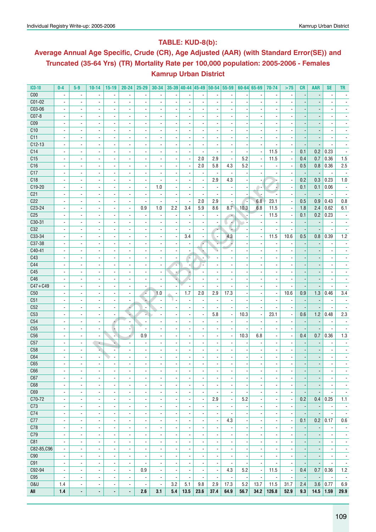## **Table: KUD-8(b):**

# **Average Annual Age Specific, Crude (CR), Age Adjusted (AAR) (with Standard Error(SE)) and Truncated (35-64 Yrs) (TR) Mortality Rate per 100,000 population: 2005-2006 - Females Kamrup Urban District**

| $ICD-10$        | $0-4$                    | $5-9$                    | $10 - 14$                | $15-19$                  | $20 - 24$                | $25 - 29$                |                          |                          |                          |                          |                          | 30-34 35-39 40-44 45-49 50-54 55-59 |                          | $60 - 64$ 65-69          | 70-74                    | >75                      | <b>CR</b>                | <b>AAR</b>               | <b>SE</b>                | <b>TR</b>                |
|-----------------|--------------------------|--------------------------|--------------------------|--------------------------|--------------------------|--------------------------|--------------------------|--------------------------|--------------------------|--------------------------|--------------------------|-------------------------------------|--------------------------|--------------------------|--------------------------|--------------------------|--------------------------|--------------------------|--------------------------|--------------------------|
| C <sub>00</sub> | $\overline{\phantom{a}}$ | $\overline{\phantom{a}}$ |                          | $\overline{\phantom{a}}$ |                          |                          |                          |                          |                          |                          |                          |                                     |                          |                          |                          |                          |                          |                          |                          |                          |
| C01-02          | $\blacksquare$           | $\blacksquare$           |                          | $\overline{\phantom{a}}$ | $\overline{\phantom{a}}$ | $\overline{a}$           | ä,                       | $\overline{\phantom{a}}$ | ÷,                       |                          | $\overline{\phantom{a}}$ | $\overline{\phantom{a}}$            |                          | $\blacksquare$           |                          |                          |                          |                          |                          |                          |
| C03-06          | $\overline{\phantom{a}}$ | $\blacksquare$           | $\overline{\phantom{a}}$ | $\overline{\phantom{a}}$ | $\overline{\phantom{a}}$ | $\overline{\phantom{a}}$ |                          | $\overline{\phantom{a}}$ |                          |                          | $\overline{\phantom{a}}$ | $\blacksquare$                      |                          | $\blacksquare$           |                          |                          |                          |                          |                          |                          |
| C07-8           | $\blacksquare$           | $\overline{\phantom{a}}$ | $\overline{\phantom{a}}$ | $\overline{\phantom{a}}$ | $\blacksquare$           | $\blacksquare$           | $\blacksquare$           | $\overline{\phantom{a}}$ | $\blacksquare$           |                          | $\blacksquare$           | $\blacksquare$                      |                          | $\overline{\phantom{a}}$ | $\blacksquare$           |                          |                          | $\overline{\phantom{a}}$ |                          |                          |
| C <sub>09</sub> | $\overline{\phantom{a}}$ | $\blacksquare$           | $\overline{\phantom{a}}$ | $\overline{\phantom{a}}$ | $\overline{\phantom{a}}$ | $\overline{a}$           |                          | $\overline{\phantom{a}}$ | $\blacksquare$           |                          | $\overline{\phantom{a}}$ | $\blacksquare$                      |                          | $\overline{\phantom{a}}$ | $\blacksquare$           |                          |                          |                          |                          |                          |
| C10             | $\overline{\phantom{a}}$ | $\overline{\phantom{a}}$ |                          |                          |                          |                          |                          |                          | $\overline{\phantom{a}}$ |                          |                          | ٠                                   |                          | $\overline{\phantom{a}}$ | $\overline{\phantom{a}}$ |                          |                          | $\overline{\phantom{a}}$ |                          |                          |
|                 |                          |                          | $\overline{\phantom{a}}$ | $\overline{\phantom{a}}$ | $\overline{\phantom{a}}$ | $\overline{\phantom{a}}$ |                          | $\overline{\phantom{a}}$ |                          |                          |                          |                                     |                          |                          |                          |                          |                          |                          |                          |                          |
| C11             | $\blacksquare$           | $\blacksquare$           | $\overline{\phantom{a}}$ | $\blacksquare$           | $\blacksquare$           |                          |                          |                          |                          |                          |                          |                                     |                          |                          |                          |                          |                          |                          |                          |                          |
| $C12-13$        | $\overline{\phantom{a}}$ | $\overline{\phantom{a}}$ | $\overline{\phantom{a}}$ | $\blacksquare$           | $\blacksquare$           | $\blacksquare$           | $\overline{\phantom{a}}$ | $\overline{\phantom{a}}$ | $\overline{\phantom{a}}$ | $\overline{a}$           | $\blacksquare$           | ä,                                  |                          | $\frac{1}{2}$            |                          | ä,                       | $\overline{\phantom{a}}$ |                          |                          |                          |
| C14             | $\overline{\phantom{a}}$ | $\overline{\phantom{a}}$ | $\overline{\phantom{a}}$ | $\overline{\phantom{a}}$ | $\overline{\phantom{a}}$ |                          | $\overline{\phantom{a}}$ | $\overline{a}$           | $\overline{\phantom{a}}$ |                          | $\overline{\phantom{a}}$ | $\blacksquare$                      |                          | $\overline{\phantom{a}}$ | 11.5                     | $\overline{\phantom{a}}$ | 0.1                      | 0.2                      | 0.23                     |                          |
| C15             | $\overline{\phantom{a}}$ | $\blacksquare$           | ä,                       | $\blacksquare$           | $\blacksquare$           | $\overline{a}$           | $\overline{\phantom{a}}$ | ä,                       | $\overline{\phantom{a}}$ | 2.0                      | 2.9                      | $\blacksquare$                      | 5.2                      | $\overline{\phantom{a}}$ | 11.5                     | ä,                       | 0.4                      | 0.7                      | 0.36                     | 1.5                      |
| C16             | $\overline{\phantom{a}}$ | $\blacksquare$           | $\overline{\phantom{a}}$ | $\overline{\phantom{a}}$ | $\overline{\phantom{a}}$ | $\blacksquare$           | $\blacksquare$           | $\overline{\phantom{a}}$ | $\blacksquare$           | 2.0                      | 5.8                      | 4.3                                 | 5.2                      | $\overline{\phantom{a}}$ |                          | $\overline{\phantom{a}}$ | 0.5                      | 0.8                      | 0.36                     | 2.5                      |
| C17             | $\blacksquare$           | $\blacksquare$           | $\overline{\phantom{a}}$ | $\overline{\phantom{a}}$ | $\blacksquare$           | $\blacksquare$           | $\blacksquare$           | $\overline{\phantom{a}}$ | $\blacksquare$           | $\overline{\phantom{a}}$ | $\blacksquare$           | $\overline{\phantom{a}}$            |                          | $\blacksquare$           | $\overline{\phantom{a}}$ | $\overline{\phantom{a}}$ | $\overline{\phantom{a}}$ | $\overline{\phantom{a}}$ | $\overline{\phantom{a}}$ | $\overline{\phantom{a}}$ |
| C18             | $\overline{\phantom{a}}$ | $\overline{\phantom{a}}$ | $\overline{\phantom{a}}$ | $\overline{\phantom{a}}$ | $\overline{\phantom{a}}$ | $\overline{a}$           | $\blacksquare$           | $\overline{\phantom{a}}$ | $\overline{\phantom{a}}$ | $\overline{\phantom{a}}$ | 2.9                      | 4.3                                 |                          | $\overline{\phantom{a}}$ |                          | $\overline{\phantom{a}}$ | 0.2                      | 0.3                      | 0.23                     | 1.0                      |
| C19-20          | $\overline{a}$           | $\overline{\phantom{a}}$ | $\blacksquare$           | $\blacksquare$           | $\blacksquare$           | $\overline{a}$           | 1.0                      | $\overline{a}$           | $\overline{a}$           | $\overline{a}$           | $\overline{a}$           | $\sim$                              |                          | ٠.                       |                          | ä,                       | 0.1                      | 0.1                      | 0.06                     | $\overline{\phantom{a}}$ |
| C <sub>21</sub> | $\overline{\phantom{a}}$ | $\blacksquare$           | $\overline{\phantom{a}}$ | $\overline{\phantom{a}}$ | $\blacksquare$           |                          | $\blacksquare$           | $\overline{\phantom{a}}$ | $\blacksquare$           |                          | $\overline{\phantom{a}}$ | $\blacksquare$                      |                          |                          |                          | $\overline{\phantom{a}}$ | $\overline{\phantom{a}}$ |                          |                          |                          |
| C22             | $\overline{\phantom{a}}$ | $\blacksquare$           |                          | $\overline{\phantom{a}}$ | $\blacksquare$           |                          |                          |                          | $\overline{\phantom{a}}$ | 2.0                      | 2.9                      | $\blacksquare$                      |                          | 6.8                      | 23.1                     | $\overline{\phantom{a}}$ | 0.5                      | 0.9                      | 0.43                     | 0.8                      |
| $C23-24$        | $\overline{\phantom{a}}$ | $\overline{\phantom{a}}$ | $\overline{\phantom{a}}$ | $\overline{\phantom{a}}$ | $\overline{\phantom{a}}$ | 0.9                      | 1.0                      | 2.2                      | 3.4                      | 5.9                      | 8.6                      | 8.7                                 | 10.3                     | 6.8                      | 11.5                     | $\overline{\phantom{a}}$ | 1.8                      | 2.4                      | 0.62                     | 6.1                      |
| C <sub>25</sub> | $\overline{\phantom{a}}$ | $\blacksquare$           |                          | $\overline{\phantom{a}}$ | $\overline{\phantom{a}}$ |                          | $\overline{\phantom{a}}$ | $\overline{\phantom{a}}$ | $\blacksquare$           |                          | $\overline{\phantom{a}}$ | $\overline{\phantom{a}}$            |                          | $\overline{\phantom{a}}$ | 11.5                     | $\blacksquare$           | 0.1                      | 0.2                      | 0.23                     |                          |
| C30-31          | $\blacksquare$           | $\blacksquare$           | $\overline{\phantom{a}}$ | $\overline{\phantom{a}}$ | $\blacksquare$           | $\overline{\phantom{a}}$ | $\blacksquare$           | $\blacksquare$           | $\blacksquare$           |                          | $\overline{\phantom{a}}$ | ۸                                   |                          | $\overline{\phantom{a}}$ |                          | $\blacksquare$           | $\overline{\phantom{a}}$ |                          | $\overline{\phantom{a}}$ | $\overline{\phantom{a}}$ |
| C32             | $\blacksquare$           | $\blacksquare$           | $\overline{\phantom{a}}$ | $\overline{\phantom{a}}$ | $\overline{\phantom{a}}$ | $\overline{\phantom{a}}$ |                          | $\overline{\phantom{a}}$ |                          |                          | $\overline{\phantom{a}}$ | ٠                                   |                          | $\blacksquare$           |                          | $\blacksquare$           | $\overline{\phantom{a}}$ |                          |                          |                          |
| C33-34          | $\overline{\phantom{a}}$ | $\overline{\phantom{a}}$ | $\overline{\phantom{a}}$ |                          | $\overline{\phantom{a}}$ |                          |                          |                          | 3.4                      | $\overline{\phantom{a}}$ |                          | 4.3                                 |                          | $\overline{\phantom{a}}$ | 11.5                     | 10.6                     | 0.5                      | 0.8                      | 0.39                     | 1.2                      |
| C37-38          |                          |                          |                          | $\overline{\phantom{a}}$ |                          | $\overline{\phantom{a}}$ |                          | $\overline{\phantom{a}}$ |                          |                          | $\overline{\phantom{a}}$ |                                     |                          |                          |                          |                          |                          |                          |                          |                          |
|                 | $\blacksquare$           | $\blacksquare$           | $\overline{\phantom{a}}$ | $\blacksquare$           | $\blacksquare$           |                          |                          | $\overline{\phantom{a}}$ |                          | F                        |                          |                                     |                          | $\blacksquare$           |                          |                          |                          |                          |                          |                          |
| $C40-41$        | $\blacksquare$           | $\overline{\phantom{a}}$ | $\overline{\phantom{a}}$ | $\blacksquare$           | $\blacksquare$           | $\overline{\phantom{a}}$ | $\overline{\phantom{a}}$ | $\overline{\phantom{a}}$ |                          |                          |                          |                                     |                          | $\blacksquare$           | $\blacksquare$           |                          |                          |                          |                          |                          |
| C43             | $\overline{\phantom{a}}$ | $\overline{\phantom{a}}$ | $\overline{\phantom{a}}$ | $\overline{\phantom{a}}$ | $\overline{\phantom{a}}$ | $\overline{\phantom{a}}$ |                          |                          | $\sim$                   |                          | $\overline{\phantom{a}}$ | $\overline{\phantom{a}}$            |                          | $\overline{\phantom{a}}$ | $\overline{\phantom{a}}$ |                          |                          |                          |                          |                          |
| C44             | $\blacksquare$           | ÷,                       | ä,                       | $\blacksquare$           | $\blacksquare$           | $\overline{a}$           | $\overline{a}$           | ä,                       | r.                       | L.                       | ÷,                       | ä,                                  |                          | $\blacksquare$           | ä,                       |                          |                          | $\overline{a}$           |                          |                          |
| C45             | $\overline{\phantom{a}}$ | $\overline{\phantom{a}}$ | $\overline{\phantom{a}}$ | $\overline{\phantom{a}}$ | $\overline{\phantom{a}}$ | $\blacksquare$           | $\blacksquare$           | ž,                       | $\overline{\phantom{a}}$ | $\blacksquare$           | $\overline{\phantom{a}}$ | $\overline{\phantom{a}}$            |                          | $\overline{\phantom{a}}$ | $\blacksquare$           | $\blacksquare$           |                          | $\overline{\phantom{a}}$ |                          |                          |
| C46             | $\blacksquare$           | $\blacksquare$           | $\overline{\phantom{a}}$ | $\overline{\phantom{a}}$ | $\blacksquare$           | $\overline{\phantom{a}}$ | $\overline{\phantom{a}}$ | ÷.                       | Æ.                       | $\overline{\phantom{a}}$ | $\overline{\phantom{a}}$ | $\blacksquare$                      |                          | $\overline{\phantom{a}}$ | $\blacksquare$           | $\blacksquare$           | $\overline{\phantom{a}}$ | $\overline{\phantom{a}}$ | $\blacksquare$           | $\overline{\phantom{a}}$ |
| $C47 + C49$     | $\overline{\phantom{a}}$ | $\overline{\phantom{a}}$ | $\overline{\phantom{a}}$ | $\overline{\phantom{a}}$ | $\overline{\phantom{a}}$ | $\overline{a}$           | $\overline{\phantom{a}}$ | $\overline{\phantom{a}}$ | $\blacksquare$           | $\overline{\phantom{a}}$ | $\overline{\phantom{a}}$ | $\blacksquare$                      |                          | $\overline{\phantom{a}}$ | $\overline{\phantom{a}}$ | $\overline{\phantom{a}}$ | $\overline{a}$           |                          | $\overline{\phantom{a}}$ |                          |
| C50             | ä,                       | $\overline{\phantom{a}}$ |                          | $\overline{\phantom{a}}$ | $\blacksquare$           | ÷                        | 1.0                      | $\overline{\phantom{a}}$ | 1.7                      | 2.0                      | 2.9                      | 17.3                                |                          | $\overline{a}$           | $\overline{\phantom{a}}$ | 10.6                     | 0.9                      | 1.3                      | 0.46                     | $3.4\,$                  |
| C51             | $\overline{\phantom{a}}$ | $\blacksquare$           | $\overline{\phantom{a}}$ | $\overline{\phantom{a}}$ | $\blacksquare$           | ۵                        | $\blacksquare$           | Ι.                       | $\blacksquare$           | $\blacksquare$           | $\blacksquare$           | $\blacksquare$                      |                          | $\blacksquare$           |                          | $\blacksquare$           |                          |                          | $\overline{\phantom{a}}$ | $\overline{\phantom{a}}$ |
| C52             | $\blacksquare$           | $\sim$                   | $\blacksquare$           | $\blacksquare$           | 4                        | $\blacksquare$           | $\overline{\phantom{a}}$ | $\overline{\phantom{a}}$ |                          |                          | $\overline{\phantom{a}}$ | $\overline{a}$                      |                          | $\blacksquare$           |                          | $\overline{\phantom{a}}$ |                          |                          |                          |                          |
| C53             | $\blacksquare$           | $\overline{\phantom{a}}$ |                          | $\blacksquare$           | ٠                        |                          |                          |                          |                          |                          | 5.8                      | $\overline{\phantom{a}}$            | 10.3                     | $\blacksquare$           | 23.1                     | $\overline{\phantom{a}}$ | 0.6                      | $1.2$                    | 0.48                     | 2.3                      |
| C54             | $\blacksquare$           | $\blacksquare$           | $\overline{\phantom{a}}$ | 4                        | $\blacksquare$           | $\overline{\phantom{a}}$ |                          | $\overline{\phantom{a}}$ |                          |                          | $\overline{\phantom{a}}$ | $\overline{\phantom{a}}$            |                          | $\blacksquare$           |                          | $\overline{\phantom{a}}$ |                          |                          |                          |                          |
| C55             | $\overline{\phantom{a}}$ | $\overline{\phantom{a}}$ | $\overline{\phantom{a}}$ | $\overline{\phantom{a}}$ | ٠                        | $\overline{\phantom{a}}$ | $\blacksquare$           | $\overline{\phantom{a}}$ | $\blacksquare$           |                          | $\overline{\phantom{a}}$ | $\overline{\phantom{a}}$            |                          | $\overline{\phantom{a}}$ | $\blacksquare$           | $\blacksquare$           | $\overline{\phantom{a}}$ |                          |                          | $\overline{\phantom{a}}$ |
| C56             | $\overline{\phantom{a}}$ | $\overline{\phantom{a}}$ | $\overline{\phantom{a}}$ | A,                       | 4                        | 0.9                      |                          | $\overline{\phantom{a}}$ | $\blacksquare$           |                          | $\overline{\phantom{a}}$ | $\overline{\phantom{a}}$            | 10.3                     | 6.8                      | $\overline{\phantom{a}}$ | $\overline{\phantom{a}}$ | 0.4                      | 0.7                      | 0.36                     | 1.3                      |
| C57             | $\overline{\phantom{a}}$ | $\overline{\phantom{a}}$ | ÷                        | ۰                        | $\overline{\phantom{a}}$ | $\overline{a}$           |                          | $\overline{\phantom{a}}$ | $\overline{\phantom{a}}$ |                          | $\overline{a}$           | $\overline{\phantom{a}}$            |                          | $\overline{\phantom{a}}$ | $\overline{\phantom{a}}$ |                          |                          |                          |                          |                          |
| C58             | $\blacksquare$           | $\blacksquare$           | u,                       | $\blacksquare$           |                          |                          |                          |                          |                          |                          |                          |                                     |                          |                          |                          |                          |                          |                          |                          |                          |
| C64             |                          |                          |                          |                          | $\blacksquare$           |                          | $\blacksquare$           |                          | $\blacksquare$           |                          |                          | $\blacksquare$                      |                          | $\blacksquare$           |                          |                          |                          |                          |                          |                          |
|                 | $\overline{\phantom{a}}$ | $\overline{\phantom{a}}$ | $\overline{\phantom{a}}$ | $\blacksquare$           |                          | $\overline{\phantom{a}}$ |                          | $\overline{\phantom{a}}$ |                          |                          | $\overline{\phantom{a}}$ |                                     |                          |                          | $\blacksquare$           |                          |                          | $\overline{\phantom{a}}$ |                          |                          |
| C65             | $\overline{\phantom{0}}$ |                          |                          | $\blacksquare$           | $\blacksquare$           |                          |                          |                          |                          |                          |                          |                                     |                          | $\blacksquare$           |                          |                          |                          |                          |                          |                          |
| C66             | $\blacksquare$           | $\blacksquare$           | $\overline{\phantom{a}}$ | $\overline{\phantom{a}}$ | $\overline{\phantom{a}}$ | $\overline{\phantom{a}}$ | $\overline{\phantom{a}}$ | $\overline{\phantom{a}}$ | $\overline{\phantom{a}}$ | $\overline{\phantom{a}}$ | $\overline{a}$           | $\overline{\phantom{a}}$            |                          | $\overline{\phantom{a}}$ | $\overline{\phantom{a}}$ | $\overline{\phantom{a}}$ | -                        |                          |                          | $\overline{\phantom{a}}$ |
| C67             | $\overline{\phantom{a}}$ | $\overline{\phantom{a}}$ | $\overline{\phantom{a}}$ | $\overline{\phantom{a}}$ | $\overline{\phantom{a}}$ | $\overline{\phantom{a}}$ | $\overline{\phantom{a}}$ | $\overline{\phantom{a}}$ | $\overline{\phantom{a}}$ | $\overline{\phantom{a}}$ | $\overline{\phantom{a}}$ | $\overline{\phantom{a}}$            | $\overline{a}$           | $\overline{\phantom{a}}$ | $\overline{\phantom{a}}$ | $\overline{\phantom{a}}$ | $\blacksquare$           | $\blacksquare$           | $\overline{\phantom{a}}$ | $\overline{\phantom{a}}$ |
| C68             | $\overline{\phantom{a}}$ | $\blacksquare$           | $\overline{\phantom{a}}$ | $\blacksquare$           | $\blacksquare$           | $\overline{\phantom{a}}$ | $\blacksquare$           | $\overline{\phantom{a}}$ | $\blacksquare$           | $\blacksquare$           | $\overline{\phantom{a}}$ | $\overline{\phantom{a}}$            | $\overline{\phantom{a}}$ | $\overline{\phantom{a}}$ | $\blacksquare$           | $\blacksquare$           | $\overline{\phantom{a}}$ | $\blacksquare$           | $\overline{\phantom{a}}$ | $\overline{\phantom{a}}$ |
| C69             | $\overline{\phantom{a}}$ | $\overline{\phantom{a}}$ | $\overline{\phantom{a}}$ | $\overline{\phantom{a}}$ | $\overline{\phantom{a}}$ | $\overline{\phantom{a}}$ | $\overline{\phantom{a}}$ | $\overline{\phantom{a}}$ | $\overline{\phantom{a}}$ | $\overline{\phantom{a}}$ | $\overline{\phantom{a}}$ | $\overline{\phantom{a}}$            |                          | $\overline{\phantom{a}}$ | $\overline{\phantom{a}}$ | $\overline{\phantom{a}}$ | ٠                        | $\overline{\phantom{a}}$ | $\overline{\phantom{a}}$ | $\overline{\phantom{a}}$ |
| C70-72          | $\overline{\phantom{a}}$ | $\overline{\phantom{a}}$ | $\overline{\phantom{a}}$ | $\overline{\phantom{a}}$ | $\overline{\phantom{a}}$ | $\overline{\phantom{a}}$ | $\overline{\phantom{a}}$ | $\overline{\phantom{a}}$ | $\blacksquare$           | $\blacksquare$           | 2.9                      | $\overline{\phantom{a}}$            | 5.2                      | $\blacksquare$           | $\blacksquare$           | $\overline{\phantom{a}}$ | 0.2                      | 0.4                      | 0.25                     | 1.1                      |
| C73             | $\overline{\phantom{a}}$ | $\overline{\phantom{a}}$ | $\overline{\phantom{a}}$ | $\overline{\phantom{a}}$ | $\overline{\phantom{a}}$ | $\overline{\phantom{a}}$ | $\blacksquare$           | $\overline{\phantom{a}}$ | $\blacksquare$           | $\blacksquare$           | $\blacksquare$           | $\overline{\phantom{a}}$            |                          | $\blacksquare$           | $\blacksquare$           | $\blacksquare$           | $\blacksquare$           | $\blacksquare$           | $\overline{\phantom{a}}$ | $\overline{\phantom{a}}$ |
| C74             | $\overline{\phantom{a}}$ | $\blacksquare$           | $\overline{\phantom{a}}$ | $\blacksquare$           | $\blacksquare$           | $\blacksquare$           | $\overline{\phantom{a}}$ | $\overline{\phantom{a}}$ | $\blacksquare$           | $\overline{\phantom{a}}$ | $\blacksquare$           | $\blacksquare$                      |                          | $\blacksquare$           | $\blacksquare$           | $\overline{\phantom{a}}$ | $\blacksquare$           |                          | $\overline{\phantom{a}}$ | $\blacksquare$           |
| C77             | $\overline{\phantom{a}}$ | $\overline{\phantom{a}}$ | $\overline{\phantom{a}}$ | $\overline{\phantom{a}}$ | $\overline{\phantom{a}}$ | $\overline{\phantom{a}}$ | $\overline{\phantom{a}}$ | $\overline{\phantom{a}}$ | $\overline{\phantom{a}}$ | $\overline{\phantom{a}}$ | $\overline{\phantom{a}}$ | 4.3                                 |                          | $\overline{\phantom{a}}$ | $\overline{\phantom{a}}$ | $\overline{\phantom{a}}$ | 0.1                      | 0.2                      | 0.17                     | 0.6                      |
| C78             | $\overline{\phantom{a}}$ | $\blacksquare$           | $\overline{\phantom{a}}$ | $\blacksquare$           | $\blacksquare$           | $\blacksquare$           | $\overline{\phantom{a}}$ | $\blacksquare$           | $\overline{\phantom{a}}$ | $\overline{\phantom{a}}$ | $\overline{\phantom{a}}$ | $\blacksquare$                      |                          | $\blacksquare$           | $\overline{\phantom{a}}$ | $\overline{\phantom{a}}$ | ٠                        |                          | $\blacksquare$           | $\overline{\phantom{a}}$ |
| C79             | $\overline{\phantom{a}}$ | $\overline{\phantom{a}}$ | $\overline{\phantom{a}}$ | $\overline{\phantom{a}}$ | $\overline{\phantom{a}}$ | $\overline{\phantom{a}}$ | $\overline{\phantom{a}}$ | $\overline{\phantom{a}}$ | $\blacksquare$           | $\overline{\phantom{a}}$ | $\overline{\phantom{a}}$ | $\blacksquare$                      |                          | $\overline{\phantom{a}}$ | $\blacksquare$           | $\blacksquare$           | $\blacksquare$           | $\overline{\phantom{a}}$ | $\overline{\phantom{a}}$ | $\overline{\phantom{a}}$ |
| C81             | $\overline{\phantom{a}}$ | $\overline{\phantom{a}}$ | $\overline{\phantom{a}}$ | $\overline{\phantom{a}}$ | $\overline{\phantom{a}}$ | $\overline{\phantom{a}}$ | $\overline{\phantom{a}}$ | $\overline{\phantom{a}}$ | $\overline{\phantom{a}}$ | $\overline{\phantom{a}}$ | $\overline{\phantom{a}}$ | $\overline{\phantom{a}}$            | $\overline{\phantom{a}}$ | $\overline{\phantom{a}}$ | $\overline{\phantom{a}}$ | $\overline{\phantom{a}}$ | ٠                        |                          | $\overline{\phantom{a}}$ | $\overline{\phantom{a}}$ |
| C82-85, C96     | $\overline{\phantom{a}}$ | $\overline{\phantom{a}}$ | $\overline{\phantom{a}}$ | $\overline{\phantom{a}}$ | $\overline{\phantom{a}}$ | ٠                        | $\overline{\phantom{a}}$ | $\overline{\phantom{a}}$ | $\overline{\phantom{a}}$ | $\overline{\phantom{a}}$ | $\overline{\phantom{a}}$ | $\overline{\phantom{a}}$            |                          | $\overline{\phantom{a}}$ | $\overline{\phantom{a}}$ | $\overline{\phantom{a}}$ | $\overline{a}$           | $\overline{\phantom{a}}$ | $\overline{\phantom{a}}$ | $\overline{\phantom{a}}$ |
| C90             | $\overline{\phantom{a}}$ | $\overline{\phantom{a}}$ | $\overline{\phantom{a}}$ | $\overline{\phantom{a}}$ | $\blacksquare$           | $\overline{\phantom{a}}$ | $\overline{\phantom{a}}$ | $\blacksquare$           | $\blacksquare$           | $\blacksquare$           | $\overline{\phantom{a}}$ | $\overline{\phantom{a}}$            |                          | $\overline{\phantom{a}}$ | $\blacksquare$           | $\overline{\phantom{a}}$ | ٠                        | $\overline{\phantom{a}}$ | $\overline{\phantom{a}}$ | $\overline{\phantom{a}}$ |
| C91             | $\blacksquare$           | $\overline{\phantom{a}}$ | $\blacksquare$           | $\overline{\phantom{a}}$ | $\blacksquare$           | $\overline{\phantom{a}}$ | $\blacksquare$           | $\overline{\phantom{a}}$ | $\overline{\phantom{a}}$ | $\blacksquare$           | $\blacksquare$           | $\blacksquare$                      |                          | $\blacksquare$           |                          | $\blacksquare$           | $\overline{\phantom{a}}$ | $\overline{\phantom{a}}$ | $\overline{\phantom{a}}$ | $\overline{\phantom{a}}$ |
| C92-94          |                          |                          |                          |                          |                          | 0.9                      | $\blacksquare$           |                          | $\blacksquare$           | $\blacksquare$           |                          | 4.3                                 | 5.2                      | $\blacksquare$           | 11.5                     |                          | 0.4                      | 0.7                      | 0.36                     | 1.2                      |
|                 | $\overline{\phantom{a}}$ | $\overline{\phantom{a}}$ | $\overline{\phantom{a}}$ | $\overline{\phantom{a}}$ | $\overline{\phantom{a}}$ |                          |                          | $\overline{\phantom{a}}$ |                          |                          | $\overline{\phantom{a}}$ |                                     |                          |                          |                          | $\blacksquare$           |                          |                          |                          |                          |
| C <sub>95</sub> | $\overline{\phantom{a}}$ | $\blacksquare$           | $\overline{\phantom{a}}$ | $\overline{\phantom{a}}$ | $\overline{\phantom{a}}$ | $\overline{\phantom{a}}$ | $\overline{\phantom{a}}$ | $\overline{\phantom{a}}$ | $\blacksquare$           | $\blacksquare$           | $\overline{\phantom{a}}$ | $\overline{\phantom{a}}$            |                          | $\blacksquare$           | $\overline{\phantom{a}}$ | $\overline{\phantom{a}}$ | $\overline{\phantom{a}}$ | $\overline{\phantom{a}}$ | $\overline{\phantom{a}}$ | $\overline{\phantom{a}}$ |
| <b>0&amp;U</b>  | 1.4                      | $\overline{\phantom{a}}$ | $\overline{\phantom{a}}$ | $\overline{\phantom{a}}$ | $\overline{\phantom{a}}$ | $\overline{\phantom{a}}$ | $\overline{\phantom{a}}$ | 3.2                      | 5.1                      | 9.8                      | 2.9                      | 17.3                                | 5.2                      | 13.7                     | 11.5                     | 31.7                     | 2.4                      | 3.6                      | 0.77                     | 6.9                      |
| All             | $1.4$                    | ٠                        | ٠                        | $\blacksquare$           | $\blacksquare$           | 2.6                      | 3.1                      | 5.4                      | 13.5                     | 23.6                     | 37.4                     | 64.9                                | 56.7                     | 34.2                     | 126.8                    | 52.9                     | 9.3                      | 14.5                     | 1.59                     | 29.9                     |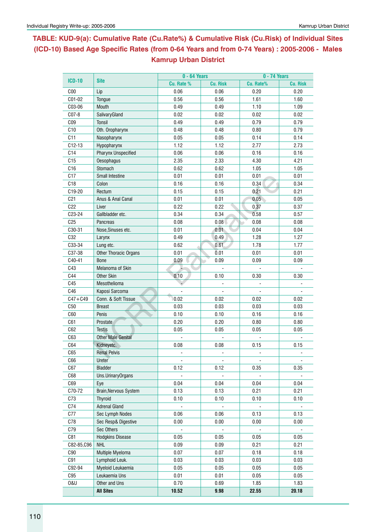# **Table: KUD-9(a): Cumulative Rate (Cu.Rate%) & Cumulative Risk (Cu.Risk) of Individual Sites (ICD-10) Based Age Specific Rates (from 0-64 Years and from 0-74 Years) : 2005-2006 - Males Kamrup Urban District**

| <b>ICD-10</b>   |                           | 0 - 64 Years   |                 | 0 - 74 Years |                 |  |  |  |  |
|-----------------|---------------------------|----------------|-----------------|--------------|-----------------|--|--|--|--|
|                 | <b>Site</b>               | Cu. Rate %     | <b>Cu. Risk</b> | Cu. Rate%    | <b>Cu. Risk</b> |  |  |  |  |
| C <sub>00</sub> | Lip                       | 0.06           | 0.06            | 0.20         | 0.20            |  |  |  |  |
| C01-02          | Tongue                    | 0.56           | 0.56            | 1.61         | 1.60            |  |  |  |  |
| C03-06          | <b>Mouth</b>              | 0.49           | 0.49            | 1.10         | 1.09            |  |  |  |  |
| C07-8           | SalivaryGland             | 0.02           | 0.02            | 0.02         | 0.02            |  |  |  |  |
| CO <sub>9</sub> | Tonsil                    | 0.49           | 0.49            | 0.79         | 0.79            |  |  |  |  |
| C10             | Oth. Oropharynx           | 0.48           | 0.48            | 0.80         | 0.79            |  |  |  |  |
| C11             | Nasopharynx               | 0.05           | 0.05            | 0.14         | 0.14            |  |  |  |  |
| $C12-13$        | Hypopharynx               | 1.12           | 1.12            | 2.77         | 2.73            |  |  |  |  |
| C14             | Pharynx Unspecified       | 0.06           | 0.06            | 0.16         | 0.16            |  |  |  |  |
| C15             | Oesophagus                | 2.35           | 2.33            | 4.30         | 4.21            |  |  |  |  |
| C <sub>16</sub> | Stomach                   | 0.62           | 0.62            | 1.05         | 1.05            |  |  |  |  |
| C17             | <b>Small Intestine</b>    | 0.01           | 0.01            | 0.01         | 0.01            |  |  |  |  |
| C18             | Colon                     | 0.16           | 0.16            | 0.34         | 0.34            |  |  |  |  |
| C19-20          | Rectum                    | 0.15           | 0.15            | 0.21         | 0.21            |  |  |  |  |
| C <sub>21</sub> | Anus & Anal Canal         | 0.01           | 0.01            | 0.05         | 0.05            |  |  |  |  |
| C22             | Liver                     | 0.22           | 0.22            | 0.37         | 0.37            |  |  |  |  |
| C23-24          | Gallbladder etc.          | 0.34           | 0.34            | 0.58         | 0.57            |  |  |  |  |
| C <sub>25</sub> | Pancreas                  | 0.08           | 0.08            | 0.08         | 0.08            |  |  |  |  |
| C30-31          | Nose, Sinuses etc.        | 0.01           | 0.01            | 0.04         | 0.04            |  |  |  |  |
| C32             | Larynx                    | 0.49           | 0.49            | 1.28         | 1.27            |  |  |  |  |
| C33-34          | Lung etc.                 | 0.62           | 0.61            | 1.78         | 1.77            |  |  |  |  |
| C37-38          | Other Thoracic Organs     | 0.01           | 0.01            | 0.01         | 0.01            |  |  |  |  |
| C40-41          | <b>Bone</b>               | 0.09           | 0.09            | 0.09         | 0.09            |  |  |  |  |
| C43             | Melanoma of Skin          |                |                 |              |                 |  |  |  |  |
| C44             | Other Skin                | 0.10           | 0.10            | 0.30         | 0.30            |  |  |  |  |
| C45             | Mesothelioma              |                |                 |              |                 |  |  |  |  |
| C46             | Kaposi Sarcoma            |                |                 |              |                 |  |  |  |  |
| $C47 + C49$     | Conn. & Soft Tissue       | 0.02           | 0.02            | 0.02         | 0.02            |  |  |  |  |
| C50             | <b>Breast</b>             | 0.03           | 0.03            | 0.03         | 0.03            |  |  |  |  |
| C60             | Penis                     | 0.10           | 0.10            | 0.16         | 0.16            |  |  |  |  |
| C61             | Prostate                  | 0.20           | 0.20            | 0.80         | 0.80            |  |  |  |  |
| C62             | <b>Testis</b>             | 0.05           | 0.05            | 0.05         | 0.05            |  |  |  |  |
| C63             | <b>Other Male Genital</b> |                |                 |              |                 |  |  |  |  |
| C64             | Kidneyetc.                | 0.08           | 0.08            | 0.15         | 0.15            |  |  |  |  |
| C65             | <b>Renal Pelvis</b>       |                |                 |              |                 |  |  |  |  |
| C66             | Ureter                    |                |                 |              |                 |  |  |  |  |
| C67             | <b>Bladder</b>            | 0.12           | 0.12            | 0.35         | 0.35            |  |  |  |  |
| C68             | Uns.UrinaryOrgans         | $\blacksquare$ | ä,              |              |                 |  |  |  |  |
| C69             | Eye                       | 0.04           | 0.04            | 0.04         | 0.04            |  |  |  |  |
| C70-72          | Brain, Nervous System     | 0.13           | 0.13            | 0.21         | 0.21            |  |  |  |  |
| C73             | <b>Thyroid</b>            | 0.10           | 0.10            | 0.10         | 0.10            |  |  |  |  |
| C74             | <b>Adrenal Gland</b>      |                |                 |              |                 |  |  |  |  |
| C77             | Sec Lymph Nodes           | 0.06           | 0.06            | 0.13         | 0.13            |  |  |  |  |
| C78             | Sec Resp& Digestive       | 0.00           | 0.00            | 0.00         | 0.00            |  |  |  |  |
| C79             | Sec Others                |                |                 |              |                 |  |  |  |  |
| C81             | <b>Hodgkins Disease</b>   | 0.05           | 0.05            | 0.05         | 0.05            |  |  |  |  |
| C82-85, C96     | <b>NHL</b>                | 0.09           | 0.09            | 0.21         | 0.21            |  |  |  |  |
| C90             | Multiple Myeloma          | 0.07           | 0.07            | 0.18         | 0.18            |  |  |  |  |
| C91             | Lymphoid Leuk.            | 0.03           | 0.03            | 0.03         | 0.03            |  |  |  |  |
| C92-94          | Myeloid Leukaemia         | 0.05           | 0.05            | 0.05         | 0.05            |  |  |  |  |
| C95             | Leukaemia Uns             | 0.01           | 0.01            | 0.05         | 0.05            |  |  |  |  |
| <b>0&amp;U</b>  | Other and Uns             | 0.70           | 0.69            | 1.85         | 1.83            |  |  |  |  |
|                 | <b>All Sites</b>          | 10.52          | 9.98            | 22.55        | 20.18           |  |  |  |  |
|                 |                           |                |                 |              |                 |  |  |  |  |